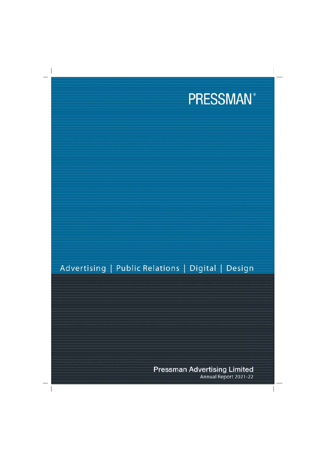

# Advertising | Public Relations | Digital | Design

**Pressman Advertising Limited** Annual Report 2021-22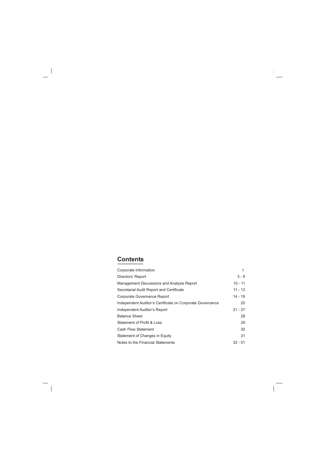## **Contents**

| Corporate Information                                     |           |
|-----------------------------------------------------------|-----------|
| Directors' Report                                         | $3 - 9$   |
| Management Discussions and Analysis Report                | $10 - 11$ |
| Secretarial Audit Report and Certificate                  | $11 - 13$ |
| Corporate Governance Report                               | $14 - 19$ |
| Independent Auditor's Certificate on Corporate Governance | 20        |
| Independent Auditor's Report                              | $21 - 27$ |
| <b>Balance Sheet</b>                                      | 28        |
| <b>Statement of Profit &amp; Loss</b>                     | 29        |
| <b>Cash Flow Statement</b>                                | 30        |
| Statement of Changes in Equity                            | 31        |
| Notes to the Financial Statements                         | $32 - 51$ |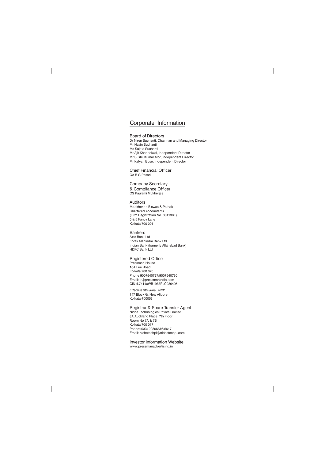## Corporate Information

#### **Board of Directors**

Dr Niren Suchanti, Chairman and Managing Director Mr Navin Suchanti Ms Sujata Suchanti Mr Ajit Khandelwal, Independent Director Mr Sushil Kumar Mor, Independent Director Mr Kalyan Bose, Independent Director

**Chief Financial Officer** CA B G Pasari

**Company Secretary** & Compliance Officer CS Paulami Mukherjee

#### **Auditors** Mookherjee Biswas & Pathak **Chartered Accountants** (Firm Registration No. 301138E)

5 & 6 Fancy Lane Kolkata 700 001

#### **Bankers**

Axis Bank Ltd Kotak Mahindra Bank Ltd Indian Bank (formerly Allahabad Bank) **HDFC Bank Ltd** 

#### **Registered Office**

Pressman House 10A Lee Boad Kolkata 700 020 Phone 9007540727/9007540730 Email: ir@pressmanindia.com CIN:L74140WB1983PLC036495

Effective 9th June, 2022 147 Block G, New Alipore Kolkata-700053

#### Registrar & Share Transfer Agent

Niche Technologies Private Limited 3A Auckland Place, 7th Floor Room No 7A & 7B **Kolkata 700 017** Phone: (033) 22806616/6617 Email: nichetechpl@nichetechpl.com

**Investor Information Website** www.pressmanadvertising.in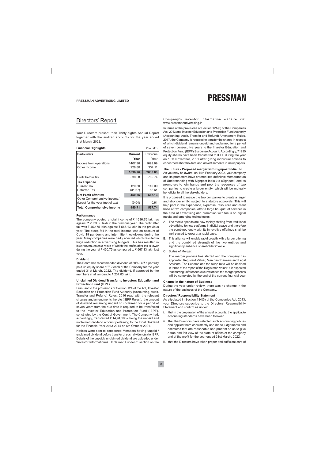## **Directors' Report**

Your Directors present their Thirty-eighth Annual Report together with the audited accounts for the year ended 31st March, 2022.

| <b>Financial Highlights</b>       |                | ₹ in lakh |
|-----------------------------------|----------------|-----------|
| <b>Particulars</b>                | <b>Current</b> | Previous  |
|                                   | Year           | Year      |
| Income from operations            | 1407.96        | 1699.69   |
| Other income                      | 228.80         | 334.11    |
|                                   | 1636.76        | 2033.80   |
| Profit before tax                 | 539.58         | 765.74    |
| <b>Tax Expense</b>                |                |           |
| <b>Current Tax</b>                | 120.50         | 140.00    |
| Deferred Tax                      | (31.67)        | 58.61     |
| Net Profit after tax              | 450.75         | 567.13    |
| Other Comprehensive Income/       |                |           |
| (Loss) for the year (net of tax)  | (0.04)         | 0.61      |
| <b>Total Comprehensive Income</b> | 450.71         | 567.74    |

#### Performance

The company posted a total income of  $\bar{\tau}$  1636.76 lakh as against ₹ 2033.80 lakh in the previous year. The profit after tax was ₹450.75 lakh against ₹567.13 lakh in the previous year. The steep fall in the total income was on account of Covid 19 pandemic and intermittent lockdowns during the year. Many companies were badly affected which resulted in huge reduction in advertising budgets. This has resulted in lower revenues as a result of which the profits after tax is lower during the year at ₹450.75 as compared to ₹567.13 lakh last vear

#### **Dividend**

The Board has recommended dividend of 50% i.e.₹1 per fully paid up equity share of ₹ 2 each of the Company for the year ended 31st March, 2022. The dividend, if approved by the members shall amount to ₹234.83 lakh.

#### Unclaimed Dividend Transfer to Investors Education and **Protection Fund (IEPF)**

Pursuant to the provisions of Section 124 of the Act, Investor Education and Protection Fund Authority (Accounting, Audit, Transfer and Refund) Rules, 2016 read with the relevant circulars and amendments thereto ('IEPF Rules'), the amount of dividend remaining unpaid or unclaimed for a period of seven years from the due date is required to be transferred to the Investor Education and Protection Fund (IEPF), constituted by the Central Government. The Company had, accordingly, transferred ₹ 14,94,108/- being the unpaid and unclaimed dividend amount pertaining to the Final Dividend for the Financial Year 2013-2014 on 6th October 2021.

Notices were sent to concerned Members having unpaid / unclaimed dividend before transfer of such dividend(s) to IEPF. Details of the unpaid / unclaimed dividend are uploaded under "Investor Information=> Unclaimed Dividend" section on the

#### Company's investor information website viz. www.pressmanadvertising.in

In terms of the provisions of Section 124(6) of the Companies Act. 2013 and Investor Education and Protection Fund Authority (Accounting, Audit, Transfer and Refund) Amendment Rules, 2017, the Company is required to transfer the shares in respect of which dividend remains unpaid and unclaimed for a period of seven consecutive vears to the Investor Education and Protection Fund (IEPF) Suspense Account. Accordingly, 71290 equity shares have been transferred to IEPF during the year on 10th November, 2021 after giving individual notices to concerned shareholders and advertisements in newspapers.

#### The Future - Proposed merger with Signpost India Ltd

As you may be aware, on 14th February 2022, your company and its promoters have entered into definitive Memorandum of Understanding with Signpost India Ltd (Signpost) and its promoters to join hands and pool the resources of two companies to create a larger entity which will be mutually beneficial to all the stakeholders.

It is proposed to merge the two companies to create a larger and stronger entity, subject to statutory approvals. This will help pool in the experience, expertise, resources and client base of two companies; offer a large bouquet of services in the area of advertising and promotion with focus on digital media and emerging technologies.

- A. The media spends are now rapidly shifting from traditional advertising to new platforms in digital space and therefore the combined entity with its innovative offerings shall be well placed to grow at a rapid pace.
- B. This alliance will enable rapid growth with a larger offering and the combined strength of the two entities and significantly enhance shareholders' value.
- C. Status of Merger:

The merger process has started and the company has appointed Registerd Valuer, Merchant Bankers and Legal Advisors. The Scheme and the swap ratio will be decided in terms of the report of the Registered Valuer. It is expected that barring unforeseen circumstances the merger process will be completed by the end of the current financial year

#### **Change in the nature of Business**

During the year under review, there was no change in the nature of the business of the Company.

#### **Directors' Responsibility Statement**

As stipulated in Section 134(5) of the Companies Act, 2013, your Directors subscribe to the Directors' Responsibility Statement and confirm as under:

- that in the preparation of the annual accounts, the applicable i. accounting standards have been followed.
- that the Directors have selected such accounting policies ii. and applied them consistently and made judgements and estimates that are reasonable and prudent so as to give a true and fair view of the state of affairs of the company and of the profit for the year ended 31st March, 2022.
- iii. that the Directors have taken proper and sufficient care of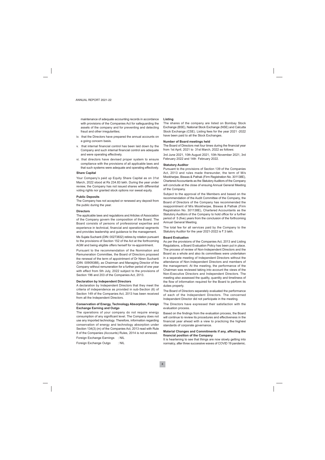maintenance of adequate accounting records in accordance with provisions of the Companies Act for safeguarding the assets of the company and for preventing and detecting fraud and other irregularities;

- iv. that the Directors have prepared the annual accounts on a going concern basis.
- v. that internal financial control has been laid down by the Company and such internal financial control are adequate and were operating effectively.
- vi. that directors have devised proper system to ensure compliance with the provisions of all applicable laws and that such systems were adequate and operating effectively.

#### **Share Capital**

Your Company's paid up Equity Share Capital as on 31st March, 2022 stood at Rs 234.83 lakh. During the year under review, the Company has not issued shares with differential voting rights nor granted stock options nor sweat equity.

#### **Public Deposits**

The Company has not accepted or renewed any deposit from the public during the year.

#### **Directors**

The applicable laws and regulations and Articles of Association of the Company govern the composition of the Board. The Board consists of persons of professional expertise and experience in technical, financial and operational segments and provides leadership and guidance to the management.

Ms Sujata Suchanti (DIN: 00273832) retires by rotation pursuant to the provisions of Section 152 of the Act at the forthcoming AGM and being eligible offers herself for re-appointment.

Pursuant to the recommendation of the Nomination and Remuneration Committee, the Board of Directors proposed the renewal of the term of appointment of Dr Niren Suchanti (DIN: 00909388), as Chairman and Managing Director of the Company without remuneration for a further period of one year with effect from 5th July, 2022 subject to the provisions of Section 196 and 203 of the Companies Act, 2013.

#### **Declaration by Independent Directors**

A declaration by Independent Directors that they meet the criteria of independence as provided in sub-Section (6) of Section 149 of the Companies Act, 2013 has been received from all the Independent Directors.

#### **Conservation of Energy, Technology Absorption, Foreign Exchange Earning and Outgo**

The operations of your company do not require energy consumption of any significant level. The Company does not use any imported technology. Therefore, information regarding conservation of energy and technology absorption under Section 134(3) (m) of the Companies Act, 2013 read with Rule 8 of the Companies (Accounts) Rules, 2014 is not annexed.

Foreign Exchange Earnings  $\pm$  NII

Foreign Exchange Outgo  $:$  NII

#### Listina

The shares of the company are listed on Bombay Stock Exchange (BSE), National Stock Exchange (NSE) and Calcutta Stock Exchange (CSE). Listing fees for the year 2021 -2022 have been paid to all the Stock Exchanges.

#### Number of Board meetings held

The Board of Directors met four times during the financial year from 1st April, 2021 to 31st March, 2022 as follows:

3rd June 2021, 10th August 2021, 10th November 2021, 3rd February 2022 and 14th February 2022.

#### **Statutory Auditor**

Pursuant to the provisions of Section 139 of the Companies Act. 2013 and rules made thereunder, the term of M/s Mookherjee, Biswas & Pathak (Firm Registration No. 301138E), Chartered Accountants as the Statutory Auditors of the Company will conclude at the close of ensuing Annual General Meeting of the Company.

Subject to the approval of the Members and based on the recommendation of the Audit Committee of the Company, the Board of Directors of the Company has recommended the reappointment of M/s Mookherjee, Biswas & Pathak (Firm Registration No. 301138E), Chartered Accountants as the Statutory Auditors of the Company to hold office for a further period of 5 (five) years from the conclusion of the forthcoming Annual General Meeting.

The total fee for all services paid by the Company to the Statutory Auditor for the year 2021-2022 is ₹ 3 lakh.

#### **Board Evaluation**

As per the provisions of the Companies Act, 2013 and Listing Regulations, a Board Evaluation Policy has been put in place. The process of review of Non-Independent Directors and the Board as a whole and also its committees were undertaken in a separate meeting of Independent Directors without the attendance of Non-Independent Directors and members of the management. At the meeting, the performance of the Chairman was reviewed taking into account the views of the Non-Executive Directors and Independent Directors. The meeting also assessed the quality, quantity and timeliness of the flow of information required for the Board to perform its duties properly.

The Board of Directors separately evaluated the performance of each of the Independent Directors. The concerned Independent Director did not participate in the meeting.

The Directors have expressed their satisfaction with the evaluation process.

Based on the findings from the evaluation process, the Board will continue to review its procedures and effectiveness in the financial year ahead with a view to practicing the highest standards of corporate governance.

#### Material Changes and Commitments if any, affecting the financial position of the Company

It is heartening to see that things are now slowly getting into normalcy, after three successive waves of COVID 19 pandemic.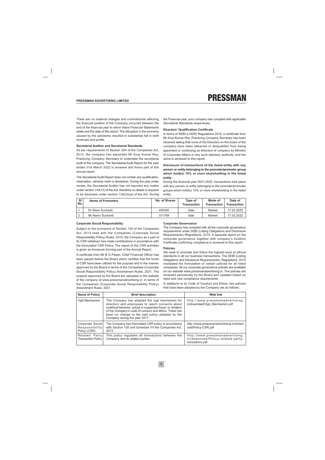There are no material changes and commitments affecting the financial position of the Company occurred between the end of the financial year to which these Financial Statements relate and the date of this report. The disruption in the economy caused by the pandemic resulted in substantial fall in both revenues and profits.

#### **Secretarial Auditor and Secretarial Standards**

As per requirements of Section 204 of the Companies Act, 2013, the company has appointed Mr Arup Kumar Roy, Practicing Company Secretary to undertake the secretarial audit of the company. The Secretarial Audit Report for the year ended 31st March 2022 is annexed and forms part of this annual report.

The Secretarial Audit Report does not contain any qualification, reservation, adverse mark or disclaimer. During the year under review, the Secretarial Auditor has not reported any matter under section 143(12) of the Act, therefore no details is required to be disclosed under section 134(3)(ca) of the Act. During the Financial vear, your company has complied with applicable Secretarial Standards respectively.

#### **Directors' Qualification Certificate**

In terms of SEBI (LODR) Regulations 2015, a certificate from Mr Arup Kumar Rov. Practicing Company Secretary has been received stating that none of the Directors on the board of the company have been debarred or disqualified from being appointed or continuing as directors of company by Ministry of Corporate Affairs or any such statutory authority, and the same is annexed to this report.

#### Disclosure of transactions of the listed entity with any person or entity belonging to the promoter/promoter group which hold(s) 10% or more shareholding in the listed entity

During the financial year 2021-2022, transactions took place with any person or entity belonging to the promoter/promoter groups which hold(s) 10% or more shareholding in the listed entity.

| <b>SI</b><br>No. | Name of Promoters | No. of Shares | Type of<br><b>Transaction</b> | Mode of<br><b>Transaction</b> | Date of<br><b>Transaction</b> |
|------------------|-------------------|---------------|-------------------------------|-------------------------------|-------------------------------|
|                  | Dr Niren Suchanti | 450000        | Sale                          | Market                        | 17.02.2022                    |
| $\Omega$<br>۷.   | Mr Navin Suchanti | 511784        | Sale                          | Market                        | 17.02.2022                    |

#### **Corporate Social Responsibility**

Subject to the provisions of Section 135 of the Companies Act, 2013 read with the Companies (Corporate Social Responsibility Policy) Rules, 2015, the Company as a part of its CSR initiatives has made contributions in accordance with the formulated CSR Policy. The report of the CSR activities is given as Annexure forming part of the Annual Report.

A certificate from Mr B G Pasari, Chief Financial Officer has been placed before the Board which certifies that the funds of CSR have been utilized for the purpose and in the manner approved by the Board in terms of the Companies (Corporate Social Responsibility Policy) Amendment Rules, 2021. The projects approved by the Board are uploaded in the website of the company at www.pressmanadvertising.in, in terms of the Companies (Corporate Social Responsibility Policy) Amendment Rules, 2021.

#### **Corporate Governance**

The Company has complied with all the corporate governance requirements under SEBI (Listing Obligations and Disclosure Requirements) Regulations, 2015. A separate report on the corporate governance together with company's Auditors Certificate confirming compliance is annexed to this report.

#### **Policies**

We seek to promote and follow the highest level of ethical standards in all our business transactions. The SEBI (Listing Obligations and Disclosure Requirements), Regulations, 2015 mandated the formulation of certain policies for all listed companies. All our corporate governance policies are available on our website www.pressmanadvertising.in. The policies are reviewed periodically by the Board and updated based on need and new compliance requirements.

In additions to its Code of Conduct and Ethics, key policies that have been adopted by the Company are as follows:

| <b>Name of Policy</b>                              | <b>Brief description</b>                                                                                                                                                                                                                                                                                          | Web link                                                                                |
|----------------------------------------------------|-------------------------------------------------------------------------------------------------------------------------------------------------------------------------------------------------------------------------------------------------------------------------------------------------------------------|-----------------------------------------------------------------------------------------|
| Vigil Mechanism                                    | The Company has adopted the vigil mechanism for<br>directors and employees to report concerns about<br>unethical behavior, actual or suspected fraud, or violation<br>of the Company's code of conduct and ethics. There has<br>been no change to the said policy adopted by the<br>Company during the year 2017. | http://www.pressmanadvertising.<br>in/download/Vigil Mechanism.pdf                      |
| Corporate Social<br>Responsibility<br>Policy (CSR) | The Company has formulated CSR policy in accordance<br>with Section 135 and Schedule VII the Companies Act,<br>2013.                                                                                                                                                                                              | http://www.pressmanadvertising.in/downl<br>oad/Policy-CSR.pdf                           |
| Related Party<br><b>Transaction Policy</b>         | This policy regulates all transactions between the<br>Company and its related parties                                                                                                                                                                                                                             | http://www.pressmanadvertising.<br>in/download/Policy-related-party-<br>transations.pdf |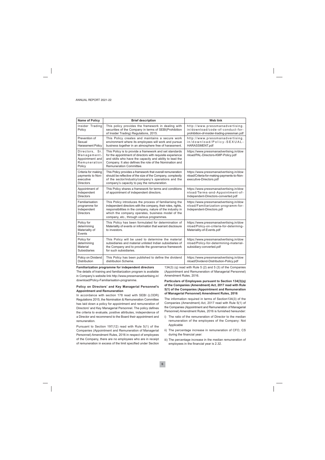| <b>Name of Policy</b>                                                      | <b>Brief description</b>                                                                                                                                                                                                                                                                 | <b>Web link</b>                                                                                                    |
|----------------------------------------------------------------------------|------------------------------------------------------------------------------------------------------------------------------------------------------------------------------------------------------------------------------------------------------------------------------------------|--------------------------------------------------------------------------------------------------------------------|
| Insider Trading<br>Policy                                                  | This policy provides the framework in dealing with<br>securities of the Company in terms of SEBI(Prohibition<br>of Insider Trading) Regulations, 2015.                                                                                                                                   | http://www.pressmanadvertising.<br>in/download/code-of-conduct-for-<br>prohibition-of-insider-trading-pressman.pdf |
| Prevention of<br>Sexual<br><b>Harassment Policy</b>                        | This Policy creates and maintains a secure work<br>environment where its employees will work and pursue<br>business together in an atmosphere free of harassment.                                                                                                                        | http://www.pressmanadvertising.<br>in/download/Policy-SEXUAL-<br>HARASSMENT.pdf                                    |
| Directors, Sr.<br>Management-<br>Appointment and<br>Remuneration<br>Policy | This Policy is to provide a framework and set standards<br>for the appointment of directors with requisite experience<br>and skills who have the capacity and ability to lead the<br>Company. It also defines the role of the Nomination and<br>Remuneration Committee.                  | https://www.pressmanadvertising.in/dow<br>nload/PAL-Directors-KMP-Policy.pdf                                       |
| Criteria for making<br>payments to Non-<br>executive<br><b>Directors</b>   | This Policy provides a framework that overall remuneration<br>should be reflective of the size of the Company, complexity<br>of the sector/industry/company's operations and the<br>company's capacity to pay the remuneration.                                                          | https://www.pressmanadvertising.in/dow<br>nload/Criteria-for-making-payments-to-Non-<br>executive-Directors.pdf    |
| Appointment of<br>Independent<br><b>Directors</b>                          | This Policy shares a framework for terms and conditions<br>of appointment of independent directors.                                                                                                                                                                                      | https://www.pressmanadvertising.in/dow<br>nload/Terms-and-Appointment-of-<br>Independent-Directors-converted.pdf   |
| Familiarisation<br>programme for<br>Independent<br><b>Directors</b>        | This Policy introduces the process of familiarising the<br>independent directors with the company, their roles, rights,<br>responsibilities in the company, nature of the industry in<br>which the company operates, business model of the<br>company, etc., through various programmes. | https://www.pressmanadvertising.in/dow<br>nload/Familiarization-programm-for-<br>Independent-Directors.pdf         |
| Policy for<br>determining<br>Materiality of<br>Events                      | This Policy has been formulated for determination of<br>Materiality of events or information that warrant disclosure<br>to investors.                                                                                                                                                    | https://www.pressmanadvertising.in/dow<br>nload/Policy-on-criteria-for-determing-<br>Materiality-of-Events.pdf     |
| Policy for<br>determining<br>Material<br>Subsidiaries                      | This Policy will be used to determine the material<br>subsidiaries and material unlisted Indian subsidiaries of<br>the Company and to provide the governance framework<br>for such subsidiaries.                                                                                         | https://www.pressmanadvertising.in/dow<br>nload/Policy-for-determining-material-<br>subsidiary-converted.pdf       |
| Policy on Dividend<br><b>Distribution</b>                                  | This Policy has been published to define the dividend<br>distribution Scheme.                                                                                                                                                                                                            | https://www.pressmanadvertising.in/dow<br>nload/Dividend-Distribution-Policy.pdf                                   |

Familiarization programme for independent directors The details of training and familiarization program is available in Company's website link http://www.pressmanadvertising.in/ download/Policy-Familiarisation-programme.

#### Policy on Directors' and Key Managerial Personnel's **Appointment and Remuneration**

In accordance with section 178 read with SEBI (LODR) Regulations 2015, the Nomination & Remuneration Committee has laid down a policy for appointment and remuneration of Directors' and Key Managerial Personnel. The policy defines the criteria to evaluate, positive attributes, independence of a Director and recommend to the Board their appointment and remuneration.

Pursuant to Section 197(12) read with Rule 5(1) of the Companies (Appointment and Remuneration of Managerial Personnel) Amendment Rules, 2016 in respect of employees of the Company, there are no employees who are in receipt of remuneration in excess of the limit specified under Section

134(3) (q) read with Rule 5 (2) and 5 (3) of the Companies (Appointment and Remuneration of Managerial Personnel) Amendment Rules, 2016.

#### Particulars of Employees pursuant to Section 134(3)(q) of the Companies (Amendment) Act, 2017 read with Rule 5(1) of the Companies (Appointment and Remuneration of Managerial Personnel) Amendment Rules, 2016

The information required in terms of Section134(3) of the Companies (Amendment) Act, 2017 read with Rule 5(1) of the Companies (Appointment and Remuneration of Managerial Personnel) Amendment Rules, 2016 is furnished hereunder:

- i) The ratio of the remuneration of Director to the median remuneration of the employees of the Company: Not Applicable
- ii) The percentage increase in remuneration of CFO, CS during the financial year:
- iii) The percentage increase in the median remuneration of employees in the financial year is 2.32.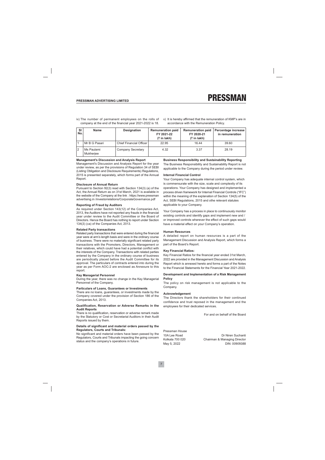v) It is hereby affirmed that the remuneration of KMP's are in accordance with the Remuneration Policy.

| SI<br>No. | <b>Name</b>             | <b>Designation</b>               | <b>Remuneration paid</b><br>FY 2021-22<br>$($ ₹ in lakh) | <b>Remuneration paid</b><br>FY 2020-21<br>$(3\bar{5})$ in lakh) | Percentage increase<br>in remuneration |
|-----------|-------------------------|----------------------------------|----------------------------------------------------------|-----------------------------------------------------------------|----------------------------------------|
|           | Mr B G Pasari           | <b>Chief Financial Officer I</b> | 22.95                                                    | 16.44                                                           | 39.60                                  |
|           | Ms Paulami<br>Mukherjee | Company Secretary                | 4.32                                                     | 3.37                                                            | 28.19                                  |

#### **Management's Discussion and Analysis Report**

Management's Discussion and Analysis Report for the year under review, as per the provisions of Regulation 34 of SEBI (Listing Obligation and Disclosure Requirements) Regulations, 2015 is presented separately, which forms part of the Annual Report.

#### **Disclosure of Annual Return**

Pursuant to Section 92(3) read with Section 134(3) (a) of the Act, the Annual Return as on 31st March, 2021 is available in the website of the Company at the link : https://www.pressman advertising.in /investorrelations/CorporateGovernance.pdf

#### **Reporting of Fraud by Auditors**

As required under Section 143(12) of the Companies Act, 2013, the Auditors have not reported any frauds in the financial year under review to the Audit Committee or the Board of Directors. Hence the Board has nothing to report under Section 134(3) (ca) of the Companies Act, 2013.

#### **Related Party transactions**

Related party transactions that were entered during the financial year were at arm's length basis and were in the ordinary course of business. There were no materially significant related party transactions with the Promoters, Directors, Management or their relatives, which could have had a potential conflict with the interests of the Company. Transactions with related parties entered by the Company in the ordinary course of business are periodically placed before the Audit Committee for its approval. The particulars of contracts entered into during the year as per Form AOC-2 are enclosed as Annexure to this report.

#### **Key Managerial Personnel**

During the year, there was no change in the Key Managerial Personnel of the Company.

#### Particulars of Loans, Guarantees or Investments

There are no loans, guarantees, or investments made by the Company covered under the provision of Section 186 of the Companies Act, 2013.

#### Qualification, Reservation or Adverse Remarks in the **Audit Reports**

There is no qualification, reservation or adverse remark made by the Statutory or Cost or Secretarial Auditors in their Audit Reports issued by them.

#### Details of significant and material orders passed by the **Regulators, Courts and Tribunals:**

No significant and material orders have been passed by the Regulators, Courts and Tribunals impacting the going concern status and the company's operations in future.

#### **Business Responsibility and Sustainability Reporting**

The Business Responsibility and Sustainability Report is not applicable to the Company during the period under review.

#### **Internal Financial Control**

Your Company has adequate internal control system, which is commensurate with the size, scale and complexity of its operations. Your Company has designed and implemented a process driven framework for Internal Financial Controls ("IFC") within the meaning of the explanation of Section 134(5) of the Act, SEBI Regulations, 2015 and othe relevant statutes applicable to your Company.

Your Company has a process in place to continuously monitor existing controls and identify gaps and implement new and / or improved controls wherever the effect of such gaps would have a material effect on your Company's operation.

#### **Human Resources**

A detailed report on human resources is a part of the Management Discussion and Analysis Report, which forms a part of the Board's Report.

#### **Key Financial Ratios:**

Key Financial Ratios for the financial year ended 31st March, 2022 are provided in the Management Discussion and Analysis Report which is annexed hereto and forms a part of the Notes to the Financial Statements for the Financial Year 2021-2022.

#### Development and Implementation of a Risk Management **Policy**

The policy on risk management is not applicable to the Company.

#### Acknowledgement

The Directors thank the shareholders for their continued confidence and trust reposed in the management and the employees for their dedicated services.

For and on behalf of the Board

Pressman House 10A Lee Road Kolkata 700 020 May 5, 2022

Dr Niren Suchanti Chairman & Managing Director DIN: 00909388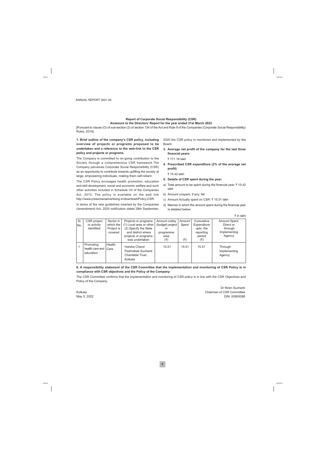#### **Report of Corporate Social Responsibility (CSR)** Annexure to the Directors' Report for the year ended 31st March 2022

[Pursuant to clause (O) of sub-section (3) of section 134 of the Act and Rule 9 of the Companies (Corporate Social Responsibility) Rules, 2014]

1. Brief outline of the company's CSR policy, including overview of projects or programs proposed to be undertaken and a reference to the web-link to the CSR policy and projects or programs.

The Company is committed to on-going contribution to the Society through a comprehensive CSR framework. The Company perceives Corporate Social Responsibility (CSR) as an opportunity to contribute towards uplifting the society at large, empowering individuals, making them self-reliant.

The CSR Policy envisages health promotion, education and skill development, social and economic welfare and such other activities included in Schedule VII of the Companies Act, 2013. The policy is available on the web link http://www.pressmanadvertising.in/download/Policy-CSR.

In terms of the new guidelines inserted by the Companies (Amendment) Act, 2020 notification dated 28th September, 2020 the CSR policy in monitored and implemented by the Board.

3. Average net profit of the company for the last three financial years:

₹ 771 19 lakh

4. Prescribed CSR expenditure (2% of the average net profit):

₹ 15.42 lakh

- 5. Details of CSR spent during the year:
- a) Total amount to be spent during the financial year: ₹15.42 lakh
- b) Amount unspent, if any: Nil
- c) Amount Actually spent on CSR: ₹ 15.51 lakh
- d) Manner in which the amount spent during the financial year is detailed below:

| SI. | CSR project            | Sector in  | Projects or programs    | Amount outlay    | Amount | Cumulative  | <b>Amount Spent:</b> |
|-----|------------------------|------------|-------------------------|------------------|--------|-------------|----------------------|
| No. | or activity            | which the  | (1) Local area or other | (budget) project | Spent  | Expenditure | Direct or            |
|     | identified             | Project is | (2) Specify the State   | or               |        | upto the    | through              |
|     |                        | covered    | and district where      | programme        |        | reporting   | Implementing         |
|     |                        |            | projects or programs    | wise             |        | period      | Agency               |
|     |                        |            | was undertaken          | (₹)              | (₹)    | (₹)         |                      |
|     | Promoting              | Health     |                         |                  |        |             |                      |
|     | health care and   Care |            | Harsha Chand            | 15.51            | 15.51  | 15.51       | Through              |
|     | education              |            | Padmabati Suchanti      |                  |        |             | Implementing         |
|     |                        |            | Charitable Trust,       |                  |        |             | Agency               |
|     |                        |            | Kolkata                 |                  |        |             |                      |
|     |                        |            |                         |                  |        |             |                      |

#### 6. A responsibility statement of the CSR Committee that the implementation and monitoring of CSR Policy is in compliance with CSR objectives and the Policy of the Company:

The CSR Committee confirms that the implementation and monitoring of CSR policy is in line with the CSR Objectives and Policy of the Company.

Kolkata May 5, 2022

Dr Niren Suchanti Chairman of CSR Committee DIN: 00909388

₹ in lakh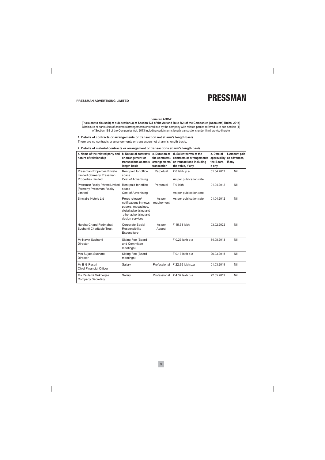

#### Form No AOC-2

(Pursuant to clause(h) of sub-section(3) of Section 134 of the Act and Rule 8(2) of the Companies (Accounts) Rules, 2014) Disclosure of particulars of contracts/arrangements entered into by the company with related parties referred to in sub-section (1) of Section 188 of the Companies Act, 2013 including certain arms length transactions under third proviso thereto

#### 1. Details of contracts or arrangements or transaction not at arm's length basis

There are no contracts or arrangements or transaction not at arm's length basis.

#### 2. Details of material contracts or arrangement or transactions at arm's length basis

| a. Name of the related party and<br>nature of relationship                             | b. Nature of contracts<br>or arrangement or<br>transactions at arm's<br>length basis                                                 | c. Duration of<br>the contracts /<br>arrangements/<br>transaction | d. Salient terms of the<br>contracts or arrangements<br>or transactions including<br>the value, if any | e. Date of<br>approval by<br>the Board,<br>if any | f. Amount paid<br>as advances,<br>if any |
|----------------------------------------------------------------------------------------|--------------------------------------------------------------------------------------------------------------------------------------|-------------------------------------------------------------------|--------------------------------------------------------------------------------------------------------|---------------------------------------------------|------------------------------------------|
| Pressman Properties Private<br>Limited (formerly Pressman<br><b>Properties Limited</b> | Rent paid for office<br>space<br>Cost of Advertising                                                                                 | Perpetual                                                         | ₹6 lakh p.a<br>As per publication rate                                                                 | 01.04.2012                                        | Nil                                      |
| Pressman Realty Private Limited<br>(formerly Pressman Realty)<br>Limited               | Rent paid for office<br>space<br>Cost of Advertising                                                                                 | Perpetual                                                         | ₹9 lakh<br>As per publication rate                                                                     | 01.04.2012                                        | Nil                                      |
| Sinclairs Hotels Ltd                                                                   | Press release/<br>notifications in news<br>papers, magazines,<br>digital advertising and<br>other advertising and<br>design services | As per<br>requirement                                             | As per publication rate                                                                                | 01.04.2012                                        | Nil                                      |
| Harsha Chand Padmabati<br>Suchanti Charitable Trust                                    | Corporate Social<br>Responsibility<br>Expenditure                                                                                    | As per<br>Appeal                                                  | ₹ 15.51 lakh                                                                                           | 03.02.2022                                        | Nil                                      |
| Mr Navin Suchanti<br>Director                                                          | Sitting Fee (Board<br>and Committee<br>meetings)                                                                                     |                                                                   | ₹ 0.23 lakh p.a                                                                                        | 14.08.2013                                        | Nil                                      |
| Mrs Sujata Suchanti<br><b>Director</b>                                                 | Sitting Fee (Board<br>meetings)                                                                                                      |                                                                   | ₹ 0.13 lakh p.a                                                                                        | 26.03.2015                                        | Nil                                      |
| Mr B G Pasari<br><b>Chief Financial Officer</b>                                        | Salary                                                                                                                               | Professional                                                      | ₹ 22.95 lakh p.a                                                                                       | 01.03.2019                                        | Nil                                      |
| Ms Paulami Mukherjee<br><b>Company Secretary</b>                                       | Salary                                                                                                                               | Professional                                                      | ₹4.32 lakh p.a                                                                                         | 22.05.2019                                        | Nil                                      |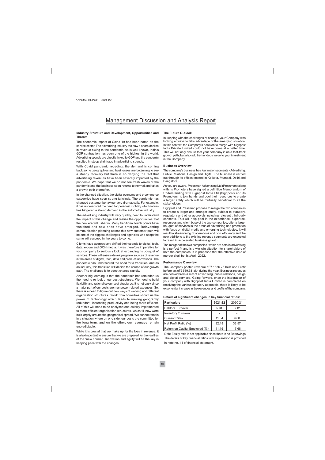## **Management Discussion and Analysis Report**

#### Industry Structure and Development, Opportunities and **Threats**

The economic impact of Covid 19 has been harsh on the service sector. The advertising industry too saw a sharp decline in revenue owing to the pandemic. As is well known, India's GDP contraction has been one of the highest in the world. Advertising spends are directly linked to GDP and the pandemic resulted in steep shrinkage in advertising spends.

With Covid pandemic receding, the demand is coming back;some geographies and businesses are beginning to see a steady recovery but there is no denying the fact that advertising revenues have been severely impacted by the pandemic. We hope that we do not see fresh waves of the pandemic and the business soon returns to normal and takes a growth path thereafter.

In the changed situation, the digital economy and e-commerce categories have seen strong tailwinds. The pandemic has changed customer behaviour very dramatically. For example, it has underscored the need for personal mobility which in turn has triggered a strong demand in the automotive industry.

The advertising industry will, very quickly, need to understand the impact of this change and realise the opportunities that the new era will usher in. Many traditional touch points have vanished and new ones have emerged. Reinventing communication planning across this new customer path will be one of the biggest challenges and agencies who adopt the same will succeed in the years to come.

Clients have aggressively shifted their spends to digital, tech, data, e-com and OOH media. It was therefore imperative for your company to seriously look at expanding its bouquet of services. These will ensure developing new sources of revenue in the areas of digital, tech, data and product innovations. The pandemic has underscored the need for a transition, and as an industry, this transition will decide the course of our growth path. The challenge is to adopt change rapidly.

Another big learning is that the pandemic has reminded us the need to re-look at our cost structures. We need to build flexibility and rationalise our cost structures. It is not easy since a major part of our costs are manpower related expenses. So, there is a need to figure out new ways of working and different organisation structures. 'Work from home'has shown us the power of technology which leads to making geography redundant, increasing productivity and being more efficient. All of this will need to be analysed and quickly implemented to more efficient organisation structures, which till now were built largely around the geograhical spread. We cannot remain in a situation where on one side, our costs are committed for the long term, and on the other, our revenues remain unpredictable.

While it is crucial that we make up for the loss in revenue, it is also important to ensure that we are prepared for the realities of the "new normal". Innovation and agility will be the key in keeping pace with the changes.

#### **The Future Outlook**

In keeping with the challenges of change, your Company was looking at ways to take advantage of the emerging situation. In this context, the Company's decision to merge with Signpost India Private Limited could not have come at a better time. This will not only ensure that your company is on a fast-track growth path, but also add tremendous value to your investment in the Company.

#### **Business Overview**

The company's business has four major segments - Advertising, Public Relations, Design and Digital. The business is carried out through its offices located in Kolkata, Mumbai, Delhi and Bangalore.

As you are aware, Pressman Advertising Ltd (Pressman) along with its Promoters have signed a definitive Memorandum of Understanding with Signpost India Ltd (Signpost) and its Promoters to join hands and pool their resources to create a larger entity which will be mutually beneficial to all the stakeholders.

Signpost and Pressman propose to merge the two companies to create a larger and stronger entity, subject to statutory, regulatory and other approvals including relevant third-party consents. This will help pool in the experience, expertise, resources and client base of the two companies: offer a larger bouquet of services in the areas of advertising and promotion with focus on digital media and emerging technologies. It will result in streamlining of operations and cost efficiency and the new additions to the existing revenue segments are expected to result in accelerated business growth.

The merger of the two companies, which are both in advertising is a perfect fit and is a win-win situation for shareholders of both the companies. It is proposed that the effective date of merger shall be 1st April. 2022.

#### **Performance Overview**

The Company posted revenue of ₹ 1636.76 lakh and Profit before tax of ₹ 539.58 lakh during the year. Business revenues are derived from a mix of advertising, public relations, design and digital services. Going forward, once the integration of vour company with Signpost India Limited is completed on receiving the various statutory approvals, there is likely to be exponential increase in the revenues and profits of the company.

| Details of significant changes in key financial ratios: |  |  |
|---------------------------------------------------------|--|--|
|                                                         |  |  |

| <b>Particulars</b>             | 2021-22 | 2020-21 |
|--------------------------------|---------|---------|
| <b>Debtors Turnover</b>        | 5.94    | 3.12    |
| <b>Inventory Turnover</b>      |         |         |
| <b>Current Ratio</b>           | 11.54   | 9.60    |
| Net Profit Ratio (%)           | 32.18   | 33.57   |
| Return on Capital Employed (%) | 11.15   | 17.68   |

Debt-Equity ratio is not applicable since there is no Borrowings The details of key financial ratios with explanation is provided in note no. 41 of financial statement.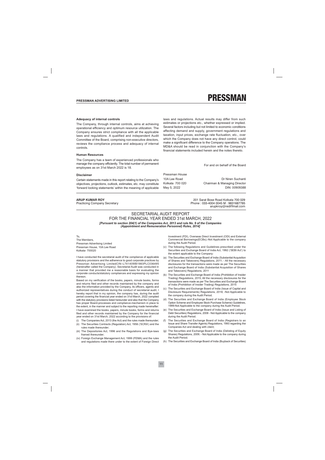#### PRESSMAN ADVERTISING LIMITED



#### **Adequacy of internal controls**

The Company, through internal controls, aims at achieving operational efficiency and optimum resource utilization. The Company ensures strict compliance with all the applicable laws and regulations. A qualified and independent Audit Committee of the Board, comprising non-executive directors, reviews the compliance process and adequacy of internal controls

#### **Human Resources**

The Company has a team of experienced professionals who manage the company efficiently. The total number of permanent employees as on 31st March 2022 is 18.

#### **Disclaimer**

Certain statements made in this report relating to the Company's objectives, projections, outlook, estimates, etc. may constitute 'forward looking statements' within the meaning of applicable

#### **ARUP KUMAR ROY**

**Practicing Company Secretary** 

laws and regulations. Actual results may differ from such estimates or projections etc., whether expressed or implied. Several factors including but not limited to economic conditions affecting demand and supply, government regulations and taxation, input prices, exchange rate fluctuation, etc., over which the Company does not have any direct control, could make a significant difference to the Company operations. The MD&A should be read in conjunction with the Company's financial statements included herein and the notes thereto.

For and on behalf of the Board

Pressman House 10A Lee Road Kolkata 700 020 May 5, 2022

Dr Niren Suchanti Chairman & Managing Director DIN: 00909388

201 Sarat Bose Road Kolkata 700 029 Phone: 033-4004 0045 M: 9831687785 arupkroy@rediffmail.com

#### SECRETARIAL AUDIT REPORT FOR THE FINANCIAL YEAR ENDED 31st MARCH, 2022 [Pursuant to section 204(1) of the Companies Act, 2013 and rule No. 9 of the Companies (Appointment and Remuneration Personnel) Rules, 2014]

 $T_0$ The Members. Pressman Advertising Limited Pressman House, 10A Lee Road Kolkata- 700020

I have conducted the secretarial audit of the compliance of applicable statutory provisions and the adherence to good corporate practices by Pressman Advertising LimitedCIN-L74140WB1983PLC036495 (hereinafter called the Company). Secretarial Audit was conducted in a manner that provided me a reasonable basis for evaluating the corporate conducts/statutory compliances and expressing my opinion thereon

Based on my verification of the books, papers, minute books, forms and returns filed and other records maintained by the company and also the information provided by the Company, its officers, agents and authorized representatives during the conduct of secretarial audit, I hereby report that in my opinion, the company has, during the audit period covering the financial year ended on 31st March, 2022 complied with the statutory provisions listed hereunder and also that the Company has proper Board-processes and compliance-mechanism in place to the extent, in the manner and subject to the reporting made hereinafter: I have examined the books, papers, minute books, forms and returns filed and other records maintained by the Company for the financial year ended on 31st March, 2022 according to the provisions of:

- (i) The Companies Act, 2013 (the Act) and the rules made thereunder;
- (ii) The Securities Contracts (Regulation) Act, 1956 ('SCRA') and the rules made thereunder;
- (iii) The Depositories Act, 1996 and the Regulations and Bye-laws framed thereunder;
- (iv) Foreign Exchange Management Act, 1999 (FEMA) and the rules and regulations made there under to the extent of Foreign Direct

Investment (FDI), Overseas Direct Investment (ODI) and External Commercial Borrowings(ECBs);-Not Applicable to the company during the Audit Period.

- The following Regulations and Guidelines prescribed under the  $(v)$ Securities and Exchange Board of India Act, 1992 ('SEBI Act') to the extent applicable to the Company:
- The Securities and Exchange Board of India (Substantial Acquisition  $(a)$ of Shares and Takeovers) Regulations, 2011; - All the necessary disclosures for the transactions were made as per The Securities and Exchange Board of India (Substantial Acquisition of Shares and Takeovers) Regulations, 2011
- (b) The Securities and Exchange Board of India (Prohibition of Insider Trading) Regulations, 2015; All the necessary disclosures for the transactions were made as per The Securities and Exchange Board of India (Prohibition of Insider Trading) Regulations, 2015
- The Securities and Exchange Board of India (Issue of Capital and  $(c)$ Disclosure Requirements) Regulations, 2018; -Not Applicable to the company during the Audit Period.
- $(d)$ The Securities and Exchange Board of India (Employee Stock Option Scheme and Employee Stock Purchase Scheme) Guidelines, 1999-Not Applicable to the company during the Audit Period.
- (e) The Securities and Exchange Board of India (Issue and Listing of Debt Securities) Regulations, 2008 - Not Applicable to the company during the Audit Period.
- (f) The Securities and Exchange Board of India (Registrars to an Issue and Share Transfer Agents) Regulations, 1993 regarding the Companies Act and dealing with client;
- The Securities and Exchange Board of India (Delisting of Equity  $(g)$ Shares) Regulations, 2009; - Not Applicable to the company during the Audit Period
- (h) The Securities and Exchange Board of India (Buyback of Securities)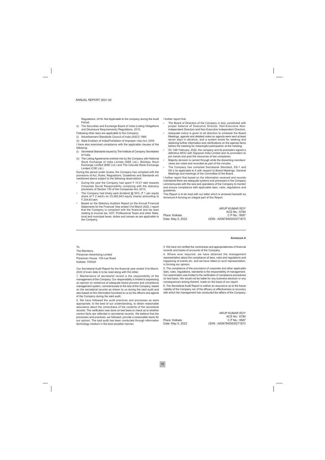Regulations, 2018- Not Applicable to the company during the Audit Period.

- (i) The Securities and Exchange Board of India (Listing Obligations and Disclosure Requirements) Regulations, 2015.
- Following other laws are applicable to the Company:
- (i) Advertisement Standards Council of India (ASCI) 1985
- (ii) State Emblem of India(Prohibition of Improper Use) Act, 2005
- I have also examined compliance with the applicable clauses of the following:
- (i) Secretarial Standards issued by The Institute of Company Secretaries of India
- (ii) The Listing Agreements entered into by the Company with National Stock Exchange of India Limited (NSE Ltd.), Bombay Stock Exchange Limited (BSE Ltd.) and The Calcutta Stock Exchange Limited (CSE Ltd.).

During the period under review, the Company has complied with the provisions of Act. Rules. Regulations. Guidelines and Standards etc. mentioned above subject to the following observations:

- During the year the Company had spent ₹ 15.51 lakh towards Corporate Social Responsibility complying with the statutory provisions of Section 135 of the Companies Act, 2013.
- The Company had timely paid dividend  $@$  50% ( $\bar{t}$  1 per equity share of  $\bar{\tau}$  2 each) on 23,482,843 equity shares amounting to ₹ 234.83 lakh.
- Based on the Statutory Auditors Report on the Annual Financial Statements for the Financial Year ended 31st March 2022, I report that the Company is compliant with the financial and tax laws relating to Income tax, GST, Professional Taxes and other State, local and municipal taxes, duties and cesses as are applicable to the Company.

I further report that

- The Board of Directors of the Company is duly constituted with proper balance of Executive Director, Non-Executive Non-Independent Directors and Non-Executive Independent Directors.
- Adequate notice is given to all directors to schedule the Board Meetings, agenda and detailed notes on agenda were sent at least seven days in advance, and a system exists for seeking and obtaining further information and clarifications on the agenda items before the meeting for meaningful participation at the meeting.
- On 14th February, 2022, the company and its promoters signed a definitive MOU with Signpost India Limited and its promoters to join hands and pool the resources of two companies.
- Majority decision is carried through while the dissenting members' views are noted and recorded as part of the minutes.
- The Company has complied Secretarial Standard, SS-1 and SS-2 as applicable to it with respect to Board Meetings, General Meetings and meetings of the Committee of the Board.

I further report that based on the information received and records maintained there are adequate systems and processes in the Company commensurate with the size and operations of the Company to monitor and ensure compliance with applicable laws, rules, regulations and quidelines.

This Report is to be read with our letter which is annexed herewith as Annexure A forming an integral part of this Report.

Place: Kolkata Date: May 5, 2022

ARUP KUMAR ROY ACS No.: 6784 C P No.: 9597 UDIN: A006784D000271873

#### **Annexure A**

To. The Members Pressman Advertising Limited Pressman House, 10A Lee Road Kolkata- 700020

Our Secretarial Audit Report for the financial year ended 31st March, 2022 of even date is to be read along with this letter.

1. Maintenance of secretarial record is the responsibility of the management of the Company. Our responsibility is limited to expressing an opinion on existence of adequate board process and compliance management system, commensurate to the size of the Company, based on the secretarial records as shown to us during the said audit and also based on the information furnished to us by the officers and agents of the Company during the said audit.

2. We have followed the audit practices and processes as were appropriate, to the best of our understanding, to obtain reasonable assurance about the correctness of the contents of the secretarial records. The verification was done on test basis to check as to whether correct facts are reflected in secretarial records. We believe that the processes and practices, we followed, provide a reasonable basis for our opinion. The said audit has been conducted through information technology medium in the best possible manner.

3. We have not verified the correctness and appropriateness of financial records and books of accounts of the Company.

4. Where ever required, we have obtained the management representation about the compliance of laws, rules and regulations and happening of events etc. and we have relied on such representation, in forming our opinion.

5. The compliance of the provisions of corporate and other applicable laws, rules, regulations, standards is the responsibility of management. Our examination was limited to the verification of compliance procedures on test basis. We would not be liable for any business decision or any consequences arising thereof, made on the basis of our report.

6. The Secretarial Audit Report is neither an assurance as to the future viability of the Company nor of the efficacy or effectiveness or accuracy with which the management has conducted the affairs of the Company.

Place: Kolkata Date: May 5, 2022

ARUP KUMAR ROY ACS No.: 6784 C P No.: 9597 UDIN: A006784D000271873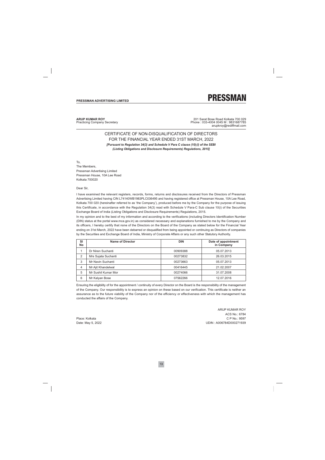

**ARUP KUMAR ROY Practicing Company Secretary** 

201 Sarat Bose Road Kolkata 700 029 Phone: 033-4004 0045 M : 9831687785 arupkroy@rediffmail.com

### CERTIFICATE OF NON-DISOUALIFICATION OF DIRECTORS FOR THE FINANCIAL YEAR ENDED 31ST MARCH, 2022

[Pursuant to Regulation 34(3) and Schedule V Para C clause (10) (i) of the SEBI (Listing Obligations and Disclosure Requirements) Regulations, 2015]

 $T_0$ 

The Members, Pressman Advertising Limited Pressman House, 10A Lee Road Kolkata 700020

Dear Sir.

I have examined the relevant registers, records, forms, returns and disclosures received from the Directors of Pressman Advertising Limited having CIN L74140WB1983PLC036495 and having registered office at Pressman House, 10A Lee Road, Kolkata 700 020 (hereinafter referred to as 'the Company'), produced before me by the Company for the purpose of issuing this Certificate, in accordance with the Regulation 34(3) read with Schedule V Para-C Sub clause 10(i) of the Securities Exchange Board of India (Listing Obligations and Disclosure Requirements) Regulations, 2015.

In my opinion and to the best of my information and according to the verifications (including Directors Identification Number (DIN) status at the portal www.mca.gov.in) as considered necessary and explanations furnished to me by the Company and its officers, I hereby certify that none of the Directors on the Board of the Company as stated below for the Financial Year ending on 31st March, 2022 have been debarred or disqualified from being appointed or continuing as Directors of companies by the Securities and Exchange Board of India, Ministry of Corporate Affairs or any such other Statutory Authority.

| SI<br>No | Name of Director    | <b>DIN</b> | Date of appointment<br>in Company |
|----------|---------------------|------------|-----------------------------------|
|          | Dr Niren Suchanti   | 00909388   | 05.07.2013                        |
| 2        | Mrs Sujata Suchanti | 00273832   | 26.03.2015                        |
| 3        | Mr Navin Suchanti   | 00273663   | 05.07.2013                        |
| 4        | Mr Ajit Khandelwal  | 00416445   | 21.02.2007                        |
| 5        | Mr Sushil Kumar Mor | 00274066   | 31.07.2008                        |
| 6        | Mr Kalyan Bose      | 07562266   | 12.07.2016                        |

Ensuring the eligibility of for the appointment / continuity of every Director on the Board is the responsibility of the management of the Company. Our responsibility is to express an opinion on these based on our verification. This certificate is neither an assurance as to the future viability of the Company nor of the efficiency or effectiveness with which the management has conducted the affairs of the Company.

Place: Kolkata Date: May 5, 2022

ARUP KUMAR ROY ACS No.: 6784 C P No.: 9597 UDIN: A006784D000271939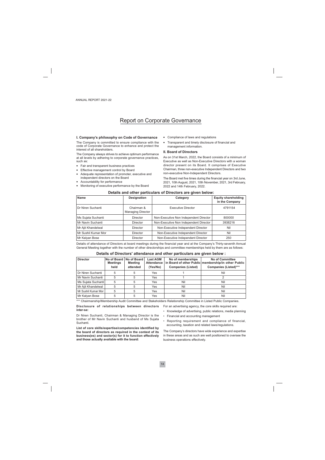## **Report on Corporate Governance**

#### I. Company's philosophy on Code of Governance

The Company is committed to ensure compliance with the code of Corporate Governance to enhance and protect the interest of all shareholders.

The Company always strives to achieve optimum performance at all levels by adhering to corporate governance practices, such as:

- Fair and transparent business practices
- Effective management control by Board
- Adequate representation of promoter, executive and independent directors on the Board
- Accountability for performance
- Monitoring of executive performance by the Board
- Compliance of laws and regulations
- Transparent and timely disclosure of financial and management information.

#### **Il Board of Directors**

As on 31st March, 2022, the Board consists of a minimum of Executive as well as Non-Executive Directors with a woman director present on its Board. It comprises of Executive Chairman, three non-executive Independent Directors and two non-executive Non-Independent Directors.

The Board met five times during the financial year on 3rd June, 2021, 10th August, 2021, 10th November, 2021, 3rd February, 2022 and 14th February, 2022.

#### Details and other particulars of Directors are given below:

| <b>Name</b>         | <b>Designation</b>                     | Category                               | <b>Equity shareholding</b><br>in the Company |
|---------------------|----------------------------------------|----------------------------------------|----------------------------------------------|
| Dr Niren Suchanti   | Chairman &<br><b>Managing Director</b> | <b>Executive Director</b>              | 4791154                                      |
| Ms Sujata Suchanti  | <b>Director</b>                        | Non-Executive Non Independent Director | 800000                                       |
| Mr Navin Suchanti   | Director                               | Non-Executive Non Independent Director | 3938216                                      |
| Mr Ajit Khandelwal  | <b>Director</b>                        | Non-Executive Independent Director     | Nil                                          |
| Mr Sushil Kumar Mor | <b>Director</b>                        | Non-Executive Independent Director     | Nil                                          |
| Mr Kalyan Bose      | <b>Director</b>                        | Non-Executive Independent Director     | 250                                          |

Details of attendance of Directors at board meetings during the financial year and at the Company's Thirty-seventh Annual General Meeting together with the number of other directorships and committee memberships held by them are as follows:

#### Details of Directors' attendance and other particulars are given below :

| <b>Director</b>     | No of Board<br><b>Meetings</b><br>held | No of Board<br><b>Meeting</b><br>attended | <b>Last AGM</b><br><b>Attendance</b><br>(Yes/No) | No of memberships<br><b>Companies (Listed)</b> | <b>No of Committee</b><br>in Board of other Public membership/in other Public<br><b>Companies (Listed)***</b> |
|---------------------|----------------------------------------|-------------------------------------------|--------------------------------------------------|------------------------------------------------|---------------------------------------------------------------------------------------------------------------|
|                     |                                        |                                           |                                                  |                                                |                                                                                                               |
| Dr Niren Suchanti   | 5                                      | 5                                         | Yes                                              |                                                | Nil                                                                                                           |
| Mr Navin Suchanti   | 5                                      | 5                                         | Yes                                              |                                                |                                                                                                               |
| Ms Sujata Suchanti  | 5                                      | 5                                         | Yes                                              | Nil                                            | Nil                                                                                                           |
| Mr Ajit Khandelwal  | 5                                      | 5                                         | Yes                                              | Nil                                            | Nil                                                                                                           |
| Mr Sushil Kumar Mor | 5                                      | 5                                         | Yes                                              | Nil                                            | Nil                                                                                                           |
| Mr Kalyan Bose      | 5                                      | 5                                         | Yes                                              | Nil                                            | Nil                                                                                                           |

\*\*\* Chairmanship/Membership Audit Committee and Stakeholders Relationship Committee in Listed Public Companies.

#### Disclosure of relationships between directors inter-set

Dr Niren Suchanti, Chairman & Managing Director is the brother of Mr Navin Suchanti and husband of Ms Sujata Suchanti

List of core skills/expertise/competencies identified by the board of directors as required in the context of its business(es) and sector(s) for it to function effectively and those actually available with the board:

• Knowledge of advertising, public relations, media planning

For an advertising agency, the core skills required are:

- Financial and accounting management
- Reporting requirement and compliance of financial, accounting, taxation and related laws/regulations.

The Company's directors have wide experience and expertise in these areas and as such are well positioned to oversee the business operations effectively.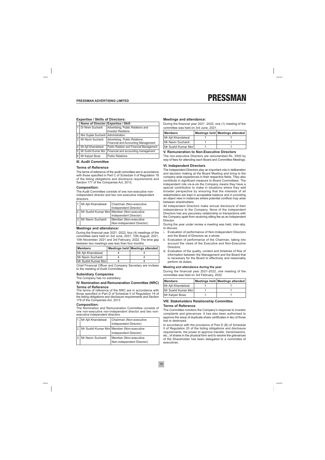#### **Expertise / Skills of Directors:**

|   | Name of Director Expertise / Skill   |                                                                       |
|---|--------------------------------------|-----------------------------------------------------------------------|
|   | Dr Niren Suchanti                    | Advertising, Public Relations and<br><b>Investor Relations</b>        |
| 2 | Mrs Sujata Suchanti   Administration |                                                                       |
| 3 | Mr Navin Suchanti                    | Advertising, Public Relations,<br>Financial and Accounting Management |
| 4 | Mr Ajit Khandelwal                   | Public Relation and Financial Management                              |
| 5 |                                      | Mr Sushil Kumar Mor   Financial and accounting management             |
| 6 | Mr Kalyan Bose                       | <b>Public Relations</b>                                               |

#### **III. Audit Committee**

#### **Terms of Reference**

The terms of reference of the audit committee are in accordance with those specified in Part C of Schedule II of Regulation 18 of the listing obligations and disclosure requirements and Section 177 of the Companies Act, 2013.

#### **Composition:**

The Audit Committee consists of one non-executive nonindependent director and two non-executive independent directors.

| 1. Mr Ajit Khandelwal | Chairman (Non-executive                      |
|-----------------------|----------------------------------------------|
|                       | Independent Director)                        |
|                       | 2. Mr Sushil Kumar Mor Member (Non-executive |
|                       | Independent Director)                        |
| 3. Mr Navin Suchanti  | Member (Non-executive                        |
|                       | Non-independent Director)                    |

#### **Meetings and attendance:**

During the financial year 2021 -2022, four (4) meetings of the committee were held on 3rd June, 2021, 10th August, 2021, 10th November, 2021 and 3rd February, 2022. The time gap between two meetings was less than four months.

| <b>Members</b>       | Meetings held Meetings attended |
|----------------------|---------------------------------|
| Mr Ajit Khandelwal   |                                 |
| Mr Navin Suchanti    |                                 |
| Mr Sushil Kumar Morl |                                 |

Chief Financial Officer and Company Secretary are invitees to the meeting of Audit Committee.

#### **Subsidiary Companies**

The Company has no subsidiary.

#### IV. Nomination and Remuneration Committee (NRC) **Terms of Reference**

The terms of reference of the NRC are in accordance with those specified in Part D of Schedule II of Regulation 19 of the listing obligations and disclosure requirements and Section 178 of the Companies Act, 2013

#### Composition:

The Nomination and Remuneration Committee consists of one non-executive non-independent director and two nonexecutive independent directors.

| 1. Mr Ajit Khandelwal | Chairman (Non-executive                                               |
|-----------------------|-----------------------------------------------------------------------|
|                       | Independent Director)                                                 |
|                       | 2. Mr Sushil Kumar Mor Member (Non-executive<br>Independent Director) |
| 3. Mr Navin Suchanti  | Member (Non-executive<br>Non-independent Director)                    |

#### **Meetings and attendance:**

During the financial year 2021 -2022, one (1) meeting of the committee was held on 3rd June, 2021.

| <b>Members</b>         | Meetings held Meetings attended |
|------------------------|---------------------------------|
| l Mr Ajit Khandelwal   |                                 |
| Mr Navin Suchanti      |                                 |
| l Mr Sushil Kumar Morl |                                 |

#### V. Remuneration to Non-Executive Directors

The non-executive Directors are remunerated Rs. 2500 by way of fees for attending each Board and Committee Meetings.

#### **VI. Independent Directors**

The Independent Directors play an important role in deliberation and decision making at the Board Meeting and bring to the company wide experiences in their respective fields. They also contribute in significant measure to Board Committees. The independent role vis-à-vis the Company means they have a special contribution to make in situations where they add broader perspective by ensuring that the interests of all stakeholders are kept in acceptable balance and in providing an object view in instances where potential conflicts may arise between shareholders.

All independent Directors make annual disclosure of their independence to the Company. None of the Independent Directors has any pecuniary relationship or transactions with the Company apart from receiving sitting fee as an Independent Director

During the year under review a meeting was held, inter-alia, to discuss:

- Evaluation of performance of Non-Independent Directors i. and the Board of Directors as a whole;
- ii. Evaluation of performance of the Chairman, taking into account the views of the Executive and Non-Executive Directors:
- iii. Evaluation of the quality, content and timelines of flow of information between the Management and the Board that is necessary for the Board to effectively and reasonably perform its duties;

#### Meeting and attendance during the year

During the financial year 2021-2022, one meeting of the committee was held on 3rd February, 2022.

| <b>IMembers</b>      | Meetings held Meetings attended |
|----------------------|---------------------------------|
| Mr Ajit Khandelwal   |                                 |
| Mr Sushil Kumar Morl |                                 |
| Mr Kalyan Bose       |                                 |

#### **VIII. Stakeholders Relationship Committee Terms of Reference**

The Committee monitors the Company's response to investor complaints and grievances. It has also been authorised to approve the issue of duplicate share certificates in lieu of those lost or destroved.

In accordance with the provisions of Part D (B) of Schedule II of Regulation 20 of the listing obligations and disclosure requirements, the power to approve transfer, transmissions, etc., of shares in the physical form and to resolve the grievances of the Shareholder has been delegated to a committee of executives.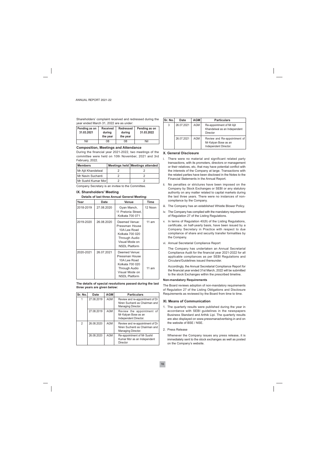| Shareholders' complaint received and redressed during the |  |  |  |
|-----------------------------------------------------------|--|--|--|
| year ended March 31, 2022 are as under:                   |  |  |  |

| Pending as on<br>31.03.2021 | <b>Received</b><br>during<br>the year | <b>Redressed</b><br>during<br>the year | Pending as on<br>31.03.2022 |
|-----------------------------|---------------------------------------|----------------------------------------|-----------------------------|
| Nil                         | 08                                    | 08                                     | Nil                         |

#### **Composition, Meetings and Attendance**

During the financial year 2021-2022, two meetings of the committee were held on 10th November, 2021 and 3rd February, 2022.

| <b>IMembers</b>      | Meetings held Meetings attended |
|----------------------|---------------------------------|
| Mr Ajit Khandelwal   |                                 |
| Mr Navin Suchanti    |                                 |
| Mr Sushil Kumar Morl |                                 |

Company Secretary is an invitee to the Committee.

#### IX. Shareholders' Meeting

#### Details of last three Annual General Meeting:

| Year      | Date       | Venue                                                                                                                                | <b>Time</b> |
|-----------|------------|--------------------------------------------------------------------------------------------------------------------------------------|-------------|
| 2018-2019 | 27.08.2020 | Gyan Manch,<br>11 Pretoria Street,<br>Kolkata 700 071                                                                                | 12 Noon     |
| 2019-2020 | 26.08.2020 | Deemed Venue:<br>Pressman House<br>10A Lee Road<br>Kolkata 700 020<br><b>Through Audio</b><br>Visual Mode on<br><b>NSDL Platform</b> | 11 am       |
| 2020-2021 | 26.07.2021 | Deemed Venue:<br>Pressman House<br>10A Lee Road<br>Kolkata 700 020<br>Through Audio<br>Visual Mode on<br><b>NSDL Platform</b>        | 11 am       |

The details of special resolutions passed during the last three years are given below:

| Sr. No.        | Date       | <b>AGM</b> | <b>Particulars</b>                                                                      |
|----------------|------------|------------|-----------------------------------------------------------------------------------------|
|                | 27.08.2019 | <b>AGM</b> | Review and re-appointment of Dr<br>Niren Suchanti as Chairman and<br>Managing Director. |
|                | 27.08.2019 | <b>AGM</b> | Review the appointment of<br>Mr Kalyan Bose as an<br>Independent Director.              |
| $\mathfrak{p}$ | 26.08.2020 | <b>AGM</b> | Review and re-appointment of Dr<br>Niren Suchanti as Chairman and<br>Managing Director. |
|                | 26.08.2020 | <b>AGM</b> | Re-appointment of Mr Sushil<br>Kumar Mor as an Independent<br>Director                  |

| Sr. No. | Date       | <b>AGM</b> | <b>Particulars</b>                                                            |
|---------|------------|------------|-------------------------------------------------------------------------------|
| 3       | 26.07.2021 | AGM        | Re-appointment of Mr Ajit<br>Khandelwal as an Independent<br>Director         |
|         | 26.07.2021 | AGM        | Review and Re-appointment of<br>Mr Kalyan Bose as an<br>Independent Director. |

#### X. General Disclosure

- There were no material and significant related party transactions, with its promoters, directors or management or their relatives, etc, that may have potential conflict with the interests of the Company at large. Transactions with the related parties have been disclosed in the Notes to the Financial Statements in the Annual Report.
- ii. No penalties or strictures have been imposed on the Company by Stock Exchanges or SEBI or any statutory authority on any matter related to capital markets during the last three years. There were no instances of noncompliance by the Company.
- iii. The Company has an established Whistle Blower Policy.
- iv. The Company has complied with the mandatory requirement of Regulation 27 of the Listing Regulations.
- v. In terms of Regulation 40(9) of the Listing Regulations, certificate, on half-yearly basis, have been issued by a Company Secretary in Practice with respect to due compliance of share and security transfer formalities by the Company.
- vi. Annual Secretarial Compliance Report

The Company has undertaken an Annual Secretarial Compliance Audit for the financial year 2021-2022 for all applicable compliances as per SEBI Regulations and Circulars/Guidelines issued thereunder.

Accordingly, the Annual Secretarial Compliance Report for the financial year ended 31st March, 2022 will be submitted to the stock Exchanges within the prescribed timeline.

#### **Non-mandatory Requirements**

The Board reviews adoption of non-mandatory requirements of Regulation 27 of the Listing Obligations and Disclosure Requirements as reviewed by the Board from time to time.

#### **XI. Means of Communication**

- 1. The quarterly results were published during the year in accordance with SEBI guidelines in the newspapers Business Standard and Arthik Lipi. The quarterly results are also displayed on www.pressmanadvertising.in and on the website of BSE / NSE.
- 2. Press Release

Whenever the Company issues any press release, it is immediately sent to the stock exchanges as well as posted on the Company's website.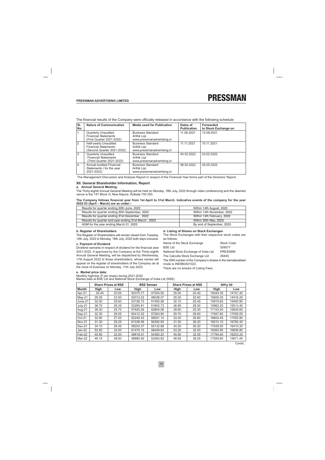The financial results of the Company were officially released in accordance with the following schedule:

| SI.<br>No.     | <b>Nature of Communication</b>                                                         | <b>Media used for Publication</b>                                     | Dates of<br><b>Publication</b> | Forwarded<br>to Stock Exchange on |
|----------------|----------------------------------------------------------------------------------------|-----------------------------------------------------------------------|--------------------------------|-----------------------------------|
|                | <b>Quarterly Unaudited</b><br><b>Financial Statements</b><br>(First Quarter 2021-2022) | <b>Business Standard</b><br>Arthik Lipi<br>www.pressmanadvertising.in | 11.08.2021                     | 10.08.2021                        |
| $\overline{2}$ | Half-yearly Unaudited<br><b>Financial Statements</b><br>(Second Quarter 2021-2022)     | <b>Business Standard</b><br>Arthik Lipi<br>www.pressmanadvertising.in | 11.11.2021                     | 10.11.2021                        |
| 3              | <b>Quarterly Unaudited</b><br><b>Financial Statements</b><br>(Third Quarter 2021-2022) | <b>Business Standard</b><br>Arthik Lipi<br>www.pressmanadvertising.in | 04.02.2022                     | 03.02.2022                        |
| $\overline{4}$ | <b>Annual Audited Financial</b><br>Statements (for the year<br>2021-2022)              | <b>Business Standard</b><br>Arthik Lipi<br>www.pressmanadvertising.in | 06.05.2022                     | 05.05.2022                        |

The Management Discussion and Analysis Report in respect of the Financial Year forms part of the Directors' Report.

#### XII. General Shareholder Information, Report

#### a. Annual General Meeting:

The Thirty-eighth Annual General Meeting will be held on Monday, 18th July, 2022 through video conferencing and the deemed venue is the 147 Block G, New Alipore, Kolkata 700 053.

#### The Company follows financial year from 1st April to 31st March. Indicative events of the company for the year 2022-23 (April - March) are as under:-

| Results for quarter ending 30th June, 2022           | Within 14th August, 2022   |
|------------------------------------------------------|----------------------------|
| Results for quarter ending 30th September, 2022      | Within 14th November, 2022 |
| Results for quarter ending 31st December, 2022       | Within 14th February, 2022 |
| Results for quarter and year ending 31st March, 2023 | Within 30th May, 2023      |
| AGM for the year ending March 31, 2023               | By end of September, 2023  |

#### b. Register of Shareholders

The Register of Shareholders will remain closed from Tuesday, 12th July, 2022 to Monday, 18th July, 2022 both days inclusive.

#### c. Payment of Dividend

Dividend warrants in respect of dividend for the financial year 2021-2022, if approved by the Company at the Thirty-eighth Annual General Meeting, will be dispatched by Wednesday, 17th August 2022 to those shareholders, whose names will appear on the register of shareholders of the Company as at the close of business on Monday, 11th July 2022.

d. Listing of Shares on Stock Exchanges

The Stock Exchanges with their respective stock codes are as follows:

| Name of the Stock Exchange                                                             | <b>Stock Code</b> |
|----------------------------------------------------------------------------------------|-------------------|
| <b>BSE Ltd</b>                                                                         | 509077            |
| National Stock Exchange of India Ltd                                                   | <b>PRESSMN</b>    |
| The Calcutta Stock Exchange Ltd                                                        | 26445             |
| The ISIN number of the Company's shares in the dematerialised<br>mode is INE980A01023. |                   |

There are no arrears of Listing Fees.

#### e. Market price data:

Monthly high/low (₹ per share) during 2021-2022<br>Market data at BSE Ltd and National Stock Exchange of India Ltd (NSE)

|       |       |                            |          | <b>Share Prices at NSE</b> |       | Nifty 50 |          |
|-------|-------|----------------------------|----------|----------------------------|-------|----------|----------|
| High  | Low   | High                       | Low      | High                       | Low   | High     | Low      |
| 25.45 | 20.55 | 50375.77                   | 47204.50 | 25.00                      | 20.40 | 15044.35 | 14151.40 |
| 29.25 | 23.50 | 52013.22                   | 48028.07 | 29.20                      | 22.60 | 15606.35 | 14416.25 |
| 32.00 | 25.60 | 53126.73                   | 51450.58 | 32.15                      | 25.45 | 15915.65 | 15450.90 |
| 36.70 | 28.35 | 53290.81                   | 51802.73 | 36.85                      | 28.50 | 15962.25 | 15513.45 |
| 39.30 | 25.70 | 57625.26                   | 52804.08 | 39.60                      | 25.30 | 17153.50 | 15834.65 |
| 32.35 | 26.55 | 60412.32                   | 57263.90 | 29.70                      | 26.60 | 17947.65 | 17055.05 |
| 32.90 | 27.00 | 62245.43                   | 58551.14 | 33.00                      | 26.80 | 18604.45 | 17452.90 |
| 31.30 | 26.25 | 61036.56                   | 56382.93 | 31.50                      | 26.20 | 18210.15 | 16782.40 |
| 34.10 | 26.45 | 59203.37                   | 55132.68 | 34.20                      | 26.20 | 17639.50 | 16410.20 |
| 53.50 | 32.50 | 61475.15                   | 56409.63 | 53.20                      | 32.20 | 18350.95 | 16836.80 |
| 45.90 | 32.50 | 59618.51                   | 54383.20 | 45.90                      | 32.55 | 17794.60 | 16203.25 |
| 49.15 | 39.50 | 58890.92                   | 52260.82 | 48.95                      | 38.25 | 17559.80 | 15671.45 |
|       |       | <b>Share Prices at BSE</b> |          | <b>BSE Sensex</b>          |       |          |          |

Contd...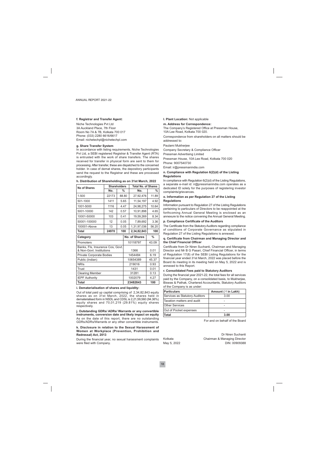#### f. Registrar and Transfer Agent:

Niche Technologies Pvt Ltd 3A Auckland Place, 7th Floor Room No 7A & 7B, Kolkata 700 017 Phone: (033) 2280 6616/6617 Email: nichetechpl@nichetechpl.com

#### g. Share Transfer System

In accordance with listing requirements, Niche Technologies Pvt Ltd, a SEBI registered Registrar & Transfer Agent (RTA) is entrusted with the work of share transfers. The shares received for transfer in physical form are sent to them for processing. After transfer, these are dispatched to the concerned holder. In case of demat shares, the depository participants send the request to the Registrar and these are processed accordingly.

|  |  | h. Distribution of Shareholding as on 31st March, 2022 |  |  |  |  |
|--|--|--------------------------------------------------------|--|--|--|--|
|--|--|--------------------------------------------------------|--|--|--|--|

| No of Shares                                                 | <b>Shareholders</b> |   |                    | <b>Total No. of Shares</b> |               |  |
|--------------------------------------------------------------|---------------------|---|--------------------|----------------------------|---------------|--|
|                                                              | No.                 | % |                    | Nο.                        | %             |  |
| 1-500                                                        | 22173               |   | 88.80              | 27,92,476                  | 11.89         |  |
| 501-1000                                                     | 1411                |   | 5.65               | 11,54,197                  | 4.92          |  |
| 1001-5000                                                    | 1116                |   | 4.47               | 24,98,275                  | 10.64         |  |
| 5001-10000                                                   | 142                 |   | 0.57               | 10,91,898                  | 4.65          |  |
| 10001-50000                                                  | 103                 |   | 0.41               | 19,59,269                  | 8.34          |  |
| 50001-100000                                                 | 12                  |   | 0.05               | 7,89,692                   | 3.36          |  |
| 100001-Above                                                 | 13                  |   | 0.05               | 1,31,97,036                | 56.20         |  |
| <b>Total</b>                                                 | 24970               |   | 100<br>2,34,82,843 |                            | 100           |  |
| Category                                                     |                     |   | No. of Shares      |                            | $\frac{0}{0}$ |  |
| Promoters                                                    |                     |   | 10118797           |                            | 43.09         |  |
| Banks, Fls, Insurance Cos, Govt.<br>& Non-Govt. Institutions |                     |   | 1366               |                            | 0.01          |  |
| Private Corporate Bodies                                     |                     |   | 1454484            |                            | 6.19          |  |
| Public (Indian)                                              |                     |   | 10654389           |                            | 45.37         |  |
| <b>NRIs</b>                                                  |                     |   | 219016             |                            | 0.93          |  |
| Trust                                                        |                     |   | 1431               |                            | 0.01          |  |
| <b>Clearing Member</b>                                       |                     |   | 31281              |                            | 0.13          |  |
| <b>IEPF Authority</b>                                        |                     |   |                    | 1002079                    | 4.27          |  |
| <b>Total</b>                                                 |                     |   |                    | 23482843                   | 100           |  |

#### i. Dematerialisation of shares and liquidity:

Out of total paid up capital comprising of 2,34,82,843 equity shares as on 31st March, 2022, the shares held in dematerialised form in NSDL and CDSL is 2,21,59,560 (94.36%) equity shares and 70,01,219 (29.81%) equity shares respectively.

j. Outstanding GDRs/ ADRs/ Warrants or any convertible instruments, conversion date and likely impact on equity As on the date of this report, there are no outstanding GDRs/ADRs/Warrants or any other convertible instruments.

#### k. Disclosure in relation to the Sexual Harassment of Women at Workplace (Prevention, Prohibition and Redressal) Act. 2013

During the financial year, no sexual harassment complaints were filed with Company.

#### I. Plant Location: Not applicable

#### m. Address for Correspondence:

The Company's Registered Office at Pressman House, 10A Lee Road, Kolkata 700 020.

Correspondence from shareholders on all matters should be addressed to:

Paulami Mukherjee

Company Secretary & Compliance Officer

Pressman Advertising Limited

Pressman House, 10A Lee Road, Kolkata 700 020 Phone: 9007540730

Email: ir@pressmanindia.com

#### n. Compliance with Regulation 6(2)(d) of the Listing **Regulations**

In compliance with Regulation 6(2)(d) of the Listing Regulations. a separate e-mail id: ir@pressmanindia.com operates as a dedicated ID solely for the purposes of registering investor complaints/grievances.

#### o. Information as per Regulation 27 of the Listing **Regulations**

Information pursuant to Regulation 27 of the Listing Regulations pertaining to particulars of Directors to be reappointed at the forthcoming Annual General Meeting is enclosed as an annexure to the notice convening the Annual General Meeting.

#### p. Compliance Certificate of the Auditors

The Certificate from the Statutory Auditors regarding compliance of conditions of Corporate Governance as stipulated in Regulation 27 of the Listing Regulations is annexed.

#### q. Certificate from Chairman and Managing Director and the Chief Financial Officer

Certificate from Dr Niren Suchanti, Chairman and Managing Director and Mr B G Pasari, Chief Financial Officer, in terms of Regulation 17(8) of the SEBI Listing Regulations for the financial year ended 31st March, 2022 was placed before the Board its meeting in its meeting held on May 5, 2022 and is annexed to this Report.

#### r. Consolidated Fees paid to Statutory Auditors

During the financial year 2021-22, the total fees for all services paid by the Company, on a consolidated basis, to Mukherjee, Biswas & Pathak, Chartered Accountants, Statutory Auditors of the Company is as under:

| Particulars                    | Amount ( $\bar{\tau}$ in Lakh) |
|--------------------------------|--------------------------------|
| Services as Statutory Auditors | 3.00                           |
| Taxation matters and audit     |                                |
| <b>Other Services</b>          |                                |
| Out of Pocket expenses         |                                |
| <b>Total</b>                   | 3.00                           |

For and on behalf of the Board

Kolkata May 5, 2022

Dr Niren Suchanti Chairman & Managing Director DIN: 00909388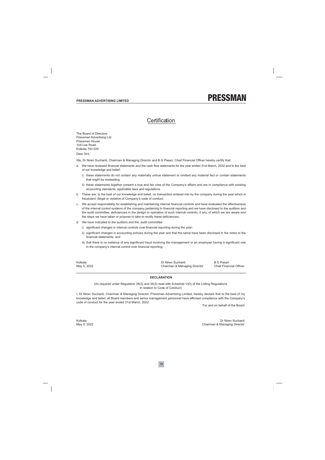### Certification

The Board of Directors Pressman Advertising Ltd Pressman House 10A Lee Road Kolkata 700 020

Dear Sirs,

We, Dr Niren Suchanti, Chairman & Managing Director and B G Pasari, Chief Financial Officer hereby certify that:

- a. We have reviewed financial statements and the cash flow statements for the year ended 31st March, 2022 and to the best of our knowledge and belief:
	- i) these statements do not contain any materially untrue statement or omitted any material fact or contain statements that might be misleading.
	- ii) these statements together present a true and fair view of the Company's affairs and are in compliance with existing accounting standards, applicable laws and regulations.
- b. These are, to the best of our knowledge and belief, no transaction entered into by the company during the year which is fraudulent, illegal or violative of Company's code of conduct.
- c. We accept responsibility for establishing and maintaining internal financial controls and have evaluated the effectiveness of the internal control systems of the company pertaining to financial reporting and we have disclosed to the auditors and the audit committee, deficiencies in the design or operation of such internal controls, if any, of which we are aware and the steps we have taken or propose to take to rectify these deficiencies.
- d. We have indicated to the auditors and the audit committee:
	- i) significant changes in internal controls over financial reporting during the year;
	- ii) significant changes in accounting policies during the year and that the same have been disclosed in the notes to the financial statements: and
	- iii) that there is no instance of any significant fraud involving the management or an employee having a significant role in the company's internal control over financial reporting.

Kolkata May 5, 2022 Dr Niren Suchanti Chairman & Managing Director **B G Pasari Chief Financial Officer** 

#### **DECLARATION**

(As required under Regulation 26(3) and 34(3) read with Schedule V(D) of the Listing Regulations in relation to Code of Conduct)

I, Dr Niren Suchanti, Chairman & Managing Director, Pressman Advertising Limited, hereby declare that to the best of my knowledge and belief, all Board members and senior management personnel have affirmed compliance with the Company's code of conduct for the year ended 31st March, 2022.

For and on behalf of the Board

Kolkata May 5, 2022

Dr Niren Suchanti Chairman & Managing Director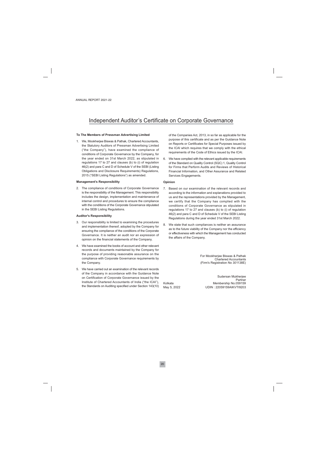## Independent Auditor's Certificate on Corporate Governance

#### To The Members of Pressman Advertising Limited

1. We, Mookherjee Biswas & Pathak, Chartered Accountants, the Statutory Auditors of Pressman Advertising Limited ("the Company"), have examined the compliance of conditions of Corporate Governance by the Company, for the year ended on 31st March 2022, as stipulated in regulations 17 to 27 and clauses (b) to (i) of regulation 46(2) and para C and D of Schedule V of the SEBI (Listing Obligations and Disclosure Requirements) Regulations, 2015 ("SEBI Listing Regulations") as amended.

#### **Management's Responsibility**

2. The compliance of conditions of Corporate Governance is the responsibility of the Management. This responsibility includes the design, implementation and maintenance of internal control and procedures to ensure the compliance with the conditions of the Corporate Governance stipulated in the SEBI Listing Regulations.

#### **Auditor's Responsibility**

- 3. Our responsibility is limited to examining the procedures and implementation thereof, adopted by the Company for ensuring the compliance of the conditions of the Corporate Governance. It is neither an audit nor an expression of opinion on the financial statements of the Company.
- 4. We have examined the books of account and other relevant records and documents maintained by the Company for the purpose of providing reasonable assurance on the compliance with Corporate Governance requirements by the Company
- 5. We have carried out an examination of the relevant records of the Company in accordance with the Guidance Note on Certification of Corporate Governance issued by the Institute of Chartered Accountants of India ("the ICAI"), the Standards on Auditing specified under Section 143(10)

of the Companies Act, 2013, in so far as applicable for the purpose of this certificate and as per the Guidance Note on Reports or Certificates for Special Purposes issued by the ICAI which requires that we comply with the ethical requirements of the Code of Ethics issued by the ICAI.

6. We have complied with the relevant applicable requirements of the Standard on Quality Control (SQC) 1, Quality Control for Firms that Perform Audits and Reviews of Historical Financial Information, and Other Assurance and Related Services Engagements.

#### Opinion

- 7. Based on our examination of the relevant records and according to the information and explanations provided to us and the representations provided by the Management, we certify that the Company has complied with the conditions of Corporate Governance as stipulated in regulations 17 to 27 and clauses (b) to (i) of regulation 46(2) and para C and D of Schedule V of the SEBI Listing Regulations during the year ended 31st March 2022.
- 8. We state that such compliances is neither an assurance as to the future viability of the Company nor the efficiency or effectiveness with which the Management has conducted the affairs of the Company.

For Mookherjee Biswas & Pathak Chartered Accountants (Firm's Registration No 301138E)

Kolkata May 5, 2022

Sudersan Mukheriee Partner Membership No.059159 UDIN: 22059159AIKVTI9203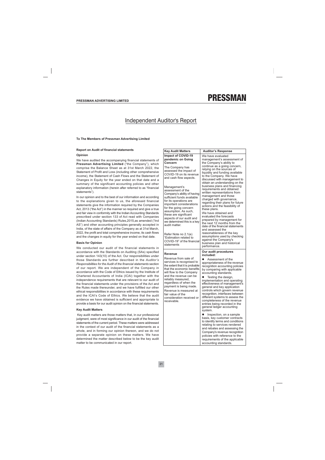## **Independent Auditor's Report**

#### To The Members of Pressman Advertising Limited

#### **Report on Audit of financial statements**

#### Opinion

We have audited the accompanying financial statements of Pressman Advertising Limited ("the Company"), which comprise the Balance Sheet as at 31st March 2022, the Statement of Profit and Loss (including other comprehensive income), the Statement of Cash Flows and the Statement of Changes in Equity for the year ended on that date and a summary of the significant accounting policies and other explanatory information (herein after referred to as "financial statements").

In our opinion and to the best of our information and according to the explanations given to us, the aforesaid financial statements give the information required by the Companies Act, 2013 ("the Act") in the manner so required and give a true and fair view in conformity with the Indian Accounting Standards prescribed under section 133 of Act read with Companies (Indian Accounting Standards) Rules, 2015, as amended ("Ind AS") and other accounting principles generally accepted in India, of the state of affairs of the Company as at 31st March, 2022, the profit and total comprehensive income, its cash flows and the changes in equity for the year ended on that date.

#### **Basis for Opinion**

We conducted our audit of the financial statements in accordance with the Standards on Auditing (SAs) specified under section 143(10) of the Act. Our responsibilities under those Standards are further described in the Auditor's Responsibilities for the Audit of the financial statements section of our report. We are independent of the Company in accordance with the Code of Ethics issued by the Institute of Chartered Accountants of India (ICAI) together with the independence requirements that are relevant to our audit of the financial statements under the provisions of the Act and the Rules made thereunder, and we have fulfilled our other ethical responsibilities in accordance with these requirements and the ICAI's Code of Ethics. We believe that the audit evidence we have obtained is sufficient and appropriate to provide a basis for our audit opinion on the financial statements.

#### **Key Audit Matters**

Key audit matters are those matters that, in our professional judgment, were of most significance in our audit of the financial statements of the current period. These matters were addressed in the context of our audit of the financial statements as a whole, and in forming our opinion thereon, and we do not provide a separate opinion on these matters. We have determined the matter described below to be the key audit matter to be communicated in our report.

| <b>Key Audit Matters</b>                                                                                                                                                                                                                                                                                                                                                                                                                                                                                                                                                | <b>Auditor's Response</b>                                                                                                                                                                                                                                                                                                                                                                                                                                                                                                                                                                                                                                                                                                                                                                                                     |
|-------------------------------------------------------------------------------------------------------------------------------------------------------------------------------------------------------------------------------------------------------------------------------------------------------------------------------------------------------------------------------------------------------------------------------------------------------------------------------------------------------------------------------------------------------------------------|-------------------------------------------------------------------------------------------------------------------------------------------------------------------------------------------------------------------------------------------------------------------------------------------------------------------------------------------------------------------------------------------------------------------------------------------------------------------------------------------------------------------------------------------------------------------------------------------------------------------------------------------------------------------------------------------------------------------------------------------------------------------------------------------------------------------------------|
| <b>Impact of COVID-19</b><br>pandemic on Going<br>Concern<br>The Company has<br>assessed the impact of<br>COVID-19 on its revenue<br>and cash flow aspects.<br>Management's<br>assessment of the<br>Company's ability of having<br>sufficient funds available<br>for its operations are<br>important considerations<br>for the going concern<br>assumption. As such,<br>these are significant<br>aspects of our audit and<br>we determined this is a key<br>audit matter.<br>Refer Note no 2.1(e)<br>"Estimation related to<br>COVID-19" of the financial<br>statements | We have evaluated<br>management's assessment of<br>the Company's ability to<br>continue as a going concern,<br>relying on the sources of<br>liquidity and funding available<br>to the Company. We have<br>discussed with management to<br>obtain an understanding on the<br>business plans and financing<br>requirements and obtained<br>written representations from<br>management and those<br>charged with governance,<br>regarding their plans for future<br>actions and the feasibility of<br>these plans.<br>We have obtained and<br>evaluated the forecasts<br>prepared by management for<br>the next 12 months from the<br>date of the financial statements<br>and assessed the<br>reasonableness of the key<br>assumptions used by checking<br>against the Company's<br>business plan and historical<br>performance. |
| Revenue<br>Revenue from sale of<br>services is recognised to<br>the extent that it is probable<br>that the economic benefits<br>will flow to the Company<br>and the revenue can be<br>reliably measured,<br>regardless of when the<br>payment is being made.<br>Revenue is measured at<br>fair value of the<br>consideration received or<br>receivable.                                                                                                                                                                                                                 | Our audit procedures<br>included:<br>Assessment of the<br>appropriateness of the revenue<br>recognition accounting policies<br>by comparing with applicable<br>accounting standards.<br>Testing the design,<br>implementation and operating<br>effectiveness of management's<br>general and key application<br>controls which govern revenue<br>recognition, interfaces between<br>different systems to assess the<br>completeness of the revenue<br>entries being recorded in the<br>general ledger accounting<br>system.<br>Inspection, on a sample<br>basis, key customer contracts<br>to identify terms and conditions<br>relating to services rendered<br>and rebates and assessing the<br>Company's revenue recognition<br>policies with reference to the<br>requirements of the applicable<br>accounting standards.    |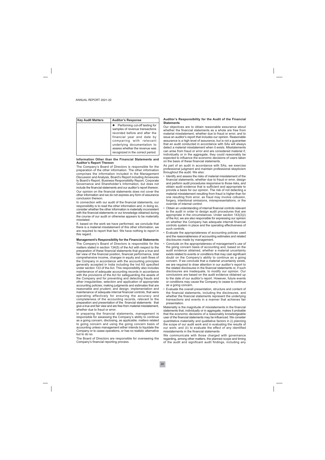| <b>Key Audit Matters</b> | <b>Auditor's Response</b>                                                                                                                                                                                                                                           |
|--------------------------|---------------------------------------------------------------------------------------------------------------------------------------------------------------------------------------------------------------------------------------------------------------------|
|                          | • Performing cut-off testing for<br>samples of revenue transactions<br>recorded before and after the<br>financial year end date by<br>comparing with relevant<br>underlying documentation to<br>assess whether the revenue was<br>recognized in the correct period. |

#### Information Other than the Financial Statements and **Auditor's Report Thereon**

The Company's Board of Directors is responsible for the preparation of the other information. The other information comprises the information included in the Management Discussion and Analysis, Board's Report including Annexures to Board's Report, Business Responsibility Report, Corporate Governance and Shareholder's Information, but does not include the financial statements and our auditor's report thereon.

Our opinion on the financial statements does not cover the other information and we do not express any form of assurance conclusion thereon.

In connection with our audit of the financial statements, our responsibility is to read the other information and, in doing so, consider whether the other information is materially inconsistent with the financial statements or our knowledge obtained during the course of our audit or otherwise appears to be materially misstated

If, based on the work we have performed, we conclude that there is a material misstatement of this other information, we are required to report that fact. We have nothing to report in this regard.

#### Management's Responsibility for the Financial Statements

The Company's Board of Directors is responsible for the matters stated in section 134(5) of the Act with respect to the preparation of these financial statements that give a true and fair view of the financial position, financial performance, total comprehensive income, changes in equity and cash flows of the Company in accordance with the accounting principles generally accepted in India including the Ind AS specified under section 133 of the Act. This responsibility also includes maintenance of adequate accounting records in accordance with the provisions of the Act for safeguarding the assets of the Company and for preventing and detecting frauds and other irregularities; selection and application of appropriate accounting policies; making judgments and estimates that are reasonable and prudent; and design, implementation and maintenance of adequate internal financial controls, that were operating effectively for ensuring the accuracy and completeness of the accounting records, relevant to the preparation and presentation of the financial statements that give a true and fair view and are free from material misstatement, whether due to fraud or error.

In preparing the financial statements, management is responsible for assessing the Company's ability to continue as a going concern, disclosing, as applicable, matters related to going concern and using the going concern basis of accounting unless management either intends to liquidate the Company or to cease operations, or has no realistic alternative but to do so.

The Board of Directors are responsible for overseeing the Company's financial reporting process.

#### Auditor's Responsibility for the Audit of the Financial **Statements**

Our objectives are to obtain reasonable assurance about whether the financial statements as a whole are free from material misstatement, whether due to fraud or error, and to issue an auditor's report that includes our opinion. Reasonable assurance is a high level of assurance, but is not a guarantee that an audit conducted in accordance with SAs will always detect a material misstatement when it exists. Misstatements can arise from fraud or error and are considered material if, individually or in the aggregate, they could reasonably be expected to influence the economic decisions of users taken on the basis of these financial statements.

As part of an audit in accordance with SAs, we exercise professional judgment and maintain professional skepticism throughout the audit. We also:

- · Identify and assess the risks of material misstatement of the financial statements, whether due to fraud or error, design and perform audit procedures responsive to those risks, and obtain audit evidence that is sufficient and appropriate to provide a basis for our opinion. The risk of not detecting a material misstatement resulting from fraud is higher than for one resulting from error, as fraud may involve collusion, forgery, intentional omissions, misrepresentations, or the override of internal control.
- Obtain an understanding of internal financial controls relevant to the audit in order to design audit procedures that are appropriate in the circumstances. Under section 143(3)(i) of the Act, we are also responsible for expressing our opinion on whether the Company has adequate internal financial controls system in place and the operating effectiveness of such controls.
- Evaluate the appropriateness of accounting policies used and the reasonableness of accounting estimates and related disclosures made by management.
- Conclude on the appropriateness of management's use of the going concern basis of accounting and, based on the audit evidence obtained, whether a material uncertainty exists related to events or conditions that may cast significant doubt on the Company's ability to continue as a going concern. If we conclude that a material uncertainty exists, we are required to draw attention in our auditor's report to the related disclosures in the financial statements or, if such disclosures are inadequate, to modify our opinion. Our conclusions are based on the audit evidence obtained up to the date of our auditor's report. However, future events or conditions may cause the Company to cease to continue as a going concern.
- Evaluate the overall presentation, structure and content of the financial statements, including the disclosures, and whether the financial statements represent the underlying transactions and events in a manner that achieves fair presentation.

Materiality is the magnitude of misstatements in the financial statements that, individually or in aggregate, makes it probable that the economic decisions of a reasonably knowledgeable user of the financial statements may be influenced. We consider quantitative materiality and qualitative factors in (i) planning the scope of our audit work and in evaluating the results of our work; and (ii) to evaluate the effect of any identified misstatements in the financial statements

We communicate with those charged with governance regarding, among other matters, the planned scope and timing of the audit and significant audit findings, including any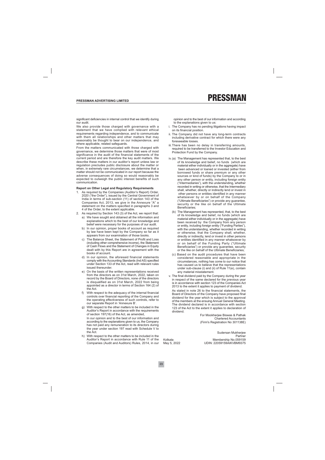significant deficiencies in internal control that we identify during  $O(1)$  and  $\frac{1}{2}$ 

We also provide those charged with governance with a statement that we have complied with relevant ethical requirements regarding independence, and to communicate with them all relationships and other matters that may reasonably be thought to bear on our independence, and where applicable, related safeguards.

From the matters communicated with those charged with governance, we determine those matters that were of most significance in the audit of the financial statements of the current period and are therefore the key audit matters. We describe these matters in our auditor's report unless law or regulation precludes public disclosure about the matter or when, in extremely rare circumstances, we determine that a matter should not be communicated in our report because the adverse consequences of doing so would reasonably be expected to outweigh the public interest benefits of such communication.

#### Report on Other Legal and Regulatory Requirements

- 1. As required by the Companies (Auditor's Report) Order, 2020 ("the Order"), issued by the Central Government of India in terms of sub-section (11) of section 143 of the Companies Act, 2013, we give in the Annexure "A" a statement on the matters specified in paragraphs 3 and 4 of the Order, to the extent applicable.
- 2. As required by Section 143 (3) of the Act, we report that:
	- a) We have sought and obtained all the information and explanations which to the best of our knowledge and belief were necessary for the purposes of our audit.
	- b) In our opinion, proper books of account as required by law have been kept by the Company so far as it appears from our examination of those books.
	- c) The Balance Sheet, the Statement of Profit and Loss (including other comprehensive income), the Statement of Cash Flows and the Statement of Changes in Equity dealt with by this Report are in agreement with the books of account.
	- d) In our opinion, the aforesaid financial statements comply with the Accounting Standards (Ind AS) specified under Section 133 of the Act, read with relevant rules issued thereunder.
	- e) On the basis of the written representations received from the directors as on 31st March, 2022, taken on record by the Board of Directors, none of the directors is disqualified as on 31st March, 2022 from being appointed as a director in terms of Section 164 (2) of the Act.
	- f) With respect to the adequacy of the internal financial controls over financial reporting of the Company and the operating effectiveness of such controls, refer to our separate Report in 'Annexure B'.
	- q) With respect to the other matters to be included in the Auditor's Report in accordance with the requirements of section 197(16) of the Act, as amended, In our opinion and to the best of our information and according to the explanations given to us, the Company has not paid any remuneration to its directors during the year under section 197 read with Schedule V to the Act.
	- h) With respect to the other matters to be included in the Auditor's Report in accordance with Rule 11 of the Companies (Audit and Auditors) Rules, 2014, in our

opinion and to the best of our information and according to the explanations given to us:

- i. The Company has no pending litigations having impact on its financial position.
- ii. The Company did not have any long-term contracts including derivative contract for which there were any foreseeable losses
- iii. There has been no delay in transferring amounts, required to be transferred to the Investor Education and Protection Fund by the Company.
- iv. (a) The Management has represented that, to the best of its knowledge and belief, no funds (which are material either individually or in the aggregate) have been advanced or loaned or invested (either from borrowed funds or share premium or any other sources or kind of funds) by the Company to or in any other person or entity, including foreign entity ("Intermediaries"), with the understanding, whether recorded in writing or otherwise, that the Intermediary shall, whether, directly or indirectly lend or invest in other persons or entities identified in any manner whatsoever by or on behalf of the Company ("Ultimate Beneficiaries") or provide any guarantee, security or the like on behalf of the Ultimate Beneficiaries:
	- (b) The Management has represented, that, to the best of its knowledge and belief, no funds (which are material either individually or in the aggregate) have been received by the Company from any person or entity, including foreign entity ("Funding Parties"), with the understanding, whether recorded in writing or otherwise, that the Company shall, whether, directly or indirectly, lend or invest in other persons or entities identified in any manner whatsoever by or on behalf of the Funding Party ("Ultimate Beneficiaries") or provide any guarantee, security or the like on behalf of the Ultimate Beneficiaries:
	- (c) Based on the audit procedures that have been considered reasonable and appropriate in the circumstances, nothing has come to our notice that has caused us to believe that the representations under sub-clause (i) and (ii) of Rule 11(e), contain any material misstatement.
- v. The final dividend paid by the Company during the year in respect of the same declared for the previous year is in accordance with section 123 of the Companies Act 2013 to the extent it applies to payment of dividend.

As stated in note 26 to the financial statements, the Board of Directors of the Company have proposed final dividend for the year which is subject to the approval of the members at the ensuing Annual General Meeting. The dividend declared is in accordance with section 123 of the Act to the extent it applies to declaration of dividend.

> For Mookherjee Biswas & Pathak **Chartered Accountants** (Firm's Registration No 301138E)

Kolkata May 5, 2022

Sudersan Mukherjee Partner Membership No.059159 UDIN: 22059159AIKVBM9375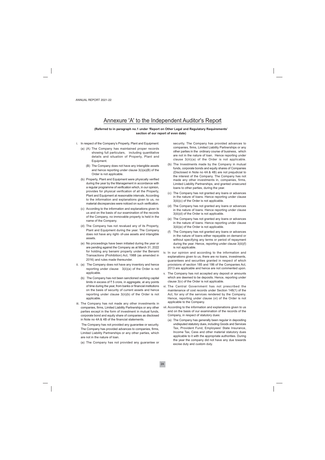### Annexure 'A' to the Independent Auditor's Report

#### (Referred to in paragraph no.1 under 'Report on Other Legal and Regulatory Requirements' section of our report of even date)

- i. In respect of the Company's Property, Plant and Equipment:
	- (a) (A) The Company has maintained proper records showing full particulars, including quantitative details and situation of Property, Plant and Equipment.
		- (B) The Company does not have any intangible assets and hence reporting under clause  $3(i)(a)(B)$  of the Order is not applicable.
	- (b) Property, Plant and Equipment were physically verified during the year by the Management in accordance with a regular programme of verification which, in our opinion, provides for physical verification of all the Property, Plant and Equipment at reasonable intervals. According to the information and explanations given to us, no material discrepancies were noticed on such verification.
	- (c) According to the information and explanations given to us and on the basis of our examination of the records of the Company, no immovable property is held in the name of the Company.
	- (d) The Company has not revalued any of its Property, Plant and Equipment during the year. The Company does not have any right- of-use assets and intangible assets.
	- (e) No proceedings have been initiated during the year or are pending against the Company as at March 31, 2022 for holding any benami property under the Benami Transactions (Prohibition) Act, 1988 (as amended in 2016) and rules made thereunder.
- ii. (a) The Company does not have any inventory and hence reporting under clause 3(ii)(a) of the Order is not applicable.
	- (b) The Company has not been sanctioned working capital limits in excess of ₹5 crore, in aggregate, at any points of time during the year, from banks or financial institutions on the basis of security of current assets and hence reporting under clause 3(ii)(b) of the Order is not applicable.
- iii. The Company has not made any other investments in companies, firms, Limited Liability Partnerships or any other parties except in the form of investment in mutual funds, corporate bond and equity share of companies as disclosed in Note no 4A & 4B of the financial statements.

The Company has not provided any guarantee or security. The Company has provided advances to companies, firms, Limited Liability Partnerships or any other parties, which are not in the nature of loan.

(a) The Company has not provided any guarantee or

security. The Company has provided advances to companies, firms, Limited Liability Partnerships or any other parties in the ordinary course of business, which are not in the nature of loan. Hence reporting under clause 3(iii)(a) of the Order is not applicable.

- (b) The Investments made by the Company in mutual funds, corporate bonds and equity shares of Companies (Disclosed in Note no 4A & 4B) are not prejudicial to the interest of the Company. The Company has not made any other investments in, companies, firms, Limited Liability Partnerships, and granted unsecured loans to other parties, during the year.
- (c) The Company has not granted any loans or advances in the nature of loans. Hence reporting under clause 3(iii)(c) of the Order is not applicable.
- (d) The Company has not granted any loans or advances in the nature of loans. Hence reporting under clause 3(iii)(d) of the Order is not applicable.
- (e) The Company has not granted any loans or advances in the nature of loans. Hence reporting under clause 3(iii)(e) of the Order is not applicable.
- (f) The Company has not granted any loans or advances in the nature of loans either repayable on demand or without specifying any terms or period of repayment during the year. Hence, reporting under clause 3(iii)(f) is not applicable.
- iv. In our opinion and according to the information and explanations given to us, there are no loans, investments, guarantees and securities granted in respect of which provisions of section 185 and 186 of the Companies Act, 2013 are applicable and hence are not commented upon.
- v. The Company has not accepted any deposit or amounts which are deemed to be deposits. Hence, reporting under clause 3(v) of the Order is not applicable.
- vi. The Central Government has not prescribed the maintenance of cost records under Section 148(1) of the Act, for any of the services rendered by the Company. Hence, reporting under clause (vi) of the Order is not applicable to the Company.
- vii. According to the information and explanations given to us and on the basis of our examination of the records of the Company, in respect of statutory dues:
	- (a) The Company has generally been regular in depositing undisputed statutory dues, including Goods and Services Tax, Provident Fund, Employees' State Insurance, Income Tax, Cess and other material statutory dues applicable to it with the appropriate authorities. During the year the company did not have any due towards excise duty and custom duty.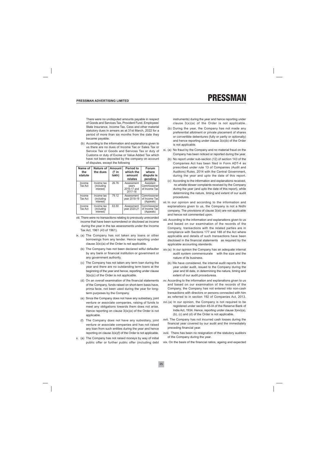There were no undisputed amounts pavable in respect of Goods and Services Tax, Provident Fund, Employees' State Insurance, Income Tax, Cess and other material statutory dues in arrears as at 31st March, 2022 for a period of more than six months from the date they became payable.

(b) According to the information and explanations given to us there are no dues of Income Tax or Sales Tax or Service Tax or Goods and Services Tax or duty of Customs or duty of Excise or Value Added Tax which have not been deposited by the company on account of disputes, except the following

| Name of<br>the<br>statute | Nature of<br>the dues                 | Amount<br>(₹ in<br>lakh) | Period to<br>which the<br>amount<br>relates   | Forum<br>where<br>dispute is<br>pending    |
|---------------------------|---------------------------------------|--------------------------|-----------------------------------------------|--------------------------------------------|
| Income<br><b>Tax Act</b>  | Income tax<br>(including<br>interest) | 26.76                    | Assessment<br>years<br>2016-17 and<br>2017-18 | Assistant<br>Commissioner<br>of Income Tax |
| Income<br><b>Tax Act</b>  | Income tax<br>(including<br>interest) | 79.12                    | Assessment<br>vear 2018-19                    | Commissioner<br>of Income Tax<br>(Appeals) |
| Income<br><b>Tax Act</b>  | Income tax<br>(including<br>interest) | 63.50                    | Assessment<br>vear 2020-21                    | Commissioner<br>of Income Tax<br>(Appeals) |

- viii. There were no transactions relating to previously unrecorded income that have been surrendered or disclosed as income during the year in the tax assessments under the Income Tax Act, 1961 (43 of 1961).
- ix. (a) The Company has not taken any loans or other borrowings from any lender. Hence reporting under clause 3(ix)(a) of the Order is not applicable.
	- (b) The Company has not been declared wilful defaulter by any bank or financial institution or government or any government authority.
	- (c) The Company has not taken any term loan during the year and there are no outstanding term loans at the beginning of the year and hence, reporting under clause 3(ix)(c) of the Order is not applicable.
	- (d) On an overall examination of the financial statements of the Company, funds raised on short-term basis have, prima facie, not been used during the year for longterm purposes by the Company.
	- (e) Since the Company does not have any subsidiary, joint venture or associate companies, raising of funds to meet any obligations towards them does not arise. Hence reporting on clause 3(ix)(e) of the Order is not applicable.
	- (f) The Company does not have any subsidiary, joint venture or associate companies and has not raised any loan from such entities during the year and hence reporting on clause 3(ix)(f) of the Order is not applicable.
- x. (a) The Company has not raised moneys by way of initial public offer or further public offer (including debt

instruments) during the year and hence reporting under clause  $3(x)(a)$  of the Order is not applicable.

- (b) During the year, the Company has not made any preferential allotment or private placement of shares or convertible debentures (fully or partly or optionally) and hence reporting under clause  $3(x)(b)$  of the Order is not applicable.
- xi. (a) No fraud by the Company and no material fraud on the Company has been noticed or reported during the year.
	- (b) No report under sub-section (12) of section 143 of the Companies Act has been filed in Form ADT-4 as prescribed under rule 13 of Companies (Audit and Auditors) Rules, 2014 with the Central Government, during the year and upto the date of this report.
	- (c) According to the information and explanations received, no whistle blower complaints received by the Company during the year (and upto the date of this report), while determining the nature, timing and extent of our audit procedures
- xii. In our opinion and according to the information and explanations given to us, the Company is not a Nidhi company. The provisions of clause 3(xii) are not applicable and hence not commented upon.
- xiii. According to the information and explanations given to us and based on our examination of the records of the Company, transactions with the related parties are in compliance with Sections 177 and 188 of the Act where applicable and details of such transactions have been disclosed in the financial statements as required by the applicable accounting standards.
- xiv.(a) In our opinion the Company has an adequate internal audit system commensurate with the size and the nature of its business.
	- (b) We have considered, the internal audit reports for the year under audit, issued to the Company during the year and till date, in determining the nature, timing and extent of our audit proceduresa.
- xv. According to the information and explanations given to us and based on our examination of the records of the Company, the Company has not entered into non-cash transactions with directors or persons connected with him as referred to in section 192 of Companies Act, 2013.
- xvi.(a) In our opinion, the Company is not required to be registered under section 45-IA of the Reserve Bank of India Act, 1934. Hence, reporting under clause 3(xvi)(a), (b), (c) and (d) of the Order is not applicable.
- xvii. The Company has not incurred cash losses during the financial year covered by our audit and the immediately preceding financial year.
- xviii. There has been no resignation of the statutory auditors of the Company during the year.
- xix. On the basis of the financial ratios, ageing and expected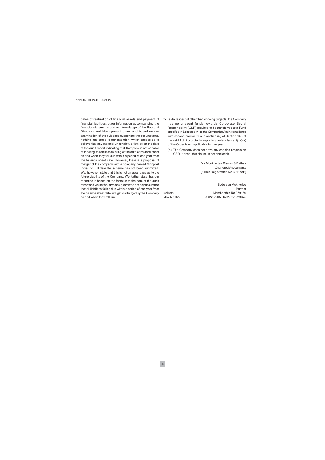dates of realisation of financial assets and payment of financial liabilities, other information accompanying the financial statements and our knowledge of the Board of Directors and Management plans and based on our examination of the evidence supporting the assumptions, nothing has come to our attention, which causes us to believe that any material uncertainty exists as on the date of the audit report indicating that Company is not capable of meeting its liabilities existing at the date of balance sheet as and when they fall due within a period of one year from the balance sheet date. However, there is a proposal of merger of the company with a company named Signpost India Ltd. Till date the scheme has not been submitted. We, however, state that this is not an assurance as to the future viability of the Company. We further state that our reporting is based on the facts up to the date of the audit report and we neither give any guarantee nor any assurance that all liabilities falling due within a period of one year from the balance sheet date, will get discharged by the Company as and when they fall due.

- xx. (a) In respect of other than ongoing projects, the Company has no unspent funds towards Corporate Social Responsibility (CSR) required to be transferred to a Fund specified in Schedule VII to the Companies Act in compliance with second proviso to sub-section (5) of Section 135 of the said Act. Accordingly, reporting under clause 3(xx)(a) of the Order is not applicable for the year.
	- (b) The Company does not have any ongoing projects on CSR. Hence, this clause is not applicable.

For Mookherjee Biswas & Pathak **Chartered Accountants** (Firm's Registration No 301138E)

Kolkata May 5, 2022

Sudersan Mukherjee Partner Membership No.059159 UDIN: 22059159AIKVBM9375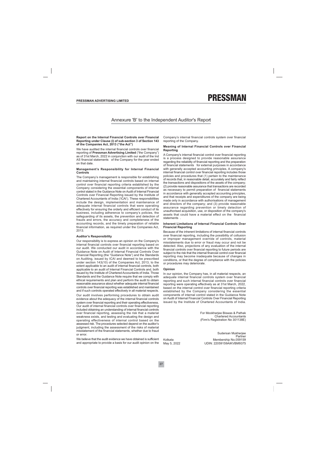#### Annexure 'B' to the Independent Auditor's Report

#### Report on the Internal Financial Controls over Financial Reporting under Clause (i) of sub-section 3 of Section 143 of the Companies Act, 2013 ("the Act")

We have audited the internal financial controls over financial reporting of Pressman Advertising Limited ("the Company") as of 31st March, 2022 in conjunction with our audit of the Ind AS financial statements of the Company for the year ended on that date.

#### Management's Responsibility for Internal Financial Controls

The Company's management is responsible for establishing and maintaining internal financial controls based on internal control over financial reporting criteria established by the Company considering the essential components of internal control stated in the Guidance Note on Audit of Internal Financial Controls over Financial Reporting issued by the Institute of Chartered Accountants of India ('ICAI'). These responsibilities include the design, implementation and maintenance of adequate internal financial controls that were operating effectively for ensuring the orderly and efficient conduct of its business, including adherence to company's policies, the safeguarding of its assets, the prevention and detection of frauds and errors, the accuracy and completeness of the accounting records, and the timely preparation of reliable financial information, as required under the Companies Act, 2013.

#### **Auditor's Responsibility**

Our responsibility is to express an opinion on the Company's internal financial controls over financial reporting based on our audit. We conducted our audit in accordance with the Guidance Note on Audit of Internal Financial Controls Over Financial Reporting (the "Guidance Note") and the Standards on Auditing, issued by ICAI and deemed to be prescribed under section 143(10) of the Companies Act, 2013, to the extent applicable to an audit of internal financial controls, both applicable to an audit of Internal Financial Controls and, both issued by the Institute of Chartered Accountants of India. Those Standards and the Guidance Note require that we comply with ethical requirements and plan and perform the audit to obtain reasonable assurance about whether adequate internal financial controls over financial reporting was established and maintained and if such controls operated effectively in all material respects.

Our audit involves performing procedures to obtain audit evidence about the adequacy of the internal financial controls system over financial reporting and their operating effectiveness. Our audit of internal financial controls over financial reporting included obtaining an understanding of internal financial controls over financial reporting, assessing the risk that a material weakness exists, and testing and evaluating the design and operating effectiveness of internal control based on the assessed risk. The procedures selected depend on the auditor's judgment, including the assessment of the risks of material misstatement of the financial statements, whether due to fraud or error.

We believe that the audit evidence we have obtained is sufficient and appropriate to provide a basis for our audit opinion on the

Company's internal financial controls system over financial reporting of the Company.

#### Meaning of Internal Financial Controls over Financial **Reporting**

A Company's internal financial control over financial reporting is a process designed to provide reasonable assurance regarding the reliability of financial reporting and the preparation of financial statements for external purposes in accordance with generally accepted accounting principles. A company's internal financial control over financial reporting includes those policies and procedures that (1) pertain to the maintenance of records that, in reasonable detail, accurately and fairly reflect the transactions and dispositions of the assets of the company; (2) provide reasonable assurance that transactions are recorded as necessary to permit preparation of financial statements in accordance with generally accepted accounting principles, and that receipts and expenditures of the company are being made only in accordance with authorisations of management and directors of the company; and (3) provide reasonable assurance regarding prevention or timely detection of unauthorised acquisition, use, or disposition of the company's assets that could have a material effect on the financial statements

#### **Inherent Limitations of Internal Financial Controls Over Financial Reporting**

Because of the inherent limitations of internal financial controls over financial reporting, including the possibility of collusion or improper management override of controls, material misstatements due to error or fraud may occur and not be detected. Also, projections of any evaluation of the internal financial controls over financial reporting to future periods are subject to the risk that the internal financial control over financial reporting may become inadequate because of changes in conditions, or that the degree of compliance with the policies or procedures may deteriorate.

#### Opinion

In our opinion, the Company has, in all material respects, an adequate internal financial controls system over financial reporting and such internal financial controls over financial reporting were operating effectively as at 31st March, 2022, based on the internal control over financial reporting criteria established by the Company considering the essential components of internal control stated in the Guidance Note on Audit of Internal Financial Controls Over Financial Reporting issued by the Institute of Chartered Accountants of India.

> For Mookherjee Biswas & Pathak Chartered Accountants (Firm's Registration No 301138E)

Kolkata May 5, 2022

Sudersan Mukherjee Partner Membership No.059159 UDIN: 22059159AIKVBM9375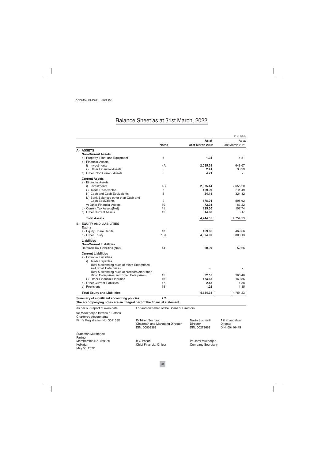## Balance Sheet as at 31st March, 2022

|                                                                        |                                |                                             |                           | ₹ in lakh                 |
|------------------------------------------------------------------------|--------------------------------|---------------------------------------------|---------------------------|---------------------------|
|                                                                        |                                |                                             | As at                     | As at                     |
|                                                                        |                                | <b>Notes</b>                                | <b>31st March 2022</b>    | 31st March 2021           |
| A) ASSETS                                                              |                                |                                             |                           |                           |
| <b>Non-Current Assets</b>                                              |                                | 3                                           |                           |                           |
| a) Property, Plant and Equipment<br>b) Financial Assets                |                                |                                             | 1.94                      | 4.81                      |
| i) Investments                                                         |                                | 4A                                          | 2,085.29                  | 648.67                    |
| ii) Other Financial Assets                                             |                                | 5                                           | 2.41                      | 33.99                     |
| c) Other Non Current Assets                                            |                                | 6                                           | 4.21                      |                           |
| <b>Current Assets</b>                                                  |                                |                                             |                           |                           |
| a) Financial Assets                                                    |                                |                                             |                           |                           |
| i) Investments                                                         |                                | 4B                                          | 2,075.44                  | 2.655.20                  |
| ii) Trade Receivables                                                  |                                | 7                                           | 159.99                    | 311.49                    |
| iii) Cash and Cash Equivalents                                         |                                | 8                                           | 24.15                     | 324.32                    |
| iv) Bank Balances other than Cash and                                  |                                |                                             |                           |                           |
| Cash Equivalents                                                       |                                | 9                                           | 178.01                    | 598.62                    |
| v) Other Financial Assets                                              |                                | 10                                          | 72.93                     | 63.22                     |
| b) Current Tax Assets(Net)<br>c) Other Current Assets                  |                                | 11<br>12                                    | 125.30<br>14.68           | 107.74<br>6.17            |
|                                                                        |                                |                                             |                           |                           |
| <b>Total Assets</b>                                                    |                                |                                             | 4,744.35                  | 4.754.23                  |
| <b>B) EQUITY AND LIABILITIES</b>                                       |                                |                                             |                           |                           |
| Equity                                                                 |                                | 13                                          | 469.66                    |                           |
| a) Equity Share Capital<br>b) Other Equity                             |                                | 13A                                         | 4,024.00                  | 469.66<br>3,808.13        |
|                                                                        |                                |                                             |                           |                           |
| Liabilities                                                            |                                |                                             |                           |                           |
| <b>Non-Current Liabilities</b>                                         |                                | 14                                          |                           | 52.66                     |
| Deferred Tax Liabilities (Net)                                         |                                |                                             | 20.99                     |                           |
| <b>Current Liabilities</b>                                             |                                |                                             |                           |                           |
| a) Financial Liabilities                                               |                                |                                             |                           |                           |
| i) Trade Payables                                                      |                                |                                             |                           |                           |
| Total outstanding dues of Micro Enterprises<br>and Small Enterprises   |                                |                                             |                           |                           |
| Total outstanding dues of creditors other than                         |                                |                                             |                           |                           |
| Micro Enterprises and Small Enterprises                                |                                | 15                                          | 52.55                     | 260.40                    |
| ii) Other Financial Liabilities                                        |                                | 16                                          | 173.65                    | 160.85                    |
| b) Other Current Liabilities                                           |                                | 17                                          | 2.48                      | 1.38                      |
| c) Provisions                                                          |                                | 18                                          | 1.02                      | 1.15                      |
| <b>Total Equity and Liabilities</b>                                    |                                |                                             | 4.744.35                  | 4,754.23                  |
| Summary of significant accounting policies                             |                                | 2.2                                         |                           |                           |
| The accompanying notes are an integral part of the financial statement |                                |                                             |                           |                           |
| As per our report of even date                                         |                                | For and on behalf of the Board of Directors |                           |                           |
| for Mookherjee Biswas & Pathak                                         |                                |                                             |                           |                           |
| <b>Chartered Accountants</b>                                           |                                |                                             |                           |                           |
| Firm's Registration No. 301138E                                        | Dr Niren Suchanti              |                                             | Navin Suchanti            | Ajit Khandelwal           |
|                                                                        | DIN: 00909388                  | Chairman and Managing Director              | Director<br>DIN: 00273663 | Director<br>DIN: 00416445 |
|                                                                        |                                |                                             |                           |                           |
| Sudersan Mukherjee                                                     |                                |                                             |                           |                           |
| Partner<br>Membership No. 059159                                       | <b>B G Pasari</b>              |                                             | Paulami Mukherjee         |                           |
| Kolkata                                                                | <b>Chief Financial Officer</b> |                                             | Company Secretary         |                           |
| May 05, 2022                                                           |                                |                                             |                           |                           |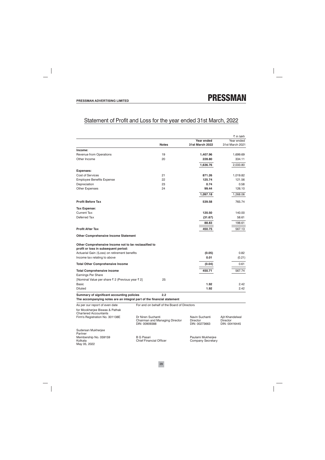Membership No. 059159

Kolkata

May 05, 2022

## Statement of Profit and Loss for the year ended 31st March, 2022

|                                                                                                                      |                                    |                                             |                                                    | ₹ in lakh                                           |
|----------------------------------------------------------------------------------------------------------------------|------------------------------------|---------------------------------------------|----------------------------------------------------|-----------------------------------------------------|
|                                                                                                                      |                                    |                                             | Year ended                                         | Year ended                                          |
|                                                                                                                      |                                    | <b>Notes</b>                                | 31st March 2022                                    | 31st March 2021                                     |
| Income:                                                                                                              |                                    |                                             |                                                    |                                                     |
| Revenue from Operations                                                                                              |                                    | 19                                          | 1,407.96                                           | 1,699.69                                            |
| Other Income                                                                                                         |                                    | 20                                          | 228.80                                             | 334.11                                              |
|                                                                                                                      |                                    |                                             | 1,636.76                                           | 2,033.80                                            |
| <b>Expenses:</b>                                                                                                     |                                    |                                             |                                                    |                                                     |
| Cost of Services                                                                                                     |                                    | 21                                          | 871.26                                             | 1,019.82                                            |
| <b>Employee Benefits Expense</b>                                                                                     |                                    | 22                                          | 125.74                                             | 121.56                                              |
| Depreciation                                                                                                         |                                    | 23                                          | 0.74                                               | 0.58                                                |
| <b>Other Expenses</b>                                                                                                |                                    | 24                                          | 99.44                                              | 126.10                                              |
|                                                                                                                      |                                    |                                             | 1,097.18                                           | 1,268.06                                            |
| <b>Profit Before Tax</b>                                                                                             |                                    |                                             | 539.58                                             | 765.74                                              |
| Tax Expense:                                                                                                         |                                    |                                             |                                                    |                                                     |
| <b>Current Tax</b>                                                                                                   |                                    |                                             | 120.50                                             | 140.00                                              |
| Deferred Tax                                                                                                         |                                    |                                             | (31.67)                                            | 58.61                                               |
|                                                                                                                      |                                    |                                             | 88.83                                              | 198.61                                              |
| <b>Profit After Tax</b>                                                                                              |                                    |                                             | 450.75                                             | 567.13                                              |
| <b>Other Comprehensive Income Statement</b>                                                                          |                                    |                                             |                                                    |                                                     |
| Other Comprehensive Income not to be reclassified to<br>profit or loss in subsequent period:                         |                                    |                                             |                                                    |                                                     |
| Actuarial Gain /(Loss) on retirement benefits                                                                        |                                    |                                             | (0.05)                                             | 0.82                                                |
| Income tax relating to above                                                                                         |                                    |                                             | 0.01                                               | (0.21)                                              |
| <b>Total Other Comprehensive Income</b>                                                                              |                                    |                                             | (0.04)                                             | 0.61                                                |
|                                                                                                                      |                                    |                                             |                                                    |                                                     |
| <b>Total Comprehensive income</b><br>Earnings Per Share                                                              |                                    |                                             | 450.71                                             | 567.74                                              |
| [Nominal Value per share ₹ 2 (Previous year ₹ 2]                                                                     |                                    | 25                                          |                                                    |                                                     |
| Basic                                                                                                                |                                    |                                             | 1.92                                               | 2.42                                                |
| <b>Diluted</b>                                                                                                       |                                    |                                             | 1.92                                               | 2.42                                                |
| Summary of significant accounting policies<br>The accompanying notes are an integral part of the financial statement |                                    | 2.2                                         |                                                    |                                                     |
|                                                                                                                      |                                    |                                             |                                                    |                                                     |
| As per our report of even date                                                                                       |                                    | For and on behalf of the Board of Directors |                                                    |                                                     |
| for Mookherjee Biswas & Pathak<br><b>Chartered Accountants</b>                                                       |                                    |                                             |                                                    |                                                     |
| Firm's Registration No. 301138E                                                                                      | Dr Niren Suchanti<br>DIN: 00909388 | Chairman and Managing Director              | Navin Suchanti<br><b>Director</b><br>DIN: 00273663 | Ajit Khandelwal<br><b>Director</b><br>DIN: 00416445 |
| Sudersan Mukherjee<br>Partner                                                                                        |                                    |                                             |                                                    |                                                     |

**B** G Pasari **Chief Financial Officer**  Paulami Mukherjee Company Secretary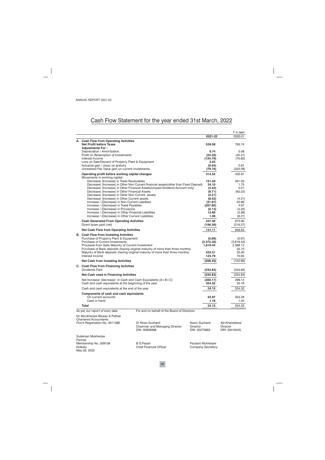## Cash Flow Statement for the year ended 31st March, 2022

|                                                                                             |                                                                                                                                                                        |                           |                        |          | ₹ in lakh            |
|---------------------------------------------------------------------------------------------|------------------------------------------------------------------------------------------------------------------------------------------------------------------------|---------------------------|------------------------|----------|----------------------|
|                                                                                             |                                                                                                                                                                        |                           | 2021-22                |          | 2020-21              |
| A. Cash Flow from Operating Activities                                                      |                                                                                                                                                                        |                           |                        |          |                      |
| <b>Net Profit before Taxes</b>                                                              |                                                                                                                                                                        |                           | 539.58                 |          | 765.74               |
| <b>Adjustments For:</b><br>Depreciation / Amortization                                      |                                                                                                                                                                        |                           | 0.74                   |          | 0.58                 |
| Profit on Redemption of Investments                                                         |                                                                                                                                                                        |                           | (24.30)                |          | (40.21)              |
| Interest Income                                                                             |                                                                                                                                                                        |                           | (124.79)               |          | (70.82)              |
| Loss on Sale/Discard of Property Plant & Equipment                                          |                                                                                                                                                                        |                           | 3.03                   |          |                      |
| Actuarial gain / (loss) on gratuity                                                         |                                                                                                                                                                        |                           | (0.04)                 |          | 0.61                 |
| Unrealised Fair Value gain on current investments                                           |                                                                                                                                                                        |                           | (79.70)                |          | (223.09)             |
| Operating profit before working capital changes                                             |                                                                                                                                                                        |                           | 314.52                 |          | 432.81               |
| Movements in working capital :                                                              |                                                                                                                                                                        |                           |                        |          |                      |
| Decrease/ (Increase) in Trade Receivables                                                   |                                                                                                                                                                        |                           | 151.50                 |          | 461.05               |
|                                                                                             | Decrease/ (Increase) in Other Non Current financial assets (other than Fixed Deposit)<br>Decrease/ (Increase) in Other Financial Assets (Unpaid Dividend Account only) |                           | 34.10<br>(4.42)        |          | 1.75<br>0.21         |
| Decrease/ (Increase) in Other Financial Assets                                              |                                                                                                                                                                        |                           | (9.71)                 |          | (63.22)              |
| Decrease/ (Increase) in Other Non Current assets                                            |                                                                                                                                                                        |                           | (4.21)                 |          |                      |
| Decrease/ (Increase) in Other Current assets                                                |                                                                                                                                                                        |                           | (8.52)                 |          | (4.21)               |
| Increase / (Decrease) in Non Current Liabilities                                            |                                                                                                                                                                        |                           | (31.67)                |          | 52.66                |
| Increase / (Decrease) in Trade Payables                                                     |                                                                                                                                                                        |                           | (207.85)               |          | 4.67                 |
| Increase / (Decrease) in Provisions<br>Increase / (Decrease) in Other Financial Liabilities |                                                                                                                                                                        |                           | (0.13)<br>12.80        |          | (4.22)<br>(2.38)     |
| Increase / (Decrease) in Other Current Liabilities                                          |                                                                                                                                                                        |                           | 1.09                   |          | (6.21)               |
|                                                                                             |                                                                                                                                                                        |                           |                        |          |                      |
| <b>Cash Generated From Operating Activities</b><br>Direct taxes paid (net)                  |                                                                                                                                                                        |                           | 247.50<br>(106.39)     |          | 872.90<br>(216.27)   |
|                                                                                             |                                                                                                                                                                        |                           |                        |          |                      |
| <b>Net Cash Flow from Operating Activities</b>                                              |                                                                                                                                                                        |                           | 141.11                 |          | 656.63               |
| <b>B.</b> Cash Flow from Investing Activities                                               |                                                                                                                                                                        |                           |                        |          |                      |
| Purchase of Property Plant & Equipment<br><b>Purchase of Current Investments</b>            |                                                                                                                                                                        |                           | (0.89)                 |          | (0.91)<br>(2,618.42) |
| Proceeds from Sale/ Maturity of Current Investment                                          |                                                                                                                                                                        |                           | (2,372.30)<br>1,619.44 |          | 2,368.12             |
|                                                                                             | Purchase of Bank deposits (having original maturity of more than three months)                                                                                         |                           |                        |          | 32.73                |
|                                                                                             | Maturity of Bank deposits (having original maturity of more than three months)                                                                                         |                           | 422.51                 |          | 25.00                |
| Interest Income                                                                             |                                                                                                                                                                        |                           | 124.79                 |          | 70.82                |
| <b>Net Cash from Investing Activities</b>                                                   |                                                                                                                                                                        |                           | (206.45)               |          | (122.66)             |
| C. Cash Flow from Financing Activities                                                      |                                                                                                                                                                        |                           |                        |          |                      |
| Dividends Paid                                                                              |                                                                                                                                                                        |                           | (234.83)               |          | (234.83)             |
| <b>Net Cash used in Financing Activities</b>                                                |                                                                                                                                                                        |                           | (234.83)               |          | (234.83)             |
| Net Increase/ (decrease) in Cash and Cash Equivalents $(A+B+C)$                             |                                                                                                                                                                        |                           | (300.17)               |          | 299.14               |
| Cash and cash equivalents at the beginning of the year                                      |                                                                                                                                                                        |                           | 324.32                 |          | 25.18                |
| Cash and cash equivalents at the end of the year                                            |                                                                                                                                                                        |                           | 24.15                  |          | 324.32               |
| Components of cash and cash equivalents                                                     |                                                                                                                                                                        |                           |                        |          |                      |
| On current accounts                                                                         |                                                                                                                                                                        |                           | 22.97                  |          | 323.28               |
| Cash in hand                                                                                |                                                                                                                                                                        |                           | 1.18                   |          | 1.04                 |
| Total                                                                                       |                                                                                                                                                                        |                           | 24.15                  |          | 324.32               |
| As per our report of even date                                                              | For and on behalf of the Board of Directors                                                                                                                            |                           |                        |          |                      |
| for Mookherjee Biswas & Pathak                                                              |                                                                                                                                                                        |                           |                        |          |                      |
| <b>Chartered Accountants</b>                                                                |                                                                                                                                                                        |                           |                        |          |                      |
| Firm's Registration No. 301138E                                                             | Dr Niren Suchanti                                                                                                                                                      | Navin Suchanti            |                        |          | Ajit Khandelwal      |
|                                                                                             | Chairman and Managing Director                                                                                                                                         | Director<br>DIN: 00273663 |                        | Director | DIN: 00416445        |
|                                                                                             | DIN: 00909388                                                                                                                                                          |                           |                        |          |                      |
| Sudersan Mukherjee                                                                          |                                                                                                                                                                        |                           |                        |          |                      |
| Partner                                                                                     |                                                                                                                                                                        |                           |                        |          |                      |
| Membership No. 059159<br>Kolkata                                                            | <b>B G Pasari</b><br><b>Chief Financial Officer</b>                                                                                                                    | Paulami Mukherjee         |                        |          |                      |
| May 05, 2022                                                                                |                                                                                                                                                                        | <b>Company Secretary</b>  |                        |          |                      |
|                                                                                             |                                                                                                                                                                        |                           |                        |          |                      |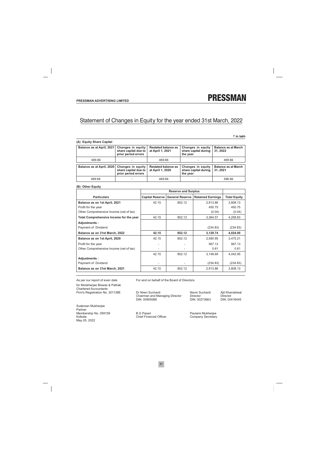## Statement of Changes in Equity for the year ended 31st March, 2022

₹ in lakh

| Balance as at April, 2021 | Changes in equity<br>share capital due to<br>prior period errors | <b>Restated balance as</b><br>at April 1, 2021 | Changes in equity<br>share capital during<br>the year | <b>Balance as at March</b><br>31, 2022 |
|---------------------------|------------------------------------------------------------------|------------------------------------------------|-------------------------------------------------------|----------------------------------------|
| 469.66                    |                                                                  | 469.66                                         |                                                       | 469.66                                 |
| Balance as at April, 2020 | Changes in equity<br>share capital due to<br>prior period errors | <b>Restated balance as</b><br>at April 1, 2020 | Changes in equity<br>share capital during<br>the year | <b>Balance as at March</b><br>31.2021  |
| 469.66                    | -                                                                | 469.66                                         |                                                       | 496.66                                 |

#### (B) Other Equity

|                                         |                        | <b>Reserve and Surplus</b> |                          |                     |
|-----------------------------------------|------------------------|----------------------------|--------------------------|---------------------|
| <b>Particulars</b>                      | <b>Capital Reserve</b> | <b>General Reserve</b>     | <b>Retained Earnings</b> | <b>Total Equity</b> |
| Balance as on 1st April, 2021           | 42.15                  | 852.12                     | 2,913.86                 | 3,808.13            |
| Profit for the year                     |                        |                            | 450.75                   | 450.75              |
| Other Comprehensive Income (net of tax) |                        |                            | (0.04)                   | (0.04)              |
| Total Comprehensive Income for the year | 42.15                  | 852.12                     | 3,364.57                 | 4,258.83            |
| Adjustments:                            |                        |                            |                          |                     |
| Payment of Dividend                     |                        |                            | (234.83)                 | (234.83)            |
| Balance as on 31st March, 2022          | 42.15                  | 852.12                     | 3,129.74                 | 4,024.00            |
| Balance as on 1st April, 2020           | 42.15                  | 852.12                     | 2,580.95                 | 3,475.21            |
| Profit for the year                     |                        |                            | 567.13                   | 567.13              |
| Other Comprehensive Income (net of tax) |                        |                            | 0.61                     | 0.61                |
|                                         | 42.15                  | 852.12                     | 3,148.69                 | 4,042.95            |
| Adjustments:                            |                        |                            |                          |                     |
| Payment of Dividend                     |                        |                            | (234.83)                 | (234.83)            |
| Balance as on 31st March, 2021          | 42.15                  | 852.12                     | 2,913.86                 | 3,808.13            |

As per our report of even date for Mookherjee Biswas & Pathak Chartered Accountants Firm's Registration No. 301138E

Sudersan Mukherjee Partner Membership No. 059159 Kolkata May 05, 2022

For and on behalf of the Board of Directors

Dr Niren Suchanti Chairman and Managing Director DIN: 00909388

Navin Suchanti Director DIN: 00273663 Ajit Khandelwal Director DIN: 00416445

**B G Pasari Chief Financial Officer**  Paulami Mukherjee Company Secretary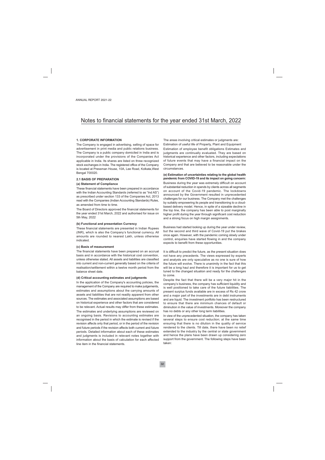#### **1. CORPORATE INFORMATION**

The Company is engaged in advertising, selling of space for advertisement in print media and public relations business. The Company is a public company domiciled in India and is incorporated under the provisions of the Companies Act applicable in India. Its shares are listed on three recognized stock exchanges in India. The registered office of the Company is located at Pressman House, 10A, Lee Road, Kolkata, West Bengal 700020.

#### **2.1 BASIS OF PREPARATION**

#### (a) Statement of Compliance

These financial statements have been prepared in accordance with the Indian Accounting Standards (referred to as "Ind AS") as prescribed under section 133 of the Companies Act, 2013 read with the Companies (Indian Accounting Standards) Rules, as amended from time to time.

The Board of Directors approved the financial statements for the vear ended 31st March, 2022 and authorised for issue on 5th May, 2022

#### (b) Functional and presentation Currency

These financial statements are presented in Indian Rupees (INR), which is also the Company's functional currency. All amounts are rounded to nearest Lakh, unless otherwise indicated.

#### (c) Basis of measurement

The financial statements have been prepared on an accrual basis and in accordance with the historical cost convention. unless otherwise stated. All assets and liabilities are classified into current and non-current generally based on the criteria of realisation/settlement within a twelve month period from the balance sheet date.

#### (d) Critical accounting estimates and judgments

In the application of the Company's accounting policies, the management of the Company are required to make judgements, estimates and assumptions about the carrying amounts of assets and liabilities that are not readily apparent from other sources. The estimates and associated assumptions are based on historical experience and other factors that are considered to be relevant. Actual results may differ from these estimates.

The estimates and underlying assumptions are reviewed on an ongoing basis. Revisions to accounting estimates are recognised in the period in which the estimate is revised if the revision affects only that period, or in the period of the revision and future periods if the revision affects both current and future periods. Detailed information about each of these estimates and judgments is included in relevant notes together with information about the basis of calculation for each affected line item in the financial statements.

The areas involving critical estimates or judgments are:

Estimation of useful life of Property, Plant and Equipment Estimation of employee benefit obligations Estimates and judgments are continually evaluated. They are based on historical experience and other factors, including expectations of future events that may have a financial impact on the Company and that are believed to be reasonable under the circumstances.

(e) Estimation of uncertainties relating to the global health pandemic from COVID-19 and its impact on going concern: Business during the year was extremely difficult on account of substantial reduction in spends by clients across all segments on account of the Covid-19 pandemic. The lockdowns announced by the Government resulted in unprecedented challenges for our business. The Company met the challenges by suitably empowering its people and transitioning to a cloudbased delivery model. Hence, in spite of a sizeable decline in the top line, the company has been able to post marginally higher profit during the year through significant cost reduction and a strong focus on high margin assignments.

Business had started looking up during the year under review, but the second and third wave of Covid-19 put the brakes once again. However, with the pandemic coming slowly under control, enquiries have started flowing in and the company expects to benefit from these opportunities.

It is difficult to predict the future, as the present situation does not have any precedents. The views expressed by experts and analysts are only speculative as no one is sure of how the future will evolve. There is unanimity in the fact that this will be a long haul and therefore it is important for us to get tuned to the changed situation and ready for the challenges to come

Despite the fact that there will be a very major hit in the company's business, the company has sufficient liquidity and is well positioned to take care of the future liabilities. The present surplus funds available are in excess of Rs 42 crore and a major part of the investments are in debt instruments and are liquid. The investment portfolio has been restructured to ensure that there are minimum chances of default or diminution in the value of investments. Moreover the company has no debts or any other long term liabilities.

In view of the unprecedented situation, the company has taken several steps to ensure cost reduction; at the same time ensuring that there is no dilution in the quality of service rendered to the clients. Till date, there have been no relief extended to the industry by the central or state government and hence the plans have been drawn up considering zero support from the government. The following steps have been taken: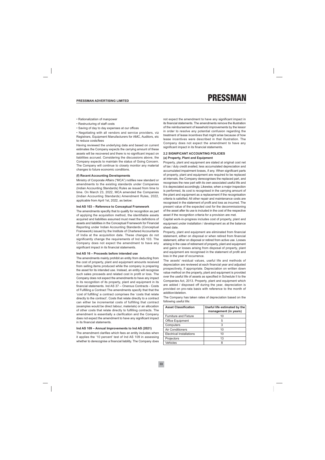- Rationalization of manpower
- Restructuring of staff costs
- Saving of day to day expenses at our offices

• Negotiating with all vendors and service providers, viz Registrars, Equipment Manufacturers for AMC, Auditors, etc to reduce costs/fees

Having reviewed the underlying data and based on current estimates the Company expects the carrying amount of these assets will be recovered and there is no significant impact on liabilities accrued. Considering the discussions above, the Company expects to maintain the status of Going Concern. The Company will continue to closely monitor any material changes to future economic conditions.

#### (f) Recent Accounting Developments

Ministry of Corporate Affairs ("MCA") notifies new standard or amendments to the existing standards under Companies (Indian Accounting Standards) Rules as issued from time to time. On March 23, 2022, MCA amended the Companies (Indian Accounting Standards) Amendment Rules, 2022, applicable from April 1st, 2022, as below:

#### Ind AS 103 - Reference to Conceptual Framework

The amendments specifiy that to qualify for recognition as part of applying the acquisition method, the identifiable assets acquired and liabilities assumed must meet the definitions of assets and liabilities in the Conceptual Framework for Financial Reporting under Indian Accounting Standards (Conceptual Framework) issued by the Institute of Chartered Accountants of India at the acquisition date. These changes do not significantly change the requirements of Ind AS 103. The Company does not expect the amendment to have any significant impact in its financial statements.

#### Ind AS 16 - Proceeds before intended use

The amendments mainly prohibit an entity from deducting from the cost of property, plant and equipment amounts received from selling items produced while the company is preparing the asset for its intended use. Instead, an entity will recognise such sales proceeds and related cost in profit or loss. The Company does not expect the amendments to have any impact in its recognition of its property, plant and equipment in its financial statements. Ind AS 37 - Onerous Contracts - Costs of Fulfilling a Contract The amendments specify that that the 'cost of fulfilling' a contract comprises the 'costs that relate directly to the contract'. Costs that relate directly to a contract can either be incremental costs of fulfilling that contract (examples would be direct labour, materials) or an allocation of other costs that relate directly to fulfilling contracts. The amendment is essentially a clarification and the Company does not expect the amendment to have any significant impact in its financial statements.

#### Ind AS 109 - Annual Improvements to Ind AS (2021)

The amendment clarifies which fees an entity includes when it applies the '10 percent' test of Ind AS 109 in assessing whether to derecognise a financial liability. The Company does not expect the amendment to have any significant impact in its financial statements. The amendments remove the illustration of the reimbursement of leasehold improvements by the lessor in order to resolve any potential confusion regarding the treatment of lease incentives that might arise because of how lease incentives were described in that illustration. The Company does not expect the amendment to have any significant impact in its financial statements.

#### **2.2 SIGNIFICANT ACCOUNTING POLICIES** (a) Property, Plant and Equipment

Property, plant and equipment are stated at original cost net of tax / duly credit availed. less accumulated depreciation and accumulated impairment losses, if any. When significant parts of property, plant and equipment are required to be replaced at intervals, the Company derecognises the replaced part, and recognises the new part with its own associated useful life and it is depreciated accordingly. Likewise, when a major inspection is performed, its cost is recognised in the carrying amount of the plant and equipment as a replacement if the recognisation criteria is satisfied. All other repair and maintenance costs are recognised in the statement of profit and loss as incurred. The present value of the expected cost for the decommissioning of the asset after its use is included in the cost of the respective asset if the recognition criteria for a provision are met.

Capital work-in-progress includes cost of property, plant and equipment under installation / development as at the balance sheet date.

Property, plant and equipment are eliminated from financial statement, either on disposal or when retired from financial statement, either on disposal or retired from active use. Losses arising in the case of retirement of property, plant and equipment and gains or losses arising from disposal of property, plant and equipment are recognised in the statement of profit and loss in the year of occurrence.

The assets' residual values, useful life and methods of depreciation are reviewed at each financial year and adjusted prospectively, if appropriate. Depreciation on written down value method on the property, plant and equipment is provided over the useful life of assets as specified in Schedule II to the Companies Act, 2013. Property, plant and equipment which are added / disposed off during the year, depreciation is provided on pro-rata basis with reference to the month of addition/deletion.

The Company has taken rates of depreciation based on the following useful life:

| <b>Asset Classification</b>  | Useful life estimated by the<br>management (in years) |
|------------------------------|-------------------------------------------------------|
| <b>Furniture and Fixture</b> | 10                                                    |
| <b>Office Equipment</b>      | 5                                                     |
| Computers                    | 3                                                     |
| Air Conditioners             | 10                                                    |
| Electrical Installations     | 10                                                    |
| Projectors                   | 1.3                                                   |
| Vehicles                     |                                                       |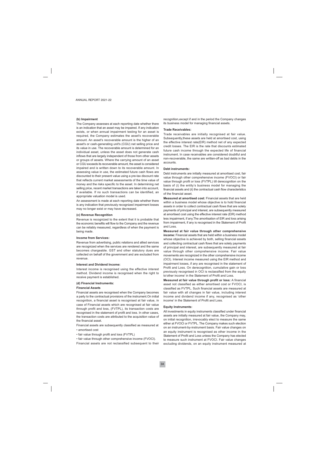#### (b) Impairment

The Company assesses at each reporting date whether there is an indication that an asset may be impaired. If any indication exists, or when annual impairment testing for an asset is required, the Company estimates the asset's recoverable amount. An asset's recoverable amount is the higher of an asset's or cash-generating unit's (CGU) net selling price and its value in use. The recoverable amount is determined for an individual asset, unless the asset does not generate cash inflows that are largely independent of those from other assets or groups of assets. Where the carrying amount of an asset or CGU exceeds its recoverable amount, the asset is considered impaired and is written down to its recoverable amount. In assessing value in use, the estimated future cash flows are discounted to their present value using a pre-tax discount rate that reflects current market assessments of the time value of money and the risks specific to the asset. In determining net selling price, recent market transactions are taken into account, if available. If no such transactions can be identified, an appropriate valuation model is used.

An assessment is made at each reporting date whether there is any indication that previously recognized impairment losses may no longer exist or may have decreased.

#### (c) Revenue Recognition

Revenue is recognized to the extent that it is probable that the economic benefits will flow to the Company and the revenue can be reliably measured, regardless of when the payment is being made.

#### **Income from Services:**

Revenue from advertising, public relations and allied services are recognized when the services are rendered and the same becomes chargeable. GST and other statutory dues are collected on behalf of the government and are excluded from revenue.

#### Interest and Dividend Income:

Interest income is recognised using the effective interest method. Dividend income is recognised when the right to receive payment is established.

#### (d) Financial Instruments:

#### **Financial Assets**

Financial assets are recognised when the Company becomes a party to the contractual provisions of the instrument. On initial recognition, a financial asset is recognised at fair value, in case of Financial assets which are recognised at fair value through profit and loss, (FVTPL), its transaction costs are recognised in the statement of profit and loss. In other cases, the transaction costs are attributed to the acquisition value of the financial asset.

Financial assets are subsequently classified as measured at

- · amortised cost
- fair value through profit and loss (FVTPL)

• fair value through other comprehensive income (FVOCI). Financial assets are not reclassified subsequent to their recognition, except if and in the period the Company changes its business model for managing financial assets.

#### **Trade Receivables:**

Trade receivables are initially recognised at fair value. Subsequently these assets are held at amortised cost, using the effective interest rate(EIR) method net of any expected credit losses. The EIR is the rate that discounts estimated future cash income through the expected life of financial instrument. In case receivables are considered doubtful and non-recoverable, the same are written-off as bad debts in the accounts

#### Debt instruments:

Debt instruments are initially measured at amortised cost, fair value through other comprehensive income (FVOCI) or fair value through profit or loss (FVTPL) till derecognition on the basis of (i) the entity's business model for managing the financial assets and (ii) the contractual cash flow characteristics of the financial asset.

Measured at amortised cost: Financial assets that are held within a business model whose objective is to hold financial assets in order to collect contractual cash flows that are solely payments of principal and interest, are subsequently measured at amortised cost using the effective interest rate (EIR) method less impairment, if any. The amortisation of EIR and loss arising from impairment, if any is recognised in the Statement of Profit and Loss.

Measured at fair value through other comprehensive income: Financial assets that are held within a business model whose objective is achieved by both, selling financial assets and collecting contractual cash flows that are solely payments of principal and interest, are subsequently measured at fair value through other comprehensive income. Fair value movements are recognized in the other comprehensive income (OCI). Interest income measured using the EIR method and impairment losses, if any are recognised in the statement of Profit and Loss. On derecognition, cumulative gain or loss previously recognised in OCI is reclassified from the equity to'other income' in the Statement of Profit and Loss.

Measured at fair value through profit or loss: A financial asset not classified as either amortised cost or FVOCI, is classified as FVTPL. Such financial assets are measured at fair value with all changes in fair value, including interest income and dividend income if any, recognised as 'other income' in the Statement of Profit and Loss.

#### **Equity Instruments:**

All investments in equity instruments classified under financial assets are initially measured at fair value, the Company may, on initial recognition, irrevocably elect to measure the same either at FVOCI or FVTPL. The Company makes such election on an instrument-by-instrument basis. Fair value changes on an equity instrument is recognised as other income in the Statement of Profit and Loss unless the Company has elected to measure such instrument at FVOCI. Fair value changes excluding dividends, on an equity instrument measured at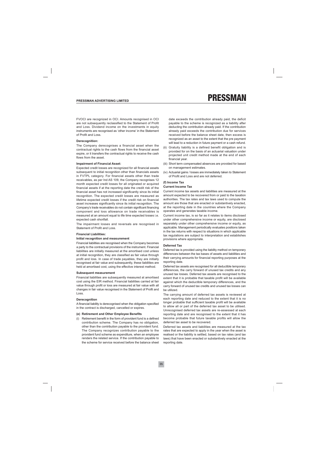FVOCI are recognized in OCI. Amounts recognised in OCI are not subsequently reclassified to the Statement of Profit and Loss. Dividend income on the investments in equity instruments are recognised as 'other income' in the Statement of Profit and Loss

#### Derecognition:

The Company derecognises a financial asset when the contractual rights to the cash flows from the financial asset expire, or it transfers the contractual rights to receive the cash flows from the asset.

#### **Impairment of Financial Asset:**

Expected credit losses are recognized for all financial assets subsequent to initial recognition other than financials assets in FVTPL category. For financial assets other than trade receivables, as per Ind AS 109, the Company recognises 12 month expected credit losses for all originated or acquired financial assets if at the reporting date the credit risk of the financial asset has not increased significantly since its initial recognition. The expected credit losses are measured as lifetime expected credit losses if the credit risk on financial asset increases significantly since its initial recognition. The Company's trade receivables do not contain significant financing component and loss allowance on trade receivables is measured at an amount equal to life time expected losses i.e. expected cash shortfall.

The impairment losses and reversals are recognised in Statement of Profit and Loss.

#### **Financial Liabilities:**

#### Initial recognition and measurement

Financial liabilities are recognised when the Company becomes a party to the contractual provisions of the instrument. Financial liabilities are initially measured at the amortised cost unless at initial recognition, they are classified as fair value through profit and loss. In case of trade payables, they are initially recognised at fair value and subsequently, these liabilities are held at amortised cost, using the effective interest method.

#### **Subsequent measurement**

Financial liabilities are subsequently measured at amortised cost using the EIR method. Financial liabilities carried at fair value through profit or loss are measured at fair value with all changes in fair value recognised in the Statement of Profit and Loss.

#### Derecognition

A financial liability is derecognised when the obligation specified in the contract is discharged, cancelled or expires.

#### (e) Retirement and Other Employee Benefits

(i) Retirement benefit in the form of provident fund is a defined contribution scheme. The Company has no obligation, other than the contribution payable to the provident fund. The Company recognizes contribution payable to the provident fund scheme as expenditure, when an employee renders the related service. If the contribution payable to the scheme for service received before the balance sheet date exceeds the contribution already paid, the deficit payable to the scheme is recognized as a liability after deducting the contribution already paid. If the contribution already paid exceeds the contribution due for services received before the balance sheet date, then excess is recognized as an asset to the extent that the pre payment will lead to a reduction in future payment or a cash refund.

- (ii) Gratuity liability is a defined benefit obligation and is provided for on the basis of an actuarial valuation under projected unit credit method made at the end of each financial year.
- (iii) Short term compensated absences are provided for based on management estimates.
- (iv) Actuarial gains / losses are immediately taken to Statement of Profit and Loss and are not deferred.

#### (f) Income Tax

#### **Current Income Tax**

Current income tax assets and liabilities are measured at the amount expected to be recovered from or paid to the taxation authorities. The tax rates and tax laws used to compute the amount are those that are enacted or substantively enacted, at the reporting date in the countries where the Company operates and generates taxable income.

Current income tax, is so far as it relates to items disclosed under other comprehensive income or equity, are disclosed separately under other comprehensive income or equity, as applicable. Management periodically evaluates positions taken in the tax returns with respect to situations in which applicable tax regulations are subject to interpretation and establishes provisions where appropriate.

#### **Deferred Tax**

Deferred tax is provided using the liability method on temporary differences between the tax bases of assets and liabilities and their carrying amounts for financial reporting purposes at the reporting date.

Deferred tax assets are recognised for all deductible temporary differences, the carry forward of unused tax credits and any unused tax losses. Deferred tax assets are recognised to the extent that it is probable that taxable profit will be available against which the deductible temporary differences, and the carry forward of unused tax credits and unused tax losses can be utilized.

The carrying amount of deferred tax assets is reviewed at each reporting date and reduced to the extent that it is no longer probable that sufficient taxable profit will be available to allow all or part of the deferred tax asset to be utilised. Unrecognised deferred tax assets are re-assessed at each reporting date and are recognised to the extent that it has become probable that future taxable profits will allow the deferred tax asset to be recovered.

Deferred tax assets and liabilities are measured at the tax rates that are expected to apply in the year when the asset is realised or the liability is settled, based on tax rates (and tax laws) that have been enacted or substantively enacted at the reporting date.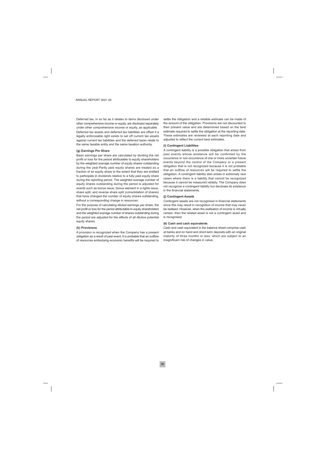Deferred tax, in so far as it relates to items disclosed under other comprehensive income or equity, are disclosed separately under other comprehensive income or equity, as applicable. Deferred tax assets and deferred tax liabilities are offset if a legally enforceable right exists to set off current tax assets against current tax liabilities and the deferred taxes relate to the same taxable entity and the same taxation authority.

#### (g) Earnings Per Share

Basic earnings per share are calculated by dividing the net profit or loss for the period attributable to equity shareholders by the weighted average number of equity shares outstanding during the year. Partly paid equity shares are treated as a fraction of an equity share to the extent that they are entitled to participate in dividends relative to a fully paid equity share during the reporting period. The weighted average number of equity shares outstanding during the period is adjusted for events such as bonus issue, bonus element in a rights issue, share split, and reverse share split (consolidation of shares) that have changed the number of equity shares outstanding. without a corresponding change in resources.

For the purpose of calculating diluted earnings per share, the net profit or loss for the period attributable to equity shareholders and the weighted average number of shares outstanding during the period are adjusted for the effects of all dilutive potential equity shares.

#### (h) Provisions

A provision is recognized when the Company has a present obligation as a result of past event, it is probable that an outflow of resources embodying economic benefits will be required to settle the obligation and a reliable estimate can be made of the amount of the obligation. Provisions are not discounted to their present value and are determined based on the best estimate required to settle the obligation at the reporting date. These estimates are reviewed at each reporting date and adjusted to reflect the current best estimates.

#### (i) Contingent Liabilities

A contingent liability is a possible obligation that arises from past events whose existence will be confirmed by the occurrence or non-occurrence of one or more uncertain future events beyond the control of the Company or a present obligation that is not recognized because it is not probable that an outflow of resources will be required to settle the obligation. A contingent liability also arises in extremely rare cases where there is a liability that cannot be recognized because it cannot be measured reliably. The Company does not recognize a contingent liability but discloses its existence in the financial statements.

#### (i) Contingent Assets

Contingent assets are not recognised in financial statements since this may result in recognition of income that may never be realised. However, when the realisation of income is virtually certain, then the related asset is not a contingent asset and is recognised.

#### (k) Cash and cash equivalents

Cash and cash equivalent in the balance sheet comprise cash at banks and on hand and short-term deposits with an original maturity of three months or less, which are subject to an insignificant risk of changes in value.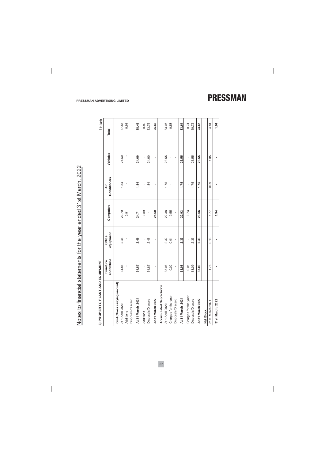3) PROPERTY, PLANT AND EQUIPMENT

| i) PROPERTY, PLAN                               | IT AND EQUIPMENT         |                     |           |                   |          | ₹ in lakh |
|-------------------------------------------------|--------------------------|---------------------|-----------|-------------------|----------|-----------|
|                                                 | and fixture<br>Furniture | equipment<br>Office | Computers | Conditioners<br>ξ | Vehicles | Total     |
| Cost (Gross carrying amount)<br>At 1 April 2020 | 34.86                    | 2.46                | 23.70     | 1.84              | 24.60    | 87.55     |
| Additions                                       | ı                        |                     | 0.91      |                   |          | 0.91      |
| Disposals/Discard                               |                          |                     |           |                   |          |           |
| At 31 March 2021                                | 34.87                    | 2.46                | 24.71     | 1.84              | 24.60    | 88.46     |
| Additions                                       | ı                        | ı                   | 0.89      | ı                 | ı        | 0.89      |
| Disposals/Discard                               | 34.87                    | 2.46                | ı         | 1.84              | 24.60    | 63.75     |
| At 31 March 2022                                | ×,                       |                     | 25.60     |                   |          | 25.60     |
| <b>Accumulated Depreciation</b>                 |                          |                     |           |                   |          |           |
| At 1 April 2020                                 | 33.06                    | 2.32                | 22.38     | 1.75              | 23.55    | 83.07     |
| Charges for the year                            | 0.02                     | 0.01                | 0.55      |                   | ı        | 0.58      |
| Disposals/Discard                               | ı                        | ı                   | ı         |                   | ı        |           |
| At 31 March 2021                                | 33.08                    | 2.33                | 22.93     | 1.75              | 23.55    | 83.64     |
| Charges for the year                            | 0.01                     | ı                   | 0.73      |                   |          | 0.74      |
| Disposals/Discard                               | 33.09                    | 2.33                | ı         | 1.75              | 23.55    | 60.72     |
| At 31 March 2022                                | 33.09                    | 2.33                | 23.66     | 1.75              | 23.55    | 23.67     |
| Net Block                                       |                          |                     |           |                   |          |           |
| 31st March 2021                                 | 1.78                     | 0.13                | 1.77      | 0.09              | 1.05     | 4.81      |
| 31st March 2022                                 |                          |                     | 1.94      |                   |          | 1.94      |

#### PRESSMAN ADVERTISING LIMITED

# **PRESSMAN**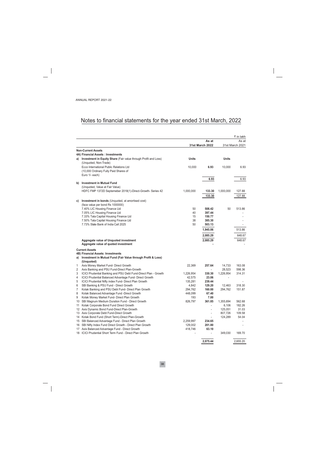|    |                                                                            |              |                                 |              | ₹ in lakh                |
|----|----------------------------------------------------------------------------|--------------|---------------------------------|--------------|--------------------------|
|    |                                                                            |              | As at<br><b>31st March 2022</b> |              | As at<br>31st March 2021 |
|    | <b>Non-Current Assets</b>                                                  |              |                                 |              |                          |
|    | 4A) Financial Assets: Investments                                          |              |                                 |              |                          |
| a) | Investment in Equity Share (Fair value through Profit and Loss)            | <b>Units</b> |                                 | <b>Units</b> |                          |
|    | (Unquoted, Non-Trade)                                                      |              |                                 |              |                          |
|    | Ecco International Public Relations Ltd                                    | 10,000       | 6.93                            | 10,000       | 6.93                     |
|    | (10,000 Ordinary Fully Paid Shares of                                      |              |                                 |              |                          |
|    | Euro 1/- each)                                                             |              |                                 |              |                          |
|    |                                                                            |              | 6.93                            |              | 6.93                     |
| b) | <b>Investment in Mutual Fund</b><br>(Unquoted, Value at Fair Value)        |              |                                 |              |                          |
|    |                                                                            | 1,000,000    | 133.30                          |              | 127.88                   |
|    | HDFC FMP 1372D Septemeber 2018(1)-Direct-Growth- Series 42                 |              |                                 | 1,000,000    |                          |
|    |                                                                            |              | 133.30                          |              | 127.88                   |
| C) | Investment in bonds (Unquoted, at amortised cost)                          |              |                                 |              |                          |
|    | (face value per bond Rs 1000000)                                           |              |                                 |              |                          |
|    | 7.40% LIC Housing Finance Ltd                                              | 50           | 508.42                          | 50           | 513.86                   |
|    | 7.05% LIC Housing Finance Ltd                                              | 40           | 397.44                          |              |                          |
|    | 7.33% Tata Capital Housing Finance Ltd                                     | 15           | 150.77                          |              |                          |
|    | 7.50% Tata Capital Housing Finance Ltd                                     | 38           | 385.30                          |              |                          |
|    | 7.73% State Bank of India Call 2025                                        | 50           | 503.13                          |              | $\overline{\phantom{a}}$ |
|    |                                                                            |              | 1,945.06                        |              | 513.86                   |
|    |                                                                            |              | 2,085.29                        |              | 648.67                   |
|    | Aggregate value of Unquoted investment                                     |              | 2,085.29                        |              | 648.67                   |
|    | Aggregate value of quoted investment                                       |              |                                 |              |                          |
|    | <b>Current Assets</b>                                                      |              |                                 |              |                          |
|    | 4B) Financial Assets: Investments                                          |              |                                 |              |                          |
| a) | Investment in Mutual Fund (Fair Value through Profit & Loss)<br>(Unquoted) |              |                                 |              |                          |
| 1  | Axis Money Market Fund- Direct Growth                                      | 22,369       | 257.64                          | 14,733       | 163.08                   |
| 2  | Axis Banking and PSU Fund-Direct Plan-Growth                               |              | $\overline{a}$                  | 28,523       | 598.36                   |
| 3  | ICICI Prudential Banking and PSU Debt Fund-Direct Plan - Growth            | 1,226,954    | 330.30                          | 1,226,954    | 314.31                   |
| 4  | ICICI Prudential Balanced Advantage Fund- Direct Growth                    | 42,575       | 23.06                           |              |                          |
| 5  | ICICI Prudential Nifty index Fund- Direct Plan Growth                      | 135,281      | 239.44                          |              |                          |
| 6  | SBI Banking & PSU Fund - Direct Growth                                     | 4,842        | 129.20                          | 12,463       | 318.30                   |
| 7  | Kotak Banking and PSU Debt Fund- Direct Plan Growth                        | 294,762      | 160.00                          | 294,762      | 151.87                   |
| 8  | Kotak Balanced Advantage Fund -Direct Growth                               | 448,099      | 67.40                           |              |                          |
| 9  | Kotak Money Market Fund- Direct Plan Growth                                | 193          | 7.00                            |              |                          |
| 10 | SBI Magnum Medium Duration Fund - Direct Growth                            | 826,797      | 361.85                          | 1,355,694    | 562.68                   |
| 11 | Kotak Corporate Bond Fund Direct Growth                                    |              | $\overline{\phantom{a}}$        | 6,106        | 182.26                   |
|    | 12 Axis Dynamic Bond Fund-Direct Plan-Growth                               |              | $\overline{\phantom{a}}$        | 125,051      | 31.03                    |
|    | 13 Axis Corporate Debt Fund-Direct Growth                                  |              |                                 | 807,726      | 109.58                   |
| 14 | Kotak Bond Fund (Short Term)-Direct Plan-Growth                            |              |                                 | 124,289      | 54.04                    |
| 15 | SBI Balanced Advantage Fund - Direct Plan Growth                           | 2,259,997    | 234.65                          |              |                          |
| 16 | SBI Nifty Index Fund Direct Growth - Direct Plan Growth                    | 129,002      | 201.80                          |              |                          |
| 17 | Axis Balanced Advantage Fund - Direct Growth                               | 418,746      | 63.10                           |              |                          |
|    | 18 ICICI Prudential Short Term Fund - Direct Plan Growth                   |              | $\overline{\phantom{0}}$        | 349,030      | 169.70                   |
|    |                                                                            |              | 2,075.44                        |              | 2,655.20                 |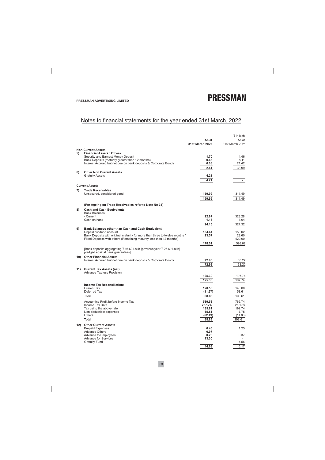|     |                                                                                                          |                 | ₹ in lakh                |
|-----|----------------------------------------------------------------------------------------------------------|-----------------|--------------------------|
|     |                                                                                                          | As at           | As at                    |
|     |                                                                                                          | 31st March 2022 | 31st March 2021          |
|     | <b>Non-Current Assets</b>                                                                                |                 |                          |
| 5)  | <b>Financial Assets: Others</b><br>Security and Earnest Money Deposit                                    | 1.70            | 4.46                     |
|     | Bank Deposits (maturity greater than 12 months)                                                          | 0.63            | 8.11                     |
|     | Interest Accrued but not due on bank deposits & Corporate Bonds                                          | 0.08            | 21.42                    |
|     |                                                                                                          | 2.41            | 33.99                    |
| 6)  | <b>Other Non Current Assets</b>                                                                          |                 |                          |
|     | <b>Gratuity Assets</b>                                                                                   | 4.21            | $\overline{\phantom{a}}$ |
|     |                                                                                                          | 4.21            | $\overline{\phantom{a}}$ |
|     | <b>Current Assets</b>                                                                                    |                 |                          |
| 7)  | <b>Trade Receivables</b>                                                                                 |                 |                          |
|     | Unsecured, considered good                                                                               | 159.99          | 311.49                   |
|     |                                                                                                          | 159.99          | 311.49                   |
|     |                                                                                                          |                 |                          |
|     | (For Ageing on Trade Receivables refer to Note No 35)                                                    |                 |                          |
| 8)  | <b>Cash and Cash Equivalents</b>                                                                         |                 |                          |
|     | <b>Bank Balances</b><br>- Current                                                                        | 22.97           | 323.28                   |
|     | Cash on hand                                                                                             | 1.18            | 1.04                     |
|     |                                                                                                          | 24.15           | 324.32                   |
| 9)  | Bank Balances other than Cash and Cash Equivalent                                                        |                 |                          |
|     | Unpaid dividend account                                                                                  | 154.44          | 150.02                   |
|     | Bank Deposits with original maturity for more than three to twelve months *                              | 23.57           | 28.60                    |
|     | Fixed Deposits with others (Remaining maturity less than 12 months)                                      |                 | 420.00                   |
|     |                                                                                                          | 178.01          | 598.62                   |
|     | [Bank deposits aggregating ₹ 16.60 Lakh (previous year ₹ 26.60 Lakh)<br>pledged against bank guarantees] |                 |                          |
| 10) | <b>Other Financial Assets</b>                                                                            |                 |                          |
|     | Interest Accrued but not due on bank deposits & Corporate Bonds                                          | 72.93           | 63.22                    |
|     |                                                                                                          | 72.93           | 63.22                    |
| 11) | <b>Current Tax Assets (net)</b>                                                                          |                 |                          |
|     | Advance Tax less Provision                                                                               | 125.30          | 107.74                   |
|     |                                                                                                          |                 |                          |
|     | <b>Income Tax Reconciliation:</b>                                                                        | 125.30          | 107.74                   |
|     | Current Tax                                                                                              | 120.50          | 140.00                   |
|     | Deferred Tax                                                                                             | (31.67)         | 58.61                    |
|     | Total                                                                                                    | 88.83           | 198.61                   |
|     |                                                                                                          | 539.58          | 765.74                   |
|     | Accounting Profit before Income Tax<br>Income Tax Rate                                                   | 25.17%          | 25.17%                   |
|     | Tax using the above rate                                                                                 | 135.81          | 192.74                   |
|     | Non-deductible expenses                                                                                  | 15.51           | 17.75                    |
|     | <b>Others</b>                                                                                            | (62.49)         | (11.88)                  |
|     | <b>Total</b>                                                                                             | 88.83           | 198.61                   |
| 12) | <b>Other Current Assets</b>                                                                              |                 |                          |
|     | <b>Prepaid Expenses</b>                                                                                  | 0.45            | 1.25                     |
|     | <b>Advance Others</b><br>Advance to Employees                                                            | 0.97<br>0.26    | 0.37                     |
|     | <b>Advance for Services</b>                                                                              | 13.00           |                          |
|     | <b>Gratuity Fund</b>                                                                                     |                 | 4.56                     |
|     |                                                                                                          | 14.68           | 6.17                     |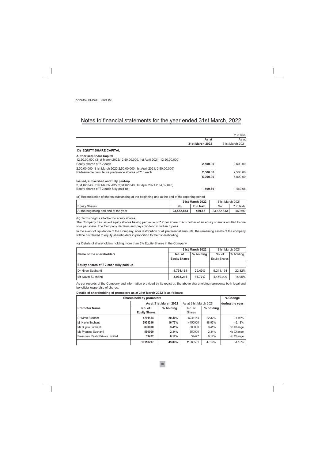|                        | ₹ in lakh       |
|------------------------|-----------------|
| As at                  | As at           |
| <b>31st March 2022</b> | 31st March 2021 |
|                        |                 |
|                        |                 |
| 2.500.00               | 2.500.00        |
|                        |                 |
| 2,500.00               | 2,500.00        |
| 5,000.00               | 5,000.00        |
|                        | 469.66          |
|                        | 469.66          |

(a) Reconciliation of shares outstanding at the beginning and at the end of the reporting period

|                                      |            | 31st March 2022 | 31st March 2021 |             |
|--------------------------------------|------------|-----------------|-----------------|-------------|
| <b>Equity Shares</b>                 | No.        | ₹ in lakh       | No.             | ₹ in lakh l |
| At the beginning and end of the year | 23.482.843 | 469.66          | 23.482.843      | 469.66      |

(b) Terms / rights attached to equity shares

The Company has issued equity shares having par value of  $\bar{z}$  2 per share. Each holder of an equity share is entitled to one vote per share. The Company declares and pays dividend in Indian rupees.

In the event of liquidation of the Company, after distribution of all preferential amounts, the remaining assets of the company will be distributed to equity shareholders in proportion to their shareholding.

(c) Details of shareholders holding more than 5% Equity Shares in the Company

|                                                 |                      | <b>31st March 2022</b> | 31st March 2021 |           |  |
|-------------------------------------------------|----------------------|------------------------|-----------------|-----------|--|
| Name of the shareholders                        | No. of               | % holding              | No. of          | % holding |  |
|                                                 | <b>Equity Shares</b> |                        | Equity Shares   |           |  |
| Equity shares of $\bar{z}$ 2 each fully paid up |                      |                        |                 |           |  |
| Dr Niren Suchanti                               | 4.791.154            | 20.40%                 | 5.241.154       | 22.32%    |  |
| Mr Navin Suchanti                               | 3,938,216            | 16.77%                 | 4.450.000       | 18.95%    |  |

As per records of the Company and information provided by its registrar, the above shareholding represents both legal and beneficial ownership of shares.

#### Details of shareholding of promoters as at 31st March 2022 is as follows:

| Shares held by promoters        |                      |                       |                       |           |                 |  |  |
|---------------------------------|----------------------|-----------------------|-----------------------|-----------|-----------------|--|--|
|                                 |                      | As at 31st March 2022 | As at 31st March 2021 |           | during the year |  |  |
| <b>Promoter Name</b>            | No. of               | % holding             | No. of                | % holding |                 |  |  |
|                                 | <b>Equity Shares</b> |                       | <b>Shares</b>         |           |                 |  |  |
| Dr Niren Suchanti               | 4791154              | 20.40%                | 5241154               | 22.32%    | $-1.92%$        |  |  |
| Mr Navin Suchanti               | 3938216              | 16.77%                | 4450000               | 18.95%    | $-2.18%$        |  |  |
| Ms Sujata Suchanti              | 800000               | 3.41%                 | 800000                | 3.41%     | No Change       |  |  |
| Ms Pramina Suchanti             | 550000               | 2.34%                 | 550000                | 2.34%     | No Change       |  |  |
| Pressman Realty Private Limited | 39427                | 0.17%                 | 39427                 | 0.17%     | No Change       |  |  |
|                                 | 10118797             | 43.09%                | 11080581              | 47.19%    | $-4.10%$        |  |  |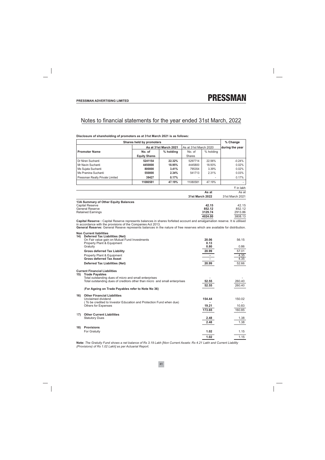|                   |                                                                                                                                                                                           | <b>Shares held by promoters</b> |                       |                        |                       | % Change             |
|-------------------|-------------------------------------------------------------------------------------------------------------------------------------------------------------------------------------------|---------------------------------|-----------------------|------------------------|-----------------------|----------------------|
|                   |                                                                                                                                                                                           |                                 | As at 31st March 2021 |                        | As at 31st March 2020 |                      |
|                   | <b>Promoter Name</b>                                                                                                                                                                      | No. of                          | % holding             | No. of                 | % holding             |                      |
|                   |                                                                                                                                                                                           | <b>Equity Shares</b>            |                       | <b>Shares</b>          |                       |                      |
|                   | Dr Niren Suchanti                                                                                                                                                                         | 5241154                         | 22.32%                | 5297714                | 22.56%                | $-0.24%$             |
|                   | Mr Navin Suchanti                                                                                                                                                                         | 4450000                         | 18.95%                | 4445800                | 18.93%                | 0.02%                |
|                   | Ms Sujata Suchanti                                                                                                                                                                        | 800000                          | 3.41%                 | 795354                 | 3.39%                 | 0.02%                |
|                   | Ms Pramina Suchanti                                                                                                                                                                       | 550000                          | 2.34%                 | 541713                 | 2.31%                 | 0.03%                |
|                   | Pressman Realty Private Limited                                                                                                                                                           | 39427                           | 0.17%                 | $\overline{a}$         |                       | 0.17%                |
|                   |                                                                                                                                                                                           | 11080581                        | 47.19%                | 11080581               | 47.19%                |                      |
|                   |                                                                                                                                                                                           |                                 |                       |                        |                       | ₹ in lakh            |
|                   |                                                                                                                                                                                           |                                 |                       |                        | As at                 | As at                |
|                   |                                                                                                                                                                                           |                                 |                       | <b>31st March 2022</b> |                       | 31st March 2021      |
|                   | 13A Summary of Other Equity Balances                                                                                                                                                      |                                 |                       |                        |                       |                      |
|                   | <b>Capital Reserve</b>                                                                                                                                                                    |                                 |                       |                        | 42.15                 | 42.15                |
|                   | <b>General Reserve</b>                                                                                                                                                                    |                                 |                       |                        | 852.12                | 852.12               |
|                   | <b>Retained Earnings</b>                                                                                                                                                                  |                                 |                       |                        | 3129.74               | 2913.86              |
|                   |                                                                                                                                                                                           |                                 |                       |                        | 4024.00               | 3808.13              |
|                   | Capital Reserve: Capital Reserve represents balances in shares forfeited account and amalgamation reserve. It is utilised<br>in accordance with the provisions of the Companies Act 2013. |                                 |                       |                        |                       |                      |
|                   | General Reserve: General Reseve represents balances in the nature of free reserves which are available for distribution.                                                                  |                                 |                       |                        |                       |                      |
|                   | <b>Non Current liabilities</b>                                                                                                                                                            |                                 |                       |                        |                       |                      |
|                   | 14) Deferred Tax Liabilities (Net)                                                                                                                                                        |                                 |                       |                        |                       |                      |
|                   | On Fair value gain on Mutual Fund Investments                                                                                                                                             |                                 |                       |                        | 20.06                 | 56.15                |
|                   | Property Plant & Equipment<br>Gratuity                                                                                                                                                    |                                 |                       |                        | 0.13<br>0.80          | 0.86                 |
|                   | <b>Gross deferred Tax Liability</b>                                                                                                                                                       |                                 |                       |                        | 20.99                 | 57.01                |
|                   | Property Plant & Equipment                                                                                                                                                                |                                 |                       |                        | ×.                    | 4.35                 |
|                   | <b>Gross deferred Tax Asset</b>                                                                                                                                                           |                                 |                       |                        | ÷.                    | 4.35                 |
|                   | <b>Deferred Tax Liabilities (Net)</b>                                                                                                                                                     |                                 |                       |                        | 20.99                 | 52.66                |
|                   |                                                                                                                                                                                           |                                 |                       |                        |                       |                      |
|                   | <b>Current Financial Liabilities</b>                                                                                                                                                      |                                 |                       |                        |                       |                      |
| 15)               | <b>Trade Payables</b>                                                                                                                                                                     |                                 |                       |                        |                       |                      |
|                   | Total outstanding dues of micro and small enterprises<br>Total outstanding dues of creditors other than micro and small enterprises                                                       |                                 |                       |                        | 52.55                 |                      |
|                   |                                                                                                                                                                                           |                                 |                       |                        |                       |                      |
|                   |                                                                                                                                                                                           |                                 |                       |                        |                       | 260.40               |
|                   | (For Ageing on Trade Payables refer to Note No 36)                                                                                                                                        |                                 |                       |                        | 52.55                 | 260.40               |
|                   |                                                                                                                                                                                           |                                 |                       |                        |                       |                      |
|                   | <b>Other Financial Liabilities</b><br>Unclaimed dividend                                                                                                                                  |                                 |                       |                        | 154.44                | 150.02               |
|                   | (To be credited to Investor Education and Protection Fund when due)                                                                                                                       |                                 |                       |                        |                       |                      |
|                   | <b>Others for Expenses</b>                                                                                                                                                                |                                 |                       |                        | 19.21                 |                      |
|                   |                                                                                                                                                                                           |                                 |                       |                        | 173.65                | 10.83<br>160.85      |
|                   | <b>Other Current Liabilities</b>                                                                                                                                                          |                                 |                       |                        |                       |                      |
|                   | <b>Statutory Dues</b>                                                                                                                                                                     |                                 |                       |                        | 2.48                  |                      |
|                   |                                                                                                                                                                                           |                                 |                       |                        | 2.48                  |                      |
|                   | <b>Provisions</b>                                                                                                                                                                         |                                 |                       |                        |                       |                      |
| 16)<br>17)<br>18) | For Gratuity                                                                                                                                                                              |                                 |                       |                        | 1.02                  | 1.38<br>1.38<br>1.15 |

#### Disclosure of shareholding of promoters as at 31st March 2021 is as follows:

Note: The Gratuity Fund shows a net balance of Rs 3.19 Lakh [Non Current Assets: Rs 4.21 Lakh and Current Liability (Provisions) of Rs 1.02 Lakh] as per Actuarial Report.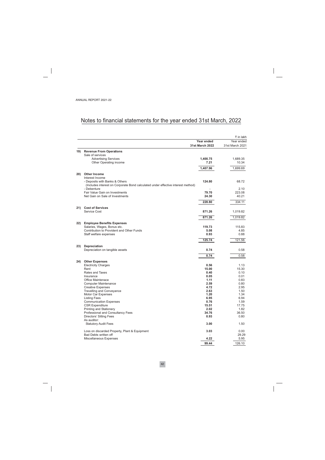|     |                                                                                  |                        | ₹ in lakh         |
|-----|----------------------------------------------------------------------------------|------------------------|-------------------|
|     |                                                                                  | Year ended             | Year ended        |
|     |                                                                                  | <b>31st March 2022</b> | 31st March 2021   |
|     | 19) Revenue From Operations                                                      |                        |                   |
|     | Sale of services                                                                 |                        |                   |
|     | <b>Advertising Services</b><br>Other Operating income                            | 1,400.75<br>7.21       | 1,689.35<br>10.34 |
|     |                                                                                  |                        |                   |
|     |                                                                                  | 1,407.96               | 1,699.69          |
| 20) | <b>Other Income</b>                                                              |                        |                   |
|     | Interest Income                                                                  |                        |                   |
|     | - Deposits with Banks & Others                                                   | 124.80                 | 68.72             |
|     | (Includes interest on Corporate Bond calculated under effective interest method) |                        |                   |
|     | - Debenture<br>Fair Value Gain on Investments                                    | 79.70                  | 2.10              |
|     | Net Gain on Sale of Investments                                                  | 24.30                  | 223.08<br>40.21   |
|     |                                                                                  |                        |                   |
|     |                                                                                  | 228.80                 | 334.11            |
| 21) | <b>Cost of Services</b>                                                          |                        |                   |
|     | <b>Service Cost</b>                                                              | 871.26                 | 1,019.82          |
|     |                                                                                  | 871.26                 | 1,019.82          |
|     |                                                                                  |                        |                   |
| 22) | <b>Employee Benefits Expenses</b><br>Salaries, Wages, Bonus etc.                 | 119.73                 | 115.83            |
|     | Contribution to Provident and Other Funds                                        | 5.08                   | 4.85              |
|     | Staff welfare expenses                                                           | 0.93                   | 0.88              |
|     |                                                                                  | 125.74                 | 121.56            |
|     |                                                                                  |                        |                   |
| 23) | Depreciation                                                                     |                        |                   |
|     | Depreciation on tangible assets                                                  | 0.74                   | 0.58              |
|     |                                                                                  | 0.74                   | 0.58              |
| 24) | <b>Other Expenses</b>                                                            |                        |                   |
|     | <b>Electricity Charges</b>                                                       | 0.56                   | 1.13              |
|     | Rent                                                                             | 15.00                  | 15.30             |
|     | <b>Rates and Taxes</b>                                                           | 0.40                   | 0.10              |
|     | Insurance                                                                        | 0.05                   | 0.01              |
|     | <b>Office Maintenace</b>                                                         | 1.11                   | 0.83              |
|     | <b>Computer Maintenance</b><br><b>Creative Expenses</b>                          | 2.59<br>4.72           | 0.80<br>2.95      |
|     | Travelling and Conveyance                                                        | 2.63                   | 1.50              |
|     | Motor Car Expenses                                                               | 1.20                   | 1.34              |
|     | <b>Listing Fees</b>                                                              | 6.95                   | 6.94              |
|     | <b>Communication Expenses</b>                                                    | 0.76                   | 1.59              |
|     | <b>CSR Expenditure</b>                                                           | 15.51                  | 17.75             |
|     | Printing and Stationery                                                          | 2.02                   | 1.82              |
|     | Professional and Consultancy Fees                                                | 34.76                  | 36.50             |
|     | Directors' Sitting Fees                                                          | 0.93                   | 0.80              |
|     | As auditor:<br><b>Statutory Audit Fees</b>                                       | 3.00                   | 1.50              |
|     |                                                                                  |                        |                   |
|     | Loss on discarded Property, Plant & Equipment                                    | 3.03                   | 0.00              |
|     | Bad Debts written off                                                            |                        | 29.29             |
|     | Miscellaneous Expenses                                                           | 4.22                   | 5.95              |
|     |                                                                                  | 99.44                  | 126.10            |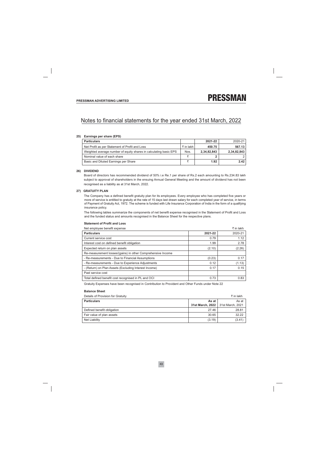#### 25) Earnings per share (EPS)

| <b>Particulars</b>                                                |             | 2021-22     | 2020-21     |
|-------------------------------------------------------------------|-------------|-------------|-------------|
| Net Profit as per Statement of Profit and Loss                    | ₹ in lakh l | 450.75      | 567.13      |
| Weighted average number of equity shares in calculating basic EPS | Nos.        | 2,34,82,843 | 2,34,82,843 |
| Nominal value of each share                                       |             |             |             |
| Basic and Diluted Earnings per Share                              |             | 1.92        | 2.42        |

#### 26) DIVIDEND

Board of directors has recommended dividend of 50% i.e Re.1 per share of Rs.2 each amounting to Rs.234.83 lakh subject to approval of shareholders in the ensuing Annual General Meeting and the amount of dividend has not been recognised as a liability as at 31st March, 2022.

#### 27) GRATUITY PLAN

The Company has a defined benefit gratuity plan for its employees. Every employee who has completed five years or more of service is entitled to gratuity at the rate of 15 days last drawn salary for each completed year of service, in terms of Payment of Gratuity Act, 1972. The scheme is funded with Life Insurance Corporation of India in the form of a qualifying insurance policy.

The following tables summarize the components of net benefit expense recognised in the Statement of Profit and Loss and the funded status and amounts recognised in the Balance Sheet for the respective plans.

#### **Statement of Profit and Loss**

| Net employee benefit expense                                |         | ₹ in lakh |
|-------------------------------------------------------------|---------|-----------|
| <b>Particulars</b>                                          | 2021-22 | 2020-21   |
| Current service cost                                        | 0.79    | 1.12      |
| Interest cost on defined benefit obligation                 | 1.99    | 2.78      |
| Expected return on plan assets                              | (2.10)  | (2.26)    |
| Re-measurement losses/(gains) in other Comprehensive Income |         |           |
| - Re-measurements - Due to Financial Assumptions            | (0.23)  | 0.17      |
| - Re-measurements - Due to Experience Adjustments           | 0.12    | (1.13)    |
| - (Return) on Plan Assets (Excluding Interest Income)       | 0.17    | 0.15      |
| Past service cost                                           |         |           |
| Total defined benefit cost recognised in PL and OCI         | 0.73    | 0.83      |

Gratuity Expenses have been recognised in Contribution to Provident and Other Funds under Note 22

#### **Balance Sheet**

| Details of Provision for Gratuity |                                     | ₹ in lakh |
|-----------------------------------|-------------------------------------|-----------|
| <b>Particulars</b>                | As at                               | As at     |
|                                   | 31st March, 2022   31st March, 2021 |           |
| Defined benefit obligation        | 27.46                               | 28.81     |
| Fair value of plan assets         | 30.65                               | 32.22     |
| Net Liability                     | (3.19)                              | (3.41)    |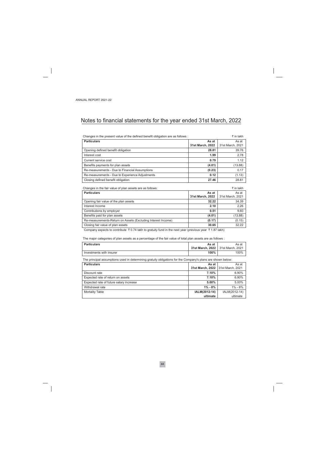| Changes in the present value of the defined benefit obligation are as follows :                                                                                                                                                                                                                               |                  | ₹ in lakh        |
|---------------------------------------------------------------------------------------------------------------------------------------------------------------------------------------------------------------------------------------------------------------------------------------------------------------|------------------|------------------|
| <b>Particulars</b>                                                                                                                                                                                                                                                                                            | As at            | As at            |
|                                                                                                                                                                                                                                                                                                               | 31st March, 2022 | 31st March, 2021 |
| Opening defined benefit obligation                                                                                                                                                                                                                                                                            | 28.81            | 39.76            |
| Interest cost                                                                                                                                                                                                                                                                                                 | 1.99             | 2.78             |
| Current service cost                                                                                                                                                                                                                                                                                          | 0.79             | 1.12             |
| Benefits payments for plan assets                                                                                                                                                                                                                                                                             | (4.01)           | (13.88)          |
| Re-measurements - Due to Financial Assumptions                                                                                                                                                                                                                                                                | (0.23)           | 0.17             |
| Re-measurements - Due to Experience Adjustments                                                                                                                                                                                                                                                               | 0.12             | (1.13)           |
| Closing defined benefit obligation                                                                                                                                                                                                                                                                            | 27.46            | 28.81            |
|                                                                                                                                                                                                                                                                                                               |                  |                  |
| Changes in the fair value of plan assets are as follows:                                                                                                                                                                                                                                                      |                  | ₹ in lakh        |
| <b>Particulars</b>                                                                                                                                                                                                                                                                                            | As at            | As at            |
|                                                                                                                                                                                                                                                                                                               | 31st March, 2022 | 31st March, 2021 |
| Opening fair value of the plan assets                                                                                                                                                                                                                                                                         | 32.22            | 34.39            |
| Interest Income                                                                                                                                                                                                                                                                                               | 2.10             | 2.26             |
| Contributions by employer                                                                                                                                                                                                                                                                                     | 0.51             | 9.60             |
| Benefits paid for plan assets                                                                                                                                                                                                                                                                                 | (4.01)           | (13.88)          |
| Re-measurements-Return on Assets (Excluding Interest Income)                                                                                                                                                                                                                                                  | (0.17)           | (0.15)           |
| Closing fair value of plan assets                                                                                                                                                                                                                                                                             | 30.65            | 32.22            |
| $\mathbf{r}$ , and $\mathbf{r}$ , $\mathbf{r}$ , $\mathbf{r}$ , $\mathbf{r}$ , $\mathbf{r}$ , $\mathbf{r}$ , $\mathbf{r}$ , $\mathbf{r}$ , $\mathbf{r}$ , $\mathbf{r}$ , $\mathbf{r}$ , $\mathbf{r}$ , $\mathbf{r}$ , $\mathbf{r}$ , $\mathbf{r}$ , $\mathbf{r}$ , $\mathbf{r}$ , $\mathbf{r}$ , $\mathbf{r}$ | T 4 0 T 1 1 1 V  |                  |

Company expects to contribute ₹ 0.74 lakh to gratuity fund in the next year (previous year ₹ 1.87 lakh)

The major categories of plan assets as a percentage of the fair value of total plan assets are as follows :

| <b>Particulars</b>       | As at<br>31st March. 2022   31st March. 2021 | As at |
|--------------------------|----------------------------------------------|-------|
| Investments with insurer | 100%                                         | 100%  |

The principal assumptions used in determining gratuity obligations for the Company's plans are shown below:

| <b>Particulars</b>                      | As at            | As at            |
|-----------------------------------------|------------------|------------------|
|                                         | 31st March, 2022 | 31st March, 2021 |
| Discount rate                           | 7.10%            | 6.90%            |
| Expected rate of return on assets       | 7.10%            | 6.90%            |
| Expected rate of future salary increase | 5.00%            | 5.00%            |
| Withdrawal rate                         | $1\% - 8\%$      | $1\% - 8\%$      |
| <b>Mortality Table</b>                  | IALM(2012-14)    | IALM(2012-14)    |
|                                         | ultimate         | ultimate         |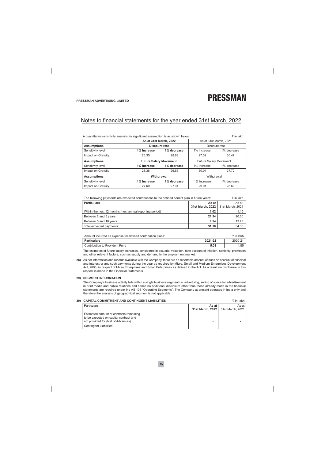₹ in lakh

## Notes to financial statements for the year ended 31st March, 2022

| A quantitative sensitivity analysis for significant assumption is as shown below:<br>₹ in lakh |                               |             |                               |                        |  |
|------------------------------------------------------------------------------------------------|-------------------------------|-------------|-------------------------------|------------------------|--|
|                                                                                                | As at 31st March, 2022        |             |                               | As at 31st March, 2021 |  |
| <b>Assumptions</b>                                                                             | Discount rate                 |             | Discount rate                 |                        |  |
| Sensitivity level                                                                              | 1% increase                   | 1% decrease | 1% increase                   | 1% decrease            |  |
| Impact on Gratuity                                                                             | 26.35                         | 28.68       | 27.32                         | 30.47                  |  |
| <b>Assumptions</b>                                                                             | <b>Future Salary Movement</b> |             | <b>Future Salary Movement</b> |                        |  |
| Sensitivity level                                                                              | 1% increase                   | 1% decrease | 1% increase                   | 1% decrease            |  |
| Impact on Gratuity                                                                             | 28.36                         | 26.66       | 30.04                         | 27.72                  |  |
| <b>Assumptions</b>                                                                             | Withdrawal                    |             | Withdrawal                    |                        |  |
| Sensitivity level                                                                              | 1% increase                   | 1% decrease | 1% increase                   | 1% decrease            |  |
| Impact on Gratuity                                                                             | 27.60                         | 27.31       | 29.01<br>28.60                |                        |  |

| The following payments are expected contributions to the defined benefit plan in future years: |       | ₹ in lakh         |
|------------------------------------------------------------------------------------------------|-------|-------------------|
| $\blacksquare$ Particulars                                                                     | Asatl | As at $\parallel$ |

| <b>Faluculais</b>                                        | AS dl                               | AS di |
|----------------------------------------------------------|-------------------------------------|-------|
|                                                          | 31st March. 2022   31st March. 2021 |       |
| Within the next 12 months (next annual reporting period) | 1.02                                | 1.15  |
| Between 2 and 5 years                                    | 21.54                               | 20.00 |
| Between 5 and 10 years                                   | 8.54                                | 13.23 |
| Total expected payments                                  | 31.10                               | 34.38 |

| Amount incurred as expense for defined contribution plans: |         | ₹ in lakh |
|------------------------------------------------------------|---------|-----------|
| <b>Particulars</b>                                         | 2021-22 | 2020-21   |
| Contribution to Provident Fund                             | 5.08    | 4.85      |

The estimates of future salary increases, considered in actuarial valuation, take account of inflation, seniority, promotion and other relevant factors, such as supply and demand in the employment market.

28) As per information and records available with the Company, there are no reportable amount of dues on account of principal and interest or any such payments during the year as required by Micro, Small and Medium Enterprises Development Act, 2006, in respect of Micro Enterprises and Small Enterprises as defined in the Act. As a result no disclosure in this respect is made in the Financial Statements.

#### 29) SEGMENT INFORMATION

The Company's business activity falls within a single business segment i.e. advertising, selling of space for advertisement in print media and public relations and hence no additional disclosure other than those already made in the financial statements are required under Ind AS 108 "Operating Segments". The Company at present operates in India only and therefore the analysis of geographical segment is not applicable.

#### 30) CAPITAL COMMITMENT AND CONTINGENT LIABILITIES

| <b>Particulars</b>                                                                                                      | As at l<br>31st March, 2022   31st March, 2021 | As at |
|-------------------------------------------------------------------------------------------------------------------------|------------------------------------------------|-------|
| Estimated amount of contracts remaining<br>to be executed on capital contract and<br>not provided for (Net of Advances) | -                                              |       |
| <b>Contingent Liabilities</b>                                                                                           | -                                              |       |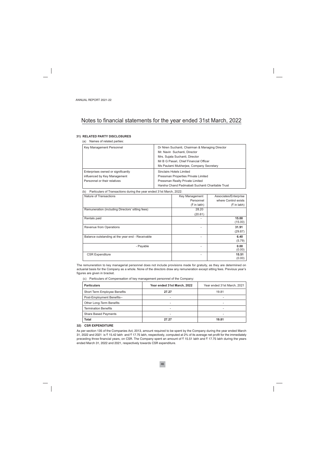#### 31) RELATED PARTY DISCLOSURES

(a) Names of related parties:

| Key Management Personnel           | Dr Niren Suchanti, Chairman & Managing Director  |
|------------------------------------|--------------------------------------------------|
|                                    | Mr. Navin Suchanti, Director                     |
|                                    | Mrs. Sujata Suchanti, Director                   |
|                                    | Mr B G Pasari, Chief Financial Officer           |
|                                    | Ms Paulami Mukherjee, Company Secretary          |
| Enterprises owned or significantly | Sinclairs Hotels Limited                         |
| influenced by Key Management       | Pressman Properties Private Limited              |
| Personnel or their relatives       | Pressman Realty Private Limited                  |
|                                    | Harsha Chand Padmabati Suchanti Charitable Trust |

(b) Particulars of Transactions during the year ended 31st March, 2022:

| Nature of Transactions                           | Key Management | Associates/Enterprise |
|--------------------------------------------------|----------------|-----------------------|
|                                                  | Personnel      | where Control exists  |
|                                                  | $($ ₹ in lakh) | $($ ₹ in lakh)        |
| Remuneration (including Directors' sitting fees) | 28.20          |                       |
|                                                  | (20.61)        |                       |
| Rentals paid                                     |                | 15.00<br>(15.00)      |
| Revenue from Operations                          |                | 31.91<br>(29.87)      |
| Balance outstanding at the year end - Receivable |                | 6.40<br>(5.79)        |
| - Payable                                        |                | 0.00<br>(0.00)        |
| <b>CSR Expenditure</b>                           |                | 15.51<br>(0.00)       |

The remuneration to key managerial personnel does not include provisions made for gratuity, as they are determined on actuarial basis for the Company as a whole. None of the directors draw any remuneration except sitting fees. Previous year's figures are given in bracket.

(c) Particulars of Compensation of key management personnel of the Company:

| <b>Particulars</b>           | Year ended 31st March, 2022 | Year ended 31st March, 2021 |
|------------------------------|-----------------------------|-----------------------------|
| Short Term Employee Benefits | 27.27                       | 19.81                       |
| Post-Employment Benefits--   | -                           | -                           |
| Other Long-Term Benefits     | -                           | -                           |
| <b>Termination Benefits</b>  | -                           | -                           |
| <b>Share Based Payments</b>  |                             | -                           |
| Total                        | 27.27                       | 19.81                       |

#### 32) CSR EXPENDITURE

As per section 135 of the Companies Act, 2013, amount required to be spent by the Company during the year ended March 31, 2022 and 2021 is ₹ 15.42 lakh and ₹ 17.75 lakh, respectively, computed at 2% of its average net profit for the immediately preceding three financial years, on CSR. The Company spent an amount of ₹15.51 lakh and ₹17.75 lakh during the years ended March 31, 2022 and 2021, respectively towards CSR expenditure.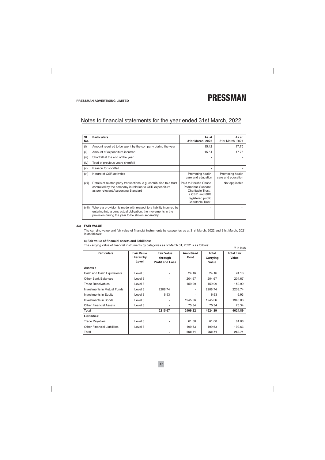| SI<br>No. | <b>Particulars</b>                                                                                                                                                                    | As at<br>31st March, 2022                                                                                                        | As at<br>31st March, 2021              |
|-----------|---------------------------------------------------------------------------------------------------------------------------------------------------------------------------------------|----------------------------------------------------------------------------------------------------------------------------------|----------------------------------------|
| (i)       | Amount required to be spent by the company during the year                                                                                                                            | 15.42                                                                                                                            | 17.75                                  |
| (ii)      | Amount of expenditure incurred                                                                                                                                                        | 15.51                                                                                                                            | 17.75                                  |
| (iii)     | Shortfall at the end of the year                                                                                                                                                      | -                                                                                                                                |                                        |
| (iv)      | Total of previous years shortfall                                                                                                                                                     |                                                                                                                                  |                                        |
| (v)       | Reason for shortfall                                                                                                                                                                  |                                                                                                                                  |                                        |
| (vi)      | Nature of CSR activities                                                                                                                                                              | Promoting health<br>care and education                                                                                           | Promoting health<br>care and education |
| (vii)     | Details of related party transactions, e.g., contribution to a trust<br>controlled by the company in relation to CSR expenditure<br>as per relevant Accounting Standard               | Paid to Harsha Chand<br>Padmabati Suchanti<br>Charitable Trust,<br>a CSR and 80G<br>registered public<br><b>Charitable Trust</b> | Not applicable                         |
| (viii)    | Where a provision is made with respect to a liability incurred by<br>entering into a contractual obligation, the movements in the<br>provision during the year to be shown separately |                                                                                                                                  |                                        |

#### 33) FAIR VALUE

The carrying value and fair value of financial instruments by categories as at 31st March, 2022 and 31st March, 2021 is as follows:

#### a) Fair value of financial assets and liabilities:

The carrying value of financial instruments by categories as of March 31, 2022 is as follows:

| ₹ in lakh                          |                                |                              |                          |                          |                            |  |  |  |
|------------------------------------|--------------------------------|------------------------------|--------------------------|--------------------------|----------------------------|--|--|--|
| <b>Particulars</b>                 | <b>Fair Value</b><br>Hierarchy | <b>Fair Value</b><br>through | <b>Amortised</b><br>Cost | <b>Total</b><br>Carrying | <b>Total Fair</b><br>Value |  |  |  |
|                                    | Level                          | <b>Profit and Loss</b>       |                          | Value                    |                            |  |  |  |
| Assets:                            |                                |                              |                          |                          |                            |  |  |  |
| Cash and Cash Equivalents          | Level 3                        |                              | 24.16                    | 24.16                    | 24.16                      |  |  |  |
| <b>Other Bank Balances</b>         | Level 3                        |                              | 204.67                   | 204.67                   | 204.67                     |  |  |  |
| <b>Trade Receivables</b>           | Level 3                        |                              | 159.99                   | 159.99                   | 159.99                     |  |  |  |
| Investments in Mutual Funds        | Level 3                        | 2208.74                      |                          | 2208.74                  | 2208.74                    |  |  |  |
| Investments in Equity              | Level 3                        | 6.93                         |                          | 6.93                     | 6.93                       |  |  |  |
| Investments in Bonds               | Level 3                        |                              | 1945.06                  | 1945.06                  | 1945.06                    |  |  |  |
| <b>Other Financial Assets</b>      | Level 3                        |                              | 75.34                    | 75.34                    | 75.34                      |  |  |  |
| <b>Total</b>                       |                                | 2215.67                      | 2409.22                  | 4624.89                  | 4624.89                    |  |  |  |
| Liabilities:                       |                                |                              |                          |                          |                            |  |  |  |
| <b>Trade Payables</b>              | Level 3                        |                              | 61.08                    | 61.08                    | 61.08                      |  |  |  |
| <b>Other Financial Liabilities</b> | Level 3                        |                              | 199.63                   | 199.63                   | 199.63                     |  |  |  |
| <b>Total</b>                       |                                |                              | 260.71                   | 260.71                   | 260.71                     |  |  |  |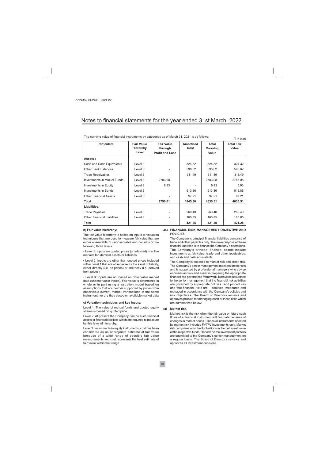The carrying value of financial instruments by categories as of March 31, 2021 is as follows:

| <b>Particulars</b>                 | <b>Fair Value</b><br>Hierarchy<br>Level | <b>Fair Value</b><br>through<br><b>Profit and Loss</b> | <b>Amortised</b><br>Cost | <b>Total</b><br>Carrying<br>Value | <b>Total Fair</b><br>Value |
|------------------------------------|-----------------------------------------|--------------------------------------------------------|--------------------------|-----------------------------------|----------------------------|
| Assets:                            |                                         |                                                        |                          |                                   |                            |
| Cash and Cash Equivalents          | Level 3                                 |                                                        | 324.32                   | 324.32                            | 324.32                     |
| <b>Other Bank Balances</b>         | Level 3                                 |                                                        | 598.62                   | 598.62                            | 598.62                     |
| <b>Trade Receivables</b>           | Level 3                                 |                                                        | 311.49                   | 311.49                            | 311.49                     |
| Investments in Mutual Funds        | Level 3                                 | 2783.08                                                |                          | 2783.08                           | 2783.08                    |
| <b>Investments in Equity</b>       | Level 3                                 | 6.93                                                   |                          | 6.93                              | 6.93                       |
| <b>Investments in Bonds</b>        | Level 3                                 |                                                        | 513.86                   | 513.86                            | 513.86                     |
| <b>Other Financial Assets</b>      | Level 3                                 |                                                        | 97.21                    | 97.21                             | 97.21                      |
| <b>Total</b>                       |                                         | 2790.01                                                | 1845.50                  | 4635.51                           | 4635.51                    |
| Liabilities:                       |                                         |                                                        |                          |                                   |                            |
| <b>Trade Payables</b>              | Level 3                                 |                                                        | 260.40                   | 260.40                            | 260.40                     |
| <b>Other Financial Liabilities</b> | Level 3                                 |                                                        | 160.85                   | 160.85                            | 160.85                     |
| <b>Total</b>                       |                                         |                                                        | 421.25                   | 421.25                            | 421.25                     |

#### b) Fair value hierarchy:

The fair value hierarchy is based on inputs to valuation techniques that are used to measure fair value that are either observable or unobservable and consists of the following three levels:

• Level 1: Inputs are quoted prices (unadjusted) in active markets for identical assets or liabilities.

• Level 2: Inputs are other than quoted prices included within Level 1 that are observable for the asset or liability, either directly (i.e. as prices) or indirectly (i.e. derived from prices).

• Level 3: Inputs are not based on observable market data (unobservable inputs). Fair value is determined in whole or in part using a valuation model based on assumptions that are neither supported by prices from observable current market transactions in the same instrument nor are they based on available market data

#### c) Valuation techniques and key inputs:

Level 1: The value of mutual funds and quoted equity shares is based on quoted price.

Level 2: At present the Company has no such financial assets or financial liabilities which are required to measure by this level of hierarchy.

Level 3: Investments in equity instruments, cost has been considered as an appropriate estimate of fair value because of a wide range of possible fair value measurements and cost represents the best estimate of fair value within that range.

#### 34) FINANCIAL RISK MANAGEMENT OBJECTIVE AND **POLICIES**

The Company's principal financial liabilities comprise of trade and other payables only. The main purpose of these financial liabilities is to finance the Company's operations. The Company's principal financial assets include investments at fair value, trade and other receivables, and cash and cash equivalents.

 $\bar{z}$  in lakh

The Company is exposed to market risk and credit risk. The Company's senior management monitors these risks and is supported by professional managers who advise on financial risks and assist in preparing the appropriate financial risk governance framework. It provides assurance to the senior management that the financial risk activities are governed by appropriate policies and procedures and that financial risks are identified, measured and managed in accordance with the Company's policies and risk objectives. The Board of Directors reviews and approves policies for managing each of these risks which are summarized below:

#### (a) Market risk

Market risk is the risk when the fair value or future cash flows of a financial instrument will fluctuate because of changes in market prices. Financial instruments affected by market risk includes FVTPL Investments only. Market risk comprises only the fluctuations in the net asset value of the respective funds. Reports on the investment portfolio are submitted to the Company's senior management on a regular basis. The Board of Directors reviews and approves all investment decisions.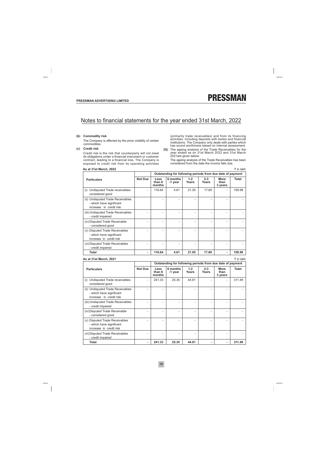₹ in lakh

₹ in lakh

### Notes to financial statements for the year ended 31st March, 2022

#### (b) Commodity risk

The Company is affected by the price volatility of certain commodities.

#### (c) Credit risk

Credit risk is the risk that counterparty will not meet its obligations under a financial instrument or customer contract, leading to a financial loss. The Company is exposed to credit risk from its operating activities

#### As at 31st March, 2022

(primarily trade receivables) and from its financing activities, including deposits with banks and financial institutions. The Company only deals with parties which has sound worthiness based on internal assessment.

35) The ageing analysis of the Trade Receivables for the year ended as on 31st March 2022 and 31st March<br>2021 are given below:

The ageing analysis of the Trade Receivables has been considered from the date the invoice falls due.

|                                                                                          |         | Outstanding for following periods from due date of payment |                     |                  |                         |                                |        |
|------------------------------------------------------------------------------------------|---------|------------------------------------------------------------|---------------------|------------------|-------------------------|--------------------------------|--------|
| <b>Particulars</b>                                                                       | Not Due | Less<br>than 6<br>months                                   | 6 months<br>-1 year | $1 - 2$<br>Years | $2 - 3$<br><b>Years</b> | <b>More</b><br>than<br>3 years | Total  |
| Undisputed Trade receivables-<br>(i)<br>considered good                                  |         | 116.64                                                     | 4.61                | 21.05            | 17.69                   | $\overline{\phantom{a}}$       | 159.99 |
| (ii) Undisputed Trade Receivables<br>- which have significant<br>increase in credit risk |         |                                                            |                     |                  |                         |                                |        |
| (iii) Undisputed Trade Receivables<br>- credit impaired                                  |         |                                                            |                     |                  |                         |                                |        |
| (iv) Disputed Trade Receivable<br>- considered good                                      |         |                                                            |                     |                  |                         |                                |        |
| (v) Disputed Trade Receivables<br>- which have significant<br>increase in credit risk    |         |                                                            |                     |                  |                         |                                |        |
| (vi) Disputed Trade Receivables<br>- credit impaired                                     |         |                                                            |                     |                  |                         |                                |        |
| Total                                                                                    | ٠       | 116.64                                                     | 4.61                | 21.05            | 17.69                   | ۰                              | 159.99 |

#### As at 31st March, 2021

Outstanding for following periods from due date of payment **Not Due**  $1 - 2$ **Particulars** Less 6 months  $2 - 3$ **More Total** than 6 Years Years than -1 year months 3 years (i) Undisputed Trade receivables-241.33 25.35 44.81 311.49  $\overline{a}$ considered good (ii) Undisputed Trade Receivables  $\overline{a}$  $\overline{a}$  $\overline{a}$  $\overline{a}$ L. L.  $\overline{a}$ - which have significant increase in credit risk (iii) Undisputed Trade Receivables  $\overline{a}$  $\overline{a}$ l,  $\overline{a}$ l,  $\overline{a}$  $\overline{a}$ - credit impaired (iv) Disputed Trade Receivable  $\overline{a}$  $\overline{a}$ l.  $\overline{a}$ l.  $\overline{a}$  $\overline{a}$ - considered good (v) Disputed Trade Receivables  $\overline{a}$  $\frac{1}{2}$ Ĩ.  $\overline{a}$ Ĩ. Ĭ.  $\overline{a}$ - which have significant increase in credit risk (vi) Disputed Trade Receivables  $\overline{a}$ L  $\overline{a}$ - credit impaired **Total** ÷. 241.33 25.35 44.81 ÷, ä, 311.49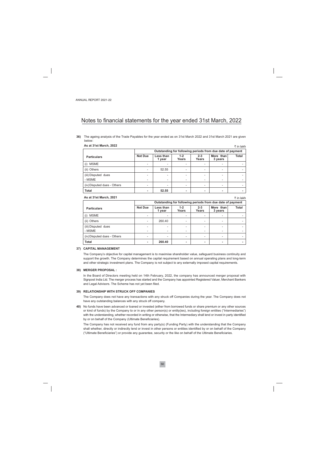36) The ageing analysis of the Trade Payables for the year ended as on 31st March 2022 and 31st March 2021 are given helow:

| As at 31st March, 2022<br>₹ in lakh |                |                                                            |                          |       |  |  |  |  |
|-------------------------------------|----------------|------------------------------------------------------------|--------------------------|-------|--|--|--|--|
|                                     |                | Outstanding for following periods from due date of payment |                          |       |  |  |  |  |
| <b>Particulars</b>                  | <b>Not Due</b> | $2 - 3$<br>Years                                           | More than<br>3 years     | Total |  |  |  |  |
| (i) MSME                            |                |                                                            |                          |       |  |  |  |  |
| (ii) Others                         |                | 52.55                                                      | $\overline{\phantom{0}}$ |       |  |  |  |  |
| (iii) Disputed dues                 |                |                                                            | $\overline{\phantom{0}}$ |       |  |  |  |  |
| - MSME                              |                |                                                            | $\overline{\phantom{0}}$ |       |  |  |  |  |
| (iv) Disputed dues - Others         |                |                                                            | $\overline{\phantom{0}}$ |       |  |  |  |  |
| <b>Total</b>                        |                | 52.55                                                      | ۰.                       |       |  |  |  |  |

#### As at 31st March, 2021

₹ in lakh

|                             | Outstanding for following periods from due date of payment |                          |                          |                  |                      |                          |  |
|-----------------------------|------------------------------------------------------------|--------------------------|--------------------------|------------------|----------------------|--------------------------|--|
| <b>Particulars</b>          | <b>Not Due</b>                                             | Less than<br>1 year      | $1 - 2$<br>Years         | $2 - 3$<br>Years | More than<br>3 years | Total                    |  |
| <b>MSME</b><br>(i)          | $\overline{\phantom{0}}$                                   |                          | $\overline{\phantom{0}}$ |                  |                      |                          |  |
| (ii) Others                 | $\overline{\phantom{0}}$                                   | 260.40                   | $\overline{\phantom{0}}$ | -                |                      |                          |  |
| (iii) Disputed dues         | -                                                          |                          | $\overline{\phantom{0}}$ | -                |                      |                          |  |
| - MSME                      | $\overline{\phantom{0}}$                                   | $\overline{\phantom{0}}$ | $\overline{\phantom{0}}$ | -                |                      | $\overline{\phantom{a}}$ |  |
| (iv) Disputed dues - Others | $\overline{\phantom{0}}$                                   |                          | $\overline{\phantom{0}}$ |                  |                      |                          |  |
| <b>Total</b>                | ۰                                                          | 260.40                   | ۰                        |                  |                      | $\blacksquare$           |  |

#### 37) CAPITAL MANAGEMENT

The Company's objective for capital management is to maximise shareholder value, safeguard business continuity and support the growth. The Company determines the capital requirement based on annual operating plans and long-term and other strategic investment plans. The Company is not subject to any externally imposed capital requirements.

#### 38) MERGER PROPOSAL :

In the Board of Directors meeting held on 14th February, 2022, the company has announced merger proposal with Signpost India Ltd. The merger process has started and the Company has appointed Registered Valuer, Merchant Bankers and Legal Advisors. The Scheme has not yet been filed.

#### 39) RELATIONSHIP WITH STRUCK OFF COMPANIES

The Company does not have any transactions with any struck off Companies during the year. The Company does not have any outstanding balances with any struck off company.

40) No funds have been advanced or loaned or invested (either from borrowed funds or share premium or any other sources or kind of funds) by the Company to or in any other person(s) or entity(ies), including foreign entities ("Intermediaries") with the understanding, whether recorded in writing or otherwise, that the Intermediary shall lend or invest in party identified by or on behalf of the Company (Ultimate Beneficiaries).

The Company has not received any fund from any party(s) (Funding Party) with the understanding that the Company shall whether, directly or indirectly lend or invest in other persons or entities identified by or on behalf of the Company ("Ultimate Beneficiaries") or provide any guarantee, security or the like on behalf of the Ultimate Beneficiaries.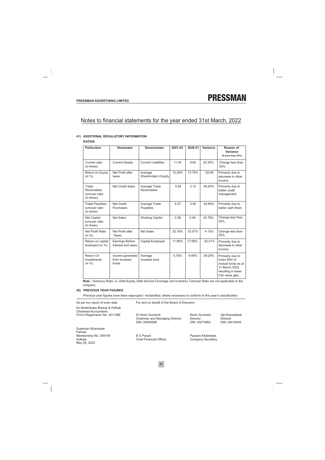#### 41) ADDITIONAL REGULATORY INFORMATION

**RATIOS** 

| <b>Particulars</b>                                          | <b>Numerator</b>                           | <b>Denominator</b>              | 2021-22 | 2020-21 | Variance  | Reason of<br>Variance<br>(if more than 25%)                                                                       |
|-------------------------------------------------------------|--------------------------------------------|---------------------------------|---------|---------|-----------|-------------------------------------------------------------------------------------------------------------------|
| Current ratio<br>(in times)                                 | <b>Current Assets</b>                      | <b>Current Liabilities</b>      | 11.54   | 9.60    | 20.25%    | Change less than<br>25%.                                                                                          |
| Return on Equity<br>(in %)                                  | Net Profit after<br>taxes                  | Average<br>Shareholder's Equity | 10.28%  | 13.79%  | $-25.49$  | Primarily due to<br>decrease in other<br>income                                                                   |
| Trade<br><b>Receivables</b><br>turnover ratio<br>(in times) | <b>Net Credit Sales</b>                    | Average Trade<br>Receivables    | 5.94    | 3.12    | 90.64%    | Primarily due to<br>better credit<br>management                                                                   |
| <b>Trade Payables</b><br>turnover ratio<br>(in times)       | <b>Net Credit</b><br>Purchases             | Average Trade<br>Payables       | 5.57    | 3.95    | 40.90%    | Primarily due to<br>better cash flows                                                                             |
| <b>Net Capital</b><br>turnover ratio<br>(in times)          | <b>Net Sales</b>                           | <b>Working Capital</b>          | 0.58    | 0.46    | 24.78%    | Change less than<br>$25%$ .                                                                                       |
| Net Profit Ratio<br>(in %)                                  | Net Profit after<br><b>Taxes</b>           | <b>Net Sales</b>                | 32.18%  | 33.57%  | $-4.15%$  | Change less than<br>25%.                                                                                          |
| Return on capital<br>employed (in %)                        | Earnings Before<br>Interest and taxes      | <b>Capital Employed</b>         | 11.95%  | 17.68%  | $-32.41%$ | Primarily due to<br>decrease in other<br>income                                                                   |
| Return On<br>Investments<br>(in %)                          | Income generated<br>from Invested<br>funds | Average<br>invested fund        | 5.76%   | 9.49%   | $-39.29%$ | Primarily due to<br>lower NAV of<br>mutual funds as at<br>31 March 2022<br>resulting in lower<br>Fair value gain. |

Note : Solvency Ratio i.e. Debt-Equity, Debt Service Coverage and Inventory Turnover Ratio are not applicable to the company.

#### **42) PREVIOUS YEAR FIGURES**

Previous year figures have been regrouped / reclassified, where necessary to conform to this year's classification.

| As per our report of even date                                 | For and on behalf of the Board of Directors                          |                                             |                                              |  |  |
|----------------------------------------------------------------|----------------------------------------------------------------------|---------------------------------------------|----------------------------------------------|--|--|
| for Mookherjee Biswas & Pathak<br><b>Chartered Accountants</b> |                                                                      |                                             |                                              |  |  |
| Firm's Registration No. 301138E                                | Dr Niren Suchanti<br>Chairman and Managing Director<br>DIN: 00909388 | Navin Suchanti<br>Director<br>DIN: 00273663 | Ajit Khandelwal<br>Director<br>DIN: 00416445 |  |  |
| Sudersan Mukherjee<br>Partner                                  |                                                                      |                                             |                                              |  |  |
| Membership No. 059159<br>Kolkata<br>May 05, 2022               | <b>B G Pasari</b><br><b>Chief Financial Officer</b>                  | Paulami Mukherjee<br>Company Secretary      |                                              |  |  |